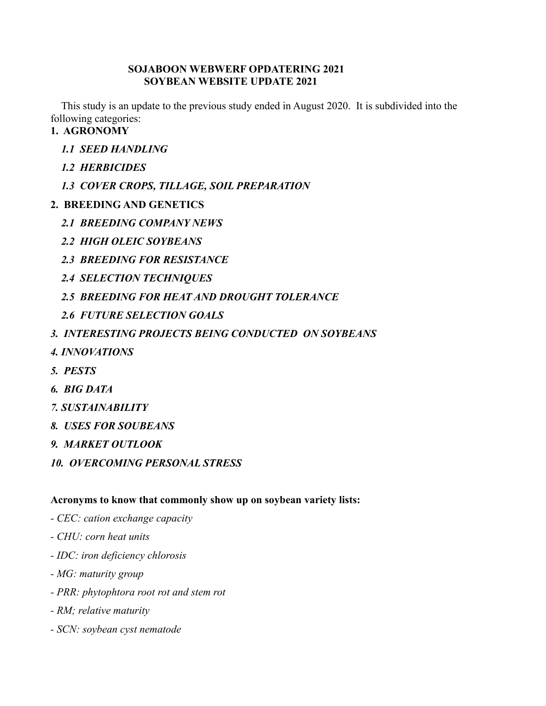#### **SOJABOON WEBWERF OPDATERING 2021 SOYBEAN WEBSITE UPDATE 2021**

This study is an update to the previous study ended in August 2020. It is subdivided into the following categories:

# **1. AGRONOMY**

- *1.1 SEED HANDLING*
- *1.2 HERBICIDES*
- *1.3 COVER CROPS, TILLAGE, SOIL PREPARATION*

# **2. BREEDING AND GENETICS**

- *2.1 BREEDING COMPANY NEWS*
- *2.2 HIGH OLEIC SOYBEANS*
- *2.3 BREEDING FOR RESISTANCE*
- *2.4 SELECTION TECHNIQUES*
- *2.5 BREEDING FOR HEAT AND DROUGHT TOLERANCE*
- *2.6 FUTURE SELECTION GOALS*
- *3. INTERESTING PROJECTS BEING CONDUCTED ON SOYBEANS*
- *4. INNOVATIONS*
- *5. PESTS*
- *6. BIG DATA*
- *7. SUSTAINABILITY*
- *8. USES FOR SOUBEANS*
- *9. MARKET OUTLOOK*
- *10. OVERCOMING PERSONAL STRESS*

# **Acronyms to know that commonly show up on soybean variety lists:**

- *- CEC: cation exchange capacity*
- *- CHU: corn heat units*
- *- IDC: iron deficiency chlorosis*
- *- MG: maturity group*
- *- PRR: phytophtora root rot and stem rot*
- *- RM; relative maturity*
- *- SCN: soybean cyst nematode*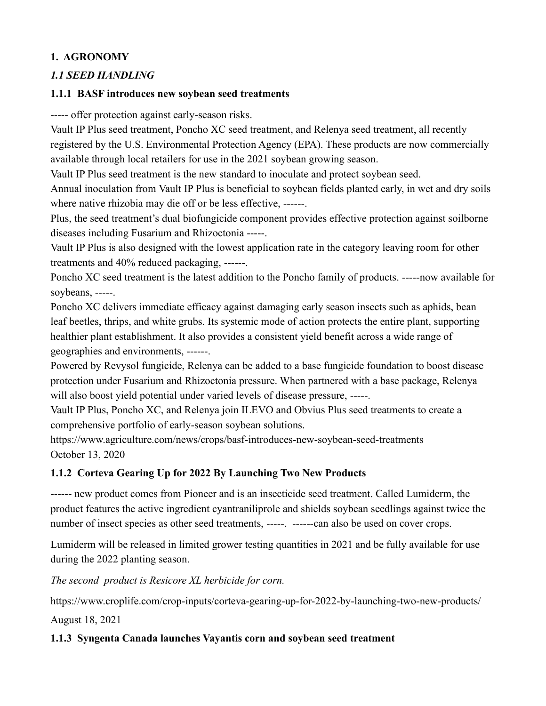# **1. AGRONOMY**

# *1.1 SEED HANDLING*

# **1.1.1 BASF introduces new soybean seed treatments**

----- offer protection against early-season risks.

Vault IP Plus seed treatment, Poncho XC seed treatment, and Relenya seed treatment, all recently registered by the U.S. Environmental Protection Agency (EPA). These products are now commercially available through local retailers for use in the 2021 soybean growing season.

Vault IP Plus seed treatment is the new standard to inoculate and protect soybean seed.

Annual inoculation from Vault IP Plus is beneficial to soybean fields planted early, in wet and dry soils where native rhizobia may die off or be less effective, ------.

Plus, the seed treatment's dual biofungicide component provides effective protection against soilborne diseases including Fusarium and Rhizoctonia -----.

Vault IP Plus is also designed with the lowest application rate in the category leaving room for other treatments and 40% reduced packaging, ------.

Poncho XC seed treatment is the latest addition to the Poncho family of products. -----now available for soybeans, -----.

Poncho XC delivers immediate efficacy against damaging early season insects such as aphids, bean leaf beetles, thrips, and white grubs. Its systemic mode of action protects the entire plant, supporting healthier plant establishment. It also provides a consistent yield benefit across a wide range of geographies and environments, ------.

Powered by Revysol fungicide, Relenya can be added to a base fungicide foundation to boost disease protection under Fusarium and Rhizoctonia pressure. When partnered with a base package, Relenya will also boost yield potential under varied levels of disease pressure, -----.

Vault IP Plus, Poncho XC, and Relenya join ILEVO and Obvius Plus seed treatments to create a comprehensive portfolio of early-season soybean solutions.

<https://www.agriculture.com/news/crops/basf-introduces-new-soybean-seed-treatments> October 13, 2020

# **1.1.2 Corteva Gearing Up for 2022 By Launching Two New Products**

------ new product comes from Pioneer and is an insecticide seed treatment. Called [Lumiderm,](https://www.corteva.ca/en/products-and-solutions/crop-protection/lumiderm.html) the product features the active ingredient cyantraniliprole and shields soybean seedlings against twice the number of insect species as other seed treatments, -----. ------can also be used on cover crops.

Lumiderm will be released in limited grower testing quantities in 2021 and be fully available for use during the 2022 planting season.

*The second product is Resicore XL herbicide for corn.*

<https://www.croplife.com/crop-inputs/corteva-gearing-up-for-2022-by-launching-two-new-products/>

August 18, 2021

# **1.1.3 Syngenta Canada launches Vayantis corn and soybean seed treatment**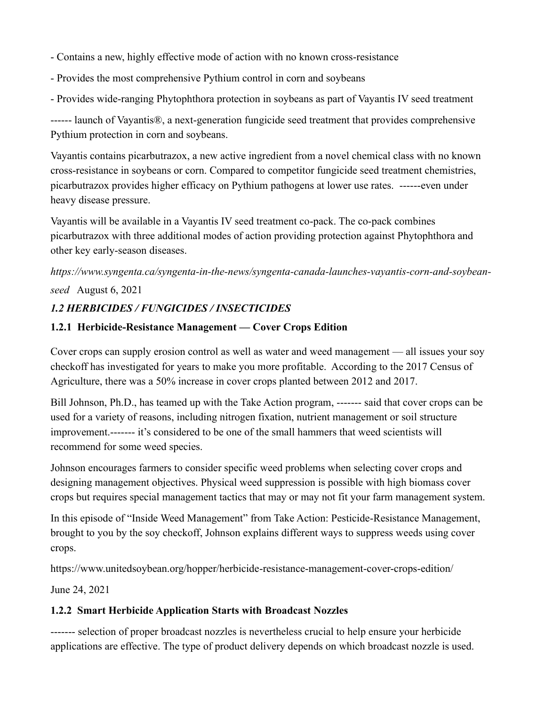- Contains a new, highly effective mode of action with no known cross-resistance
- Provides the most comprehensive Pythium control in corn and soybeans
- Provides wide-ranging Phytophthora protection in soybeans as part of Vayantis IV seed treatment

------ launch of Vayantis®, a next-generation fungicide seed treatment that provides comprehensive Pythium protection in corn and soybeans.

Vayantis contains picarbutrazox, a new active ingredient from a novel chemical class with no known cross-resistance in soybeans or corn. Compared to competitor fungicide seed treatment chemistries, picarbutrazox provides higher efficacy on Pythium pathogens at lower use rates. ------even under heavy disease pressure.

Vayantis will be available in a Vayantis IV seed treatment co-pack. The co-pack combines picarbutrazox with three additional modes of action providing protection against Phytophthora and other key early-season diseases.

*[https://www.syngenta.ca/syngenta-in-the-news/syngenta-canada-launches-vayantis-corn-and-soybean](https://www.syngenta.ca/syngenta-in-the-news/syngenta-canada-launches-vayantis-corn-and-soybean-seed)[seed](https://www.syngenta.ca/syngenta-in-the-news/syngenta-canada-launches-vayantis-corn-and-soybean-seed)* August 6, 2021

# *1.2 HERBICIDES / FUNGICIDES / INSECTICIDES*

### **1.2.1 Herbicide-Resistance Management — Cover Crops Edition**

Cover crops can supply erosion control as well as water and weed management — all issues your soy checkoff has investigated for years to make you more profitable. According to the 2017 Census of Agriculture, there was a 50% increase in cover crops planted between 2012 and 2017.

Bill Johnson, Ph.D., has teamed up with the [Take Action program,](https://iwilltakeaction.com/) ------- said that cover crops can be used for a variety of reasons, including nitrogen fixation, nutrient management or soil structure improvement.------- it's considered to be one of the small hammers that weed scientists will recommend for some weed species.

Johnson encourages farmers to consider specific weed problems when selecting cover crops and designing management objectives. Physical weed suppression is possible with high biomass cover crops but requires special management tactics that may or may not fit your farm management system.

In this episode of "Inside Weed Management" from [Take Action: Pesticide-Resistance Management,](https://iwilltakeaction.com/) brought to you by the soy checkoff, Johnson explains different ways to suppress weeds using cover crops.

<https://www.unitedsoybean.org/hopper/herbicide-resistance-management-cover-crops-edition/>

June 24, 2021

# **1.2.2 Smart Herbicide Application Starts with Broadcast Nozzles**

------- selection of proper broadcast nozzles is nevertheless crucial to help ensure your herbicide applications are effective. The type of product delivery depends on which broadcast nozzle is used.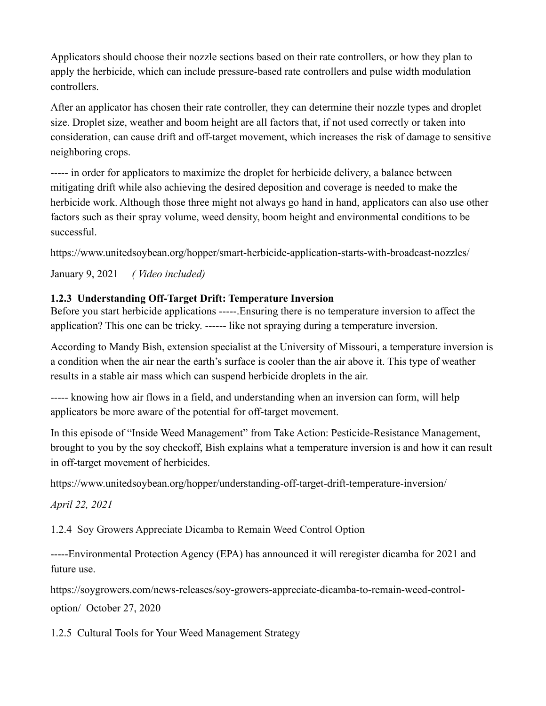Applicators should choose their nozzle sections based on their rate controllers, or how they plan to apply the herbicide, which can include pressure-based rate controllers and pulse width modulation controllers.

After an applicator has chosen their rate controller, they can determine their nozzle types and droplet size. Droplet size, weather and boom height are all factors that, if not used correctly or taken into consideration, can cause drift and off-target movement, which increases the risk of damage to sensitive neighboring crops.

----- in order for applicators to maximize the droplet for herbicide delivery, a balance between mitigating drift while also achieving the desired deposition and coverage is needed to make the herbicide work. Although those three might not always go hand in hand, applicators can also use other factors such as their spray volume, weed density, boom height and environmental conditions to be successful.

<https://www.unitedsoybean.org/hopper/smart-herbicide-application-starts-with-broadcast-nozzles/>

January 9, 2021 *( Video included)*

# **1.2.3 Understanding Off-Target Drift: Temperature Inversion**

Before you start herbicide applications -----.Ensuring there is no temperature inversion to affect the application? This one can be tricky. ------ like not spraying during a temperature inversion.

According to Mandy Bish, extension specialist at the University of Missouri, a temperature inversion is a condition when the air near the earth's surface is cooler than the air above it. This type of weather results in a stable air mass which can suspend herbicide droplets in the air.

----- knowing how air flows in a field, and understanding when an inversion can form, will help applicators be more aware of the potential for off-target movement.

In this episode of "Inside Weed Management" from [Take Action: Pesticide-Resistance Management,](https://iwilltakeaction.com/) brought to you by the soy checkoff, Bish explains what a temperature inversion is and how it can result in off-target movement of herbicides.

<https://www.unitedsoybean.org/hopper/understanding-off-target-drift-temperature-inversion/>

*April 22, 2021*

1.2.4 [Soy Growers Appreciate Dicamba to Remain Weed Control Option](https://soygrowers.com/news-releases/soy-growers-appreciate-dicamba-to-remain-weed-control-option/)

-----Environmental Protection Agency (EPA) has announced it will reregister dicamba for 2021 and future use.

[https://soygrowers.com/news-releases/soy-growers-appreciate-dicamba-to-remain-weed-control](https://soygrowers.com/news-releases/soy-growers-appreciate-dicamba-to-remain-weed-control-option/)[option/](https://soygrowers.com/news-releases/soy-growers-appreciate-dicamba-to-remain-weed-control-option/) October 27, 2020

1.2.5 Cultural Tools for Your Weed Management Strategy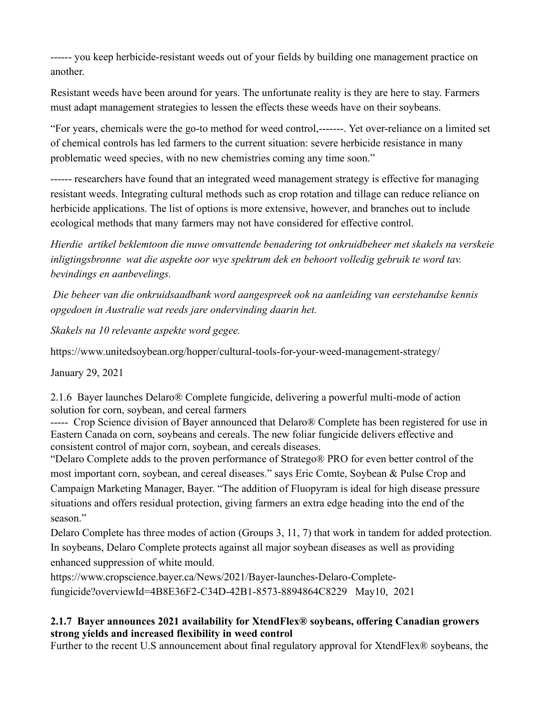------ you keep herbicide-resistant weeds out of your fields by building one management practice on another.

Resistant weeds have been around for years. The unfortunate reality is they are here to stay. Farmers must adapt management strategies to lessen the effects these weeds have on their soybeans.

"For years, chemicals were the go-to method for weed control,-------. Yet over-reliance on a limited set of chemical controls has led farmers to the current situation: severe herbicide resistance in [many](https://iwilltakeaction.com/resources/weed-out-resistance-poster)  [problematic weed species,](https://iwilltakeaction.com/resources/weed-out-resistance-poster) with no new chemistries coming any time soon."

------ researchers have found that an integrated weed management strategy is effective for managing resistant weeds. Integrating cultural methods such as crop rotation and tillage can reduce reliance on herbicide applications. The list of options is more extensive, however, and branches out to include ecological methods that many farmers may not have considered for effective control.

*Hierdie artikel beklemtoon die nuwe omvattende benadering tot onkruidbeheer met skakels na verskeie inligtingsbronne wat die aspekte oor wye spektrum dek en behoort volledig gebruik te word tav. bevindings en aanbevelings.*

*Die beheer van die onkruidsaadbank word aangespreek ook na aanleiding van eerstehandse kennis opgedoen in Australie wat reeds jare ondervinding daarin het.*

*Skakels na 10 relevante aspekte word gegee.*

<https://www.unitedsoybean.org/hopper/cultural-tools-for-your-weed-management-strategy/>

January 29, 2021

2.1.6 Bayer launches Delaro® Complete fungicide, delivering a powerful multi-mode of action solution for corn, soybean, and cereal farmers

----- Crop Science division of Bayer announced that Delaro® Complete has been registered for use in Eastern Canada on corn, soybeans and cereals. The new foliar fungicide delivers effective and consistent control of major corn, soybean, and cereals diseases.

"Delaro Complete adds to the proven performance of Stratego® PRO for even better control of the most important corn, soybean, and cereal diseases." says Eric Comte, Soybean & Pulse Crop and Campaign Marketing Manager, Bayer. "The addition of Fluopyram is ideal for high disease pressure situations and offers residual protection, giving farmers an extra edge heading into the end of the season."

Delaro Complete has three modes of action (Groups 3, 11, 7) that work in tandem for added protection. In soybeans, Delaro Complete protects against all major soybean diseases as well as providing enhanced suppression of white mould.

[https://www.cropscience.bayer.ca/News/2021/Bayer-launches-Delaro-Complete](https://www.cropscience.bayer.ca/News/2021/Bayer-launches-Delaro-Complete-fungicide?overviewId=4B8E36F2-C34D-42B1-8573-8894864C8229)[fungicide?overviewId=4B8E36F2-C34D-42B1-8573-8894864C8229](https://www.cropscience.bayer.ca/News/2021/Bayer-launches-Delaro-Complete-fungicide?overviewId=4B8E36F2-C34D-42B1-8573-8894864C8229) May10, 2021

### **2.1.7 Bayer announces 2021 availability for XtendFlex® soybeans, offering Canadian growers strong yields and increased flexibility in weed control**

Further to the recent U.S announcement about final regulatory approval for XtendFlex® soybeans, the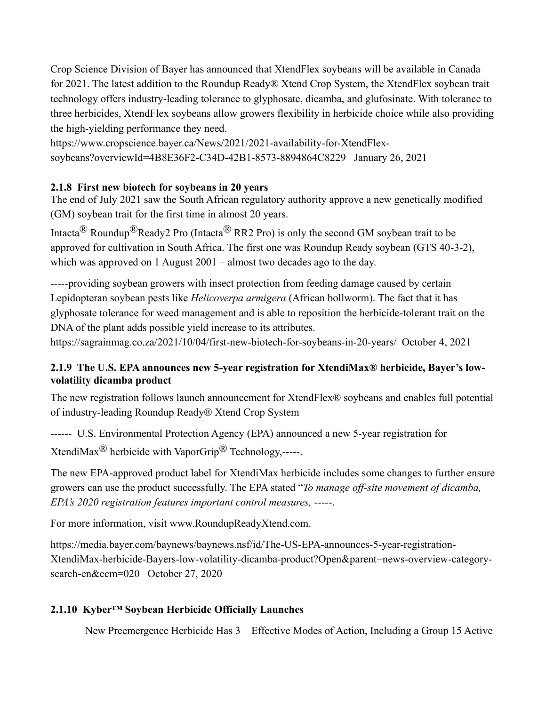Crop Science Division of Bayer has announced that XtendFlex soybeans will be available in Canada for 2021. The latest addition to the Roundup Ready® Xtend Crop System, the XtendFlex soybean trait technology offers industry-leading tolerance to glyphosate, dicamba, and glufosinate. With tolerance to three herbicides, XtendFlex soybeans allow growers flexibility in herbicide choice while also providing the high-yielding performance they need.

[https://www.cropscience.bayer.ca/News/2021/2021-availability-for-XtendFlex](https://www.cropscience.bayer.ca/News/2021/2021-availability-for-XtendFlex-soybeans?overviewId=4B8E36F2-C34D-42B1-8573-8894864C8229)[soybeans?overviewId=4B8E36F2-C34D-42B1-8573-8894864C8229](https://www.cropscience.bayer.ca/News/2021/2021-availability-for-XtendFlex-soybeans?overviewId=4B8E36F2-C34D-42B1-8573-8894864C8229) January 26, 2021

### **2.1.8 First new biotech for soybeans in 20 years**

The end of July 2021 saw the South African regulatory authority approve a new genetically modified (GM) soybean trait for the first time in almost 20 years.

Intacta<sup>®</sup> Roundup<sup>®</sup>Ready2 Pro (Intacta<sup>®</sup> RR2 Pro) is only the second GM soybean trait to be approved for cultivation in South Africa. The first one was Roundup Ready soybean (GTS 40-3-2), which was approved on 1 August 2001 – almost two decades ago to the day.

-----providing soybean growers with insect protection from feeding damage caused by certain Lepidopteran soybean pests like *Helicoverpa armigera* (African bollworm). The fact that it has glyphosate tolerance for weed management and is able to reposition the herbicide-tolerant trait on the DNA of the plant adds possible yield increase to its attributes.

<https://sagrainmag.co.za/2021/10/04/first-new-biotech-for-soybeans-in-20-years/>October 4, 2021

# **2.1.9 The U.S. EPA announces new 5-year registration for XtendiMax® herbicide, Bayer's lowvolatility dicamba product**

The new registration follows launch announcement for XtendFlex® soybeans and enables full potential of industry-leading Roundup Ready® Xtend Crop System

------ U.S. Environmental Protection Agency (EPA) [announced a](https://www.epa.gov/newsreleases/epa-announces-2020-dicamba-registration-decision) new 5-year registration for XtendiMax<sup>®</sup> herbicide with VaporGrip<sup>®</sup> Technology,-----.

The new EPA-approved product label for XtendiMax herbicide includes some changes to further ensure growers can use the product successfully. The EPA stated "*To manage off-site movement of dicamba, EPA's 2020 registration features important control measures,* -----.

For more information, visit [www.RoundupReadyXtend.com.](http://www.roundupreadyxtend.com/)

[https://media.bayer.com/baynews/baynews.nsf/id/The-US-EPA-announces-5-year-registration-](https://media.bayer.com/baynews/baynews.nsf/id/The-US-EPA-announces-5-year-registration-XtendiMax-herbicide-Bayers-low-volatility-dicamba-product?Open&parent=news-overview-category-search-en&ccm=020)[XtendiMax-herbicide-Bayers-low-volatility-dicamba-product?Open&parent=news-overview-category](https://media.bayer.com/baynews/baynews.nsf/id/The-US-EPA-announces-5-year-registration-XtendiMax-herbicide-Bayers-low-volatility-dicamba-product?Open&parent=news-overview-category-search-en&ccm=020)[search-en&ccm=020](https://media.bayer.com/baynews/baynews.nsf/id/The-US-EPA-announces-5-year-registration-XtendiMax-herbicide-Bayers-low-volatility-dicamba-product?Open&parent=news-overview-category-search-en&ccm=020) October 27, 2020

# **2.1.10 Kyber™ Soybean Herbicide Officially Launches**

New Preemergence Herbicide Has 3 Effective Modes of Action, Including a Group 15 Active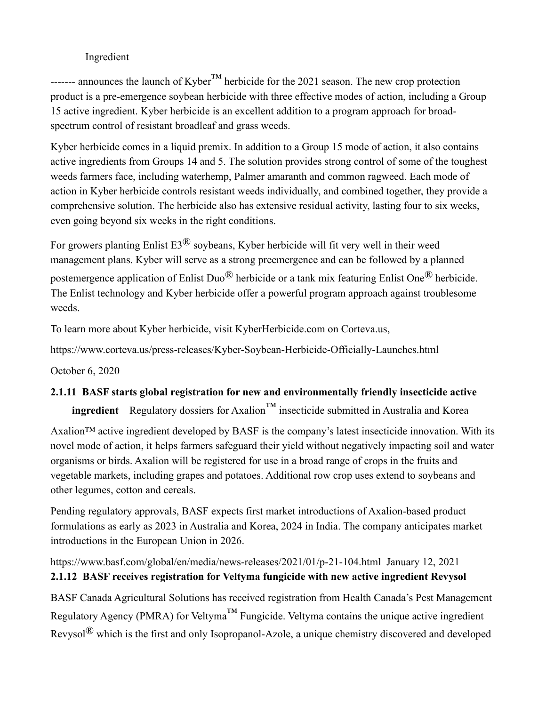## Ingredient

------- announces the launch of Kyber<sup>™</sup> herbicide for the 2021 season. The new crop protection product is a pre-emergence soybean herbicide with three effective modes of action, including a Group 15 active ingredient. Kyber herbicide is an excellent addition to a program approach for broadspectrum control of resistant broadleaf and grass weeds.

Kyber herbicide comes in a liquid premix. In addition to a Group 15 mode of action, it also contains active ingredients from Groups 14 and 5. The solution provides strong control of some of the toughest weeds farmers face, including waterhemp, Palmer amaranth and common ragweed. Each mode of action in Kyber herbicide controls resistant weeds individually, and combined together, they provide a comprehensive solution. The herbicide also has extensive residual activity, lasting four to six weeks, even going beyond six weeks in the right conditions.

For growers planting Enlist  $E3^{\textcircled{R}}$  soybeans, Kyber herbicide will fit very well in their weed management plans. Kyber will serve as a strong preemergence and can be followed by a planned postemergence application of Enlist Duo® herbicide or a tank mix featuring Enlist One® herbicide. The Enlist technology and Kyber herbicide offer a powerful program approach against troublesome weeds.

To learn more about Kyber herbicide, visit [KyberHerbicide.com](http://www.kyberherbicide.com/) on [Corteva.us,](https://www.corteva.us/)

<https://www.corteva.us/press-releases/Kyber-Soybean-Herbicide-Officially-Launches.html>

October 6, 2020

# **2.1.11 BASF starts global registration for new and environmentally friendly insecticide active**

**ingredient** Regulatory dossiers for Axalion<sup>™</sup> insecticide submitted in Australia and Korea

Axalion<sup>™</sup> active ingredient developed by BASF is the company's latest insecticide innovation. With its novel mode of action, it helps farmers safeguard their yield without negatively impacting soil and water organisms or birds. Axalion will be registered for use in a broad range of crops in the fruits and vegetable markets, including grapes and potatoes. Additional row crop uses extend to soybeans and other legumes, cotton and cereals.

Pending regulatory approvals, BASF expects first market introductions of Axalion-based product formulations as early as 2023 in Australia and Korea, 2024 in India. The company anticipates market introductions in the European Union in 2026.

<https://www.basf.com/global/en/media/news-releases/2021/01/p-21-104.html>January 12, 2021 **2.1.12 BASF receives registration for Veltyma fungicide with new active ingredient Revysol**

BASF Canada Agricultural Solutions has received registration from Health Canada's Pest Management Regulatory Agency (PMRA) for Veltyma<sup>™</sup> Fungicide. Veltyma contains the unique active ingredient Revysol® which is the first and only Isopropanol-Azole, a unique chemistry discovered and developed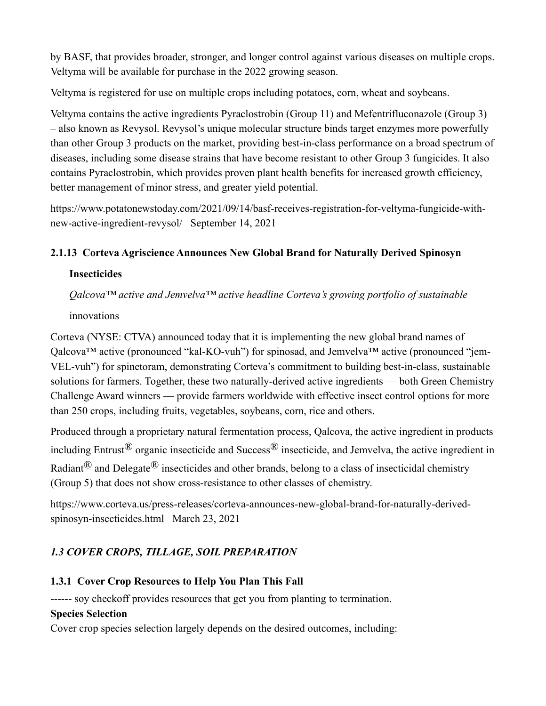by BASF, that provides broader, stronger, and longer control against various diseases on multiple crops. Veltyma will be available for purchase in the 2022 growing season.

Veltyma is registered for use on multiple crops including potatoes, corn, wheat and soybeans.

Veltyma contains the active ingredients Pyraclostrobin (Group 11) and Mefentrifluconazole (Group 3) – also known as Revysol. Revysol's unique molecular structure binds target enzymes more powerfully than other Group 3 products on the market, providing best-in-class performance on a broad spectrum of diseases, including some disease strains that have become resistant to other Group 3 fungicides. It also contains Pyraclostrobin, which provides proven plant health benefits for increased growth efficiency, better management of minor stress, and greater yield potential.

[https://www.potatonewstoday.com/2021/09/14/basf-receives-registration-for-veltyma-fungicide-with](https://www.potatonewstoday.com/2021/09/14/basf-receives-registration-for-veltyma-fungicide-with-new-active-ingredient-revysol/)[new-active-ingredient-revysol/](https://www.potatonewstoday.com/2021/09/14/basf-receives-registration-for-veltyma-fungicide-with-new-active-ingredient-revysol/) September 14, 2021

# **2.1.13 Corteva Agriscience Announces New Global Brand for Naturally Derived Spinosyn**

#### **Insecticides**

*Qalcova™ active and Jemvelva™ active headline Corteva's growing portfolio of sustainable*  innovations

Corteva (NYSE: CTVA) announced today that it is implementing the new global brand names of Qalcova<sup>™</sup> active (pronounced "kal-KO-vuh") for spinosad, and Jemvelva™ active (pronounced "jem-VEL-vuh") for spinetoram, demonstrating Corteva's commitment to building best-in-class, sustainable solutions for farmers. Together, these two naturally-derived active ingredients — both Green Chemistry Challenge Award winners — provide farmers worldwide with effective insect control options for more than 250 crops, including fruits, vegetables, soybeans, corn, rice and others.

Produced through a proprietary natural fermentation process, Qalcova, the active ingredient in products including Entrust<sup>®</sup> organic insecticide and Success<sup>®</sup> insecticide, and Jemvelva, the active ingredient in Radiant<sup>®</sup> and Delegate<sup>®</sup> insecticides and other brands, belong to a class of insecticidal chemistry (Group 5) that does not show cross-resistance to other classes of chemistry.

[https://www.corteva.us/press-releases/corteva-announces-new-global-brand-for-naturally-derived](https://www.corteva.us/press-releases/corteva-announces-new-global-brand-for-naturally-derived-spinosyn-insecticides.html)[spinosyn-insecticides.html](https://www.corteva.us/press-releases/corteva-announces-new-global-brand-for-naturally-derived-spinosyn-insecticides.html) March 23, 2021

# *1.3 COVER CROPS, TILLAGE, SOIL PREPARATION*

# **1.3.1 Cover Crop Resources to Help You Plan This Fall**

------ soy checkoff provides resources that get you from planting to termination.

#### **[Species Selection](https://iwilltakeaction.com/resources/cover-crops-for-weed-management-species-selection-fact-sheet)**

Cover crop species selection largely depends on the desired outcomes, including: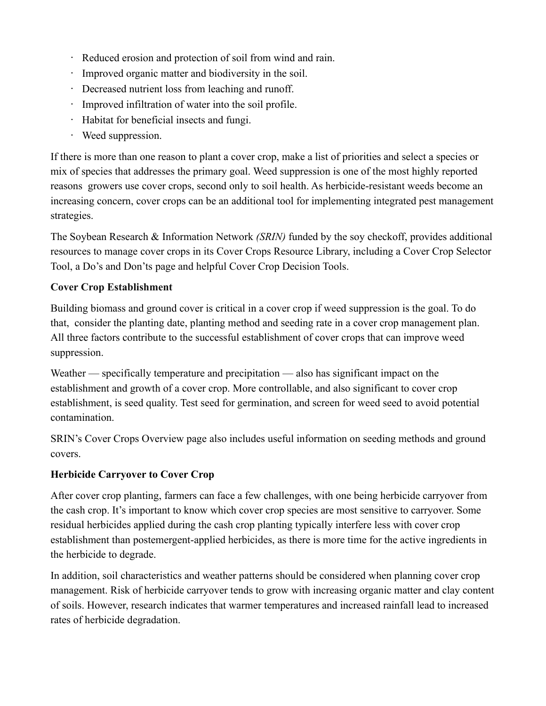- Reduced erosion and protection of soil from wind and rain.
- Improved organic matter and biodiversity in the soil.
- Decreased nutrient loss from leaching and runoff.
- Improved infiltration of water into the soil profile.
- Habitat for beneficial insects and fungi.
- Weed suppression.

If there is more than one reason to plant a cover crop, make a list of priorities and select a species or mix of species that addresses the primary goal. Weed suppression is one of the most highly reported reasons growers use cover crops, second only to soil health. As herbicide-resistant weeds become an increasing concern, cover crops can be an additional tool for implementing integrated pest management strategies.

The [Soybean Research & Information Network](https://soybeanresearchinfo.com/) *(SRIN)* funded by the soy checkoff, provides additional resources to manage cover crops in its [Cover Crops Resource Library,](https://soybeanresearchinfo.com/resources/resource-library/cover-crops/) including a [Cover Crop Selector](https://cropwatch.unl.edu/2019/NE-cover-crop-selector-tool)  [Tool,](https://cropwatch.unl.edu/2019/NE-cover-crop-selector-tool) a [Do's and Don'ts](https://crop-protection-network.s3.amazonaws.com/publications/cpn-4002-crop-management-cover-crops-dos-donts.pdf) page and helpful [Cover Crop Decision Tools.](https://mccc.msu.edu/selector-tool/)

# **[Cover Crop Establishment](https://iwilltakeaction.com/resources/cover-crops-for-weed-management-establishment-fact-sheet)**

Building biomass and ground cover is critical in a cover crop if weed suppression is the goal. To do that, consider the planting date, planting method and seeding rate in a cover crop management plan. All three factors contribute to the successful establishment of cover crops that can improve weed suppression.

Weather — specifically temperature and precipitation — also has significant impact on the establishment and growth of a cover crop. More controllable, and also significant to cover crop establishment, is seed quality. Test seed for germination, and screen for weed seed to avoid potential contamination.

SRIN's [Cover Crops Overview page](https://soybeanresearchinfo.com/agronomics/cover-crops/) also includes useful information on seeding methods and ground covers.

# **Herbicide Carryover to Cover Crop**

After cover crop planting, farmers can face a few challenges, with one being herbicide carryover from the cash crop. It's important to know which cover crop species are most sensitive to carryover. Some residual herbicides applied during the cash crop planting typically interfere less with cover crop establishment than postemergent-applied herbicides, as there is more time for the active ingredients in the herbicide to degrade.

In addition, soil characteristics and weather patterns should be considered when planning cover crop management. Risk of herbicide carryover tends to grow with increasing organic matter and clay content of soils. However, research indicates that warmer temperatures and increased rainfall lead to increased rates of herbicide degradation.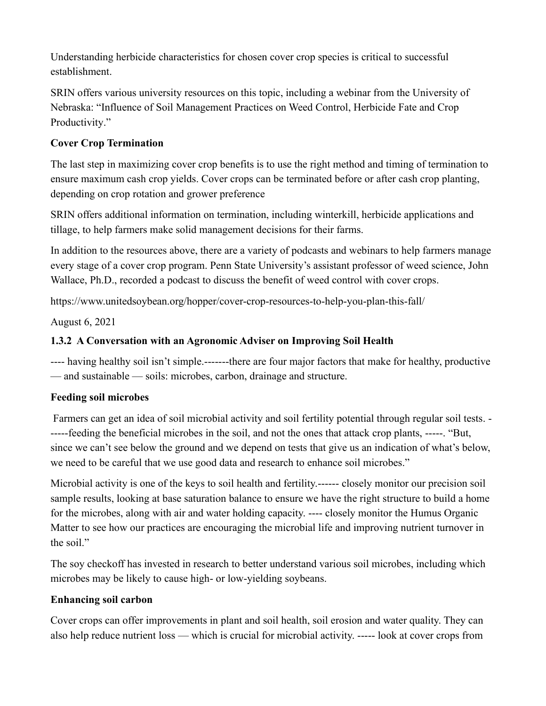Understanding herbicide characteristics for chosen cover crop species is critical to successful establishment.

SRIN offers various university resources on this topic, including a webinar from the University of Nebraska: ["Influence of Soil Management Practices on Weed Control, Herbicide Fate and Crop](https://mediahub.unl.edu/media/14522)  [Productivity.](https://mediahub.unl.edu/media/14522)"

# **[Cover Crop Termination](https://iwilltakeaction.com/resources/cover-crops-for-weed-management-termination)**

The last step in maximizing cover crop benefits is to use the right method and timing of termination to ensure maximum cash crop yields. Cover crops can be terminated before or after cash crop planting, depending on crop rotation and grower preference

SRIN offers [additional information](https://soybeanresearchinfo.com/agronomics/cover-crops/) on termination, including winterkill, herbicide applications and tillage, to help farmers make solid management decisions for their farms.

In addition to the resources above, there are a variety of podcasts and webinars to help farmers manage every stage of a cover crop program. Penn State University's assistant professor of weed science, John Wallace, Ph.D., recorded a [podcast](https://unitedsoybeanboard.libsyn.com/using-cover-crops-for-weed-control) to discuss the benefit of weed control with cover crops.

<https://www.unitedsoybean.org/hopper/cover-crop-resources-to-help-you-plan-this-fall/>

August 6, 2021

# **1.3.2 A Conversation with an Agronomic Adviser on Improving Soil Health**

---- having healthy soil isn't simple.-------there are four major factors that make for healthy, productive — and sustainable — soils: microbes, carbon, drainage and structure.

#### **Feeding soil microbes**

Farmers can get an idea of soil microbial activity and soil fertility potential through regular soil tests. - -----feeding the beneficial microbes in the soil, and not the ones that attack crop plants, -----. "But, since we can't see below the ground and we depend on tests that give us an indication of what's below, we need to be careful that we use good data and research to enhance soil microbes."

Microbial activity is one of the keys to soil health and fertility.------ closely monitor our precision soil sample results, looking at base saturation balance to ensure we have the right structure to build a home for the microbes, along with air and water holding capacity. ---- closely monitor the Humus Organic Matter to see how our practices are encouraging the microbial life and improving nutrient turnover in the soil."

The soy checkoff has invested in research to better understand various soil microbes, including which microbes may be likely to cause high- or low-yielding soybeans.

#### **Enhancing soil carbon**

Cover crops can offer improvements in plant and soil health, soil erosion and water quality. They can also help reduce nutrient loss — which is crucial for microbial activity. ----- look at cover crops from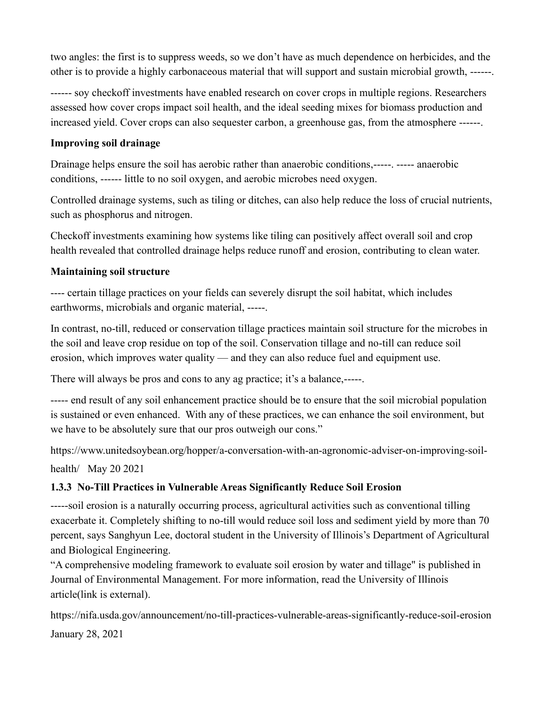two angles: the first is to suppress weeds, so we don't have as much dependence on herbicides, and the other is to provide a highly carbonaceous material that will support and sustain microbial growth, ------.

------ soy checkoff investments have enabled [research on cover crops](https://soybeanresearchinfo.com/agronomics/cover-crops/) in multiple regions. Researchers assessed how cover crops impact soil health, and the [ideal seeding mixes for biomass production and](https://soybeanresearchinfo.com/resources/resource-library/cover-crops/)  [increased yield.](https://soybeanresearchinfo.com/resources/resource-library/cover-crops/) Cover crops can also sequester carbon, a greenhouse gas, from the atmosphere ------.

#### **Improving soil drainage**

Drainage helps ensure the soil has aerobic rather than anaerobic conditions,-----. ----- anaerobic conditions, ------ little to no soil oxygen, and aerobic microbes need oxygen.

Controlled drainage systems, such as tiling or ditches, can also help reduce the loss of crucial nutrients, such as phosphorus and nitrogen.

Checkoff investments examining how systems like tiling can positively affect overall soil and crop health revealed that controlled drainage helps reduce runoff and erosion, contributing to clean water.

#### **Maintaining soil structure**

---- certain tillage practices on your fields can severely disrupt the soil habitat, which includes earthworms, microbials and organic material, -----.

In contrast, no-till, reduced or conservation tillage practices maintain soil structure for the microbes in the soil and leave crop residue on top of the soil. Conservation tillage and no-till can reduce soil erosion, which improves water quality — and they can also reduce fuel and equipment use.

There will always be pros and cons to any ag practice; it's a balance,-----.

----- end result of any soil enhancement practice should be to ensure that the soil microbial population is sustained or even enhanced. With any of these practices, we can enhance the soil environment, but we have to be absolutely sure that our pros outweigh our cons."

[https://www.unitedsoybean.org/hopper/a-conversation-with-an-agronomic-adviser-on-improving-soil](https://www.unitedsoybean.org/hopper/a-conversation-with-an-agronomic-adviser-on-improving-soil-health/)[health/](https://www.unitedsoybean.org/hopper/a-conversation-with-an-agronomic-adviser-on-improving-soil-health/) May 20 2021

# **1.3.3 No-Till Practices in Vulnerable Areas Significantly Reduce Soil Erosion**

-----soil erosion is a naturally occurring process, agricultural activities such as conventional tilling exacerbate it. Completely shifting to no-till would reduce soil loss and sediment yield by more than 70 percent, says Sanghyun Lee, doctoral student in the University of Illinois's Department of Agricultural and Biological Engineering.

"A comprehensive modeling framework to evaluate soil erosion by water and tillage" is published in Journal of Environmental Management. For more information, read the [University of Illinois](https://aces.illinois.edu/news/no-till-practices-vulnerable-areas-significantly-reduce-soil-erosion)  [article\(link is external\).](https://aces.illinois.edu/news/no-till-practices-vulnerable-areas-significantly-reduce-soil-erosion)

<https://nifa.usda.gov/announcement/no-till-practices-vulnerable-areas-significantly-reduce-soil-erosion> January 28, 2021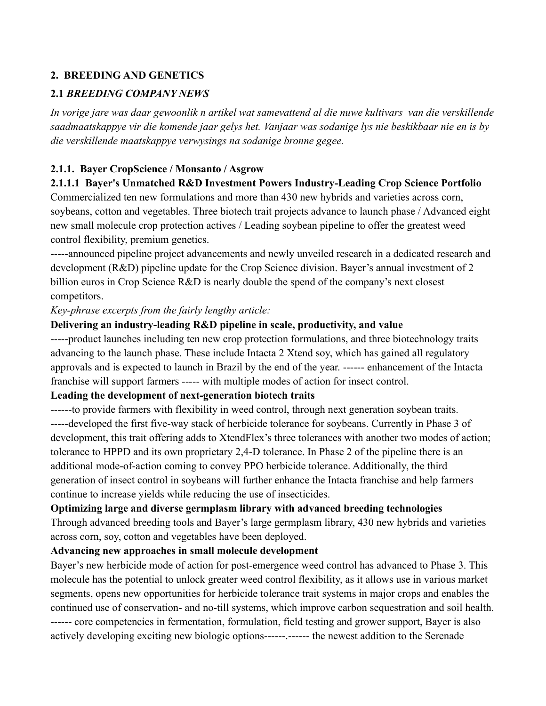# **2. BREEDING AND GENETICS**

## **2.1** *BREEDING COMPANY NEWS*

*In vorige jare was daar gewoonlik n artikel wat samevattend al die nuwe kultivars van die verskillende saadmaatskappye vir die komende jaar gelys het. Vanjaar was sodanige lys nie beskikbaar nie en is by die verskillende maatskappye verwysings na sodanige bronne gegee.*

#### **2.1.1. Bayer CropScience / Monsanto / Asgrow**

#### **2.1.1.1 Bayer's Unmatched R&D Investment Powers Industry-Leading Crop Science Portfolio**

Commercialized ten new formulations and more than 430 new hybrids and varieties across corn, soybeans, cotton and vegetables. Three biotech trait projects advance to launch phase / Advanced eight new small molecule crop protection actives / Leading soybean pipeline to offer the greatest weed control flexibility, premium genetics.

-----announced pipeline project advancements and newly unveiled research in a dedicated research and development (R&D) pipeline update for the Crop Science division. Bayer's annual investment of 2 billion euros in Crop Science R&D is nearly double the spend of the company's next closest competitors.

*Key-phrase excerpts from the fairly lengthy article:*

#### **Delivering an industry-leading R&D pipeline in scale, productivity, and value**

-----product launches including ten new crop protection formulations, and three biotechnology traits advancing to the launch phase. These include [Intacta 2 Xtend s](https://plataformaintacta2xtend.com.br/)oy, which has gained all regulatory approvals and is expected to launch in Brazil by the end of the year. ------ enhancement of the Intacta franchise will support farmers ----- with multiple modes of action for insect control.

#### **Leading the development of next-generation biotech traits**

------to provide farmers with flexibility in weed control, through next generation soybean traits. -----developed the first five-way stack of herbicide tolerance for soybeans. Currently in Phase 3 of development, this trait offering adds to XtendFlex's three tolerances with another two modes of action; tolerance to HPPD and its own proprietary 2,4-D tolerance. In Phase 2 of the pipeline there is an additional mode-of-action coming to convey PPO herbicide tolerance. Additionally, the third generation of insect control in soybeans will further enhance the Intacta franchise and help farmers continue to increase yields while reducing the use of insecticides.

#### **Optimizing large and diverse germplasm library with advanced breeding technologies**

Through advanced breeding tools and Bayer's large germplasm library, 430 new hybrids and varieties across corn, soy, cotton and vegetables have been deployed.

#### **Advancing new approaches in small molecule development**

Bayer's new herbicide mode of action for post-emergence weed control has advanced to Phase 3. This molecule has the potential to unlock greater weed control flexibility, as it allows use in various market segments, opens new opportunities for herbicide tolerance trait systems in major crops and enables the continued use of conservation- and no-till systems, which improve carbon sequestration and soil health. ------ core competencies in fermentation, formulation, field testing and grower support, Bayer is also actively developing exciting new biologic options------.------ the newest addition to the Serenade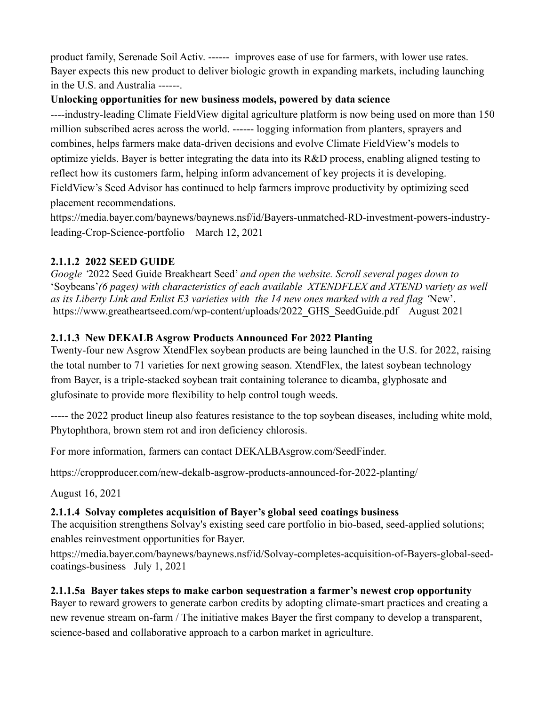product family, Serenade Soil Activ. ------ improves ease of use for farmers, with lower use rates. Bayer expects this new product to deliver biologic growth in expanding markets, including launching in the U.S. and Australia ------.

# **Unlocking opportunities for new business models, powered by data science**

----industry-leading [Climate FieldView](https://climate.com/) digital agriculture platform is now being used on more than 150 million subscribed acres across the world. ------ logging information from planters, sprayers and combines, helps farmers make data-driven decisions and evolve Climate FieldView's models to optimize yields. Bayer is better integrating the data into its R&D process, enabling aligned testing to reflect how its customers farm, helping inform advancement of key projects it is developing. FieldView's [Seed Advisor h](https://climate.com/newsroom/predictive-seed-placement-technology)as continued to help farmers improve productivity by optimizing seed placement recommendations.

[https://media.bayer.com/baynews/baynews.nsf/id/Bayers-unmatched-RD-investment-powers-industry](https://media.bayer.com/baynews/baynews.nsf/id/Bayers-unmatched-RD-investment-powers-industry-leading-Crop-Science-portfolio)[leading-Crop-Science-portfolio](https://media.bayer.com/baynews/baynews.nsf/id/Bayers-unmatched-RD-investment-powers-industry-leading-Crop-Science-portfolio) March 12, 2021

# **2.1.1.2 2022 SEED GUIDE**

*Google '*2022 Seed Guide Breakheart Seed' *and open the website. Scroll several pages down to* 'Soybeans'*(6 pages) with characteristics of each available XTENDFLEX and XTEND variety as well as its Liberty Link and Enlist E3 varieties with the 14 new ones marked with a red flag '*New'. [https://www.greatheartseed.com/wp-content/uploads/2022\\_GHS\\_SeedGuide.pdf](https://www.greatheartseed.com/wp-content/uploads/2022_GHS_SeedGuide.pdf) August 2021

# **2.1.1.3 New DEKALB Asgrow Products Announced For 2022 Planting**

Twenty-four new Asgrow XtendFlex soybean products are being launched in the U.S. for 2022, raising the total number to 71 varieties for next growing season. XtendFlex, the latest soybean technology from Bayer, is a triple-stacked soybean trait containing tolerance to dicamba, glyphosate and glufosinate to provide more flexibility to help control tough weeds.

----- the 2022 product lineup also features resistance to the top soybean diseases, including white mold, Phytophthora, brown stem rot and iron deficiency chlorosis.

For more information, farmers can contact [DEKALBAsgrow.com/SeedFinder.](https://www.dekalbasgrowdeltapine.com/en-us/seed-finder/corn.html?utm_campaign=SeedFinder_DKAS&utm_source=Various&utm_medium=OfflineMarketing&utm_content=SeedFinder)

<https://cropproducer.com/new-dekalb-asgrow-products-announced-for-2022-planting/>

August 16, 2021

# **2.1.1.4 Solvay completes acquisition of Bayer's global seed coatings business**

The acquisition strengthens Solvay's existing seed care portfolio in bio-based, seed-applied solutions; enables reinvestment opportunities for Bayer.

[https://media.bayer.com/baynews/baynews.nsf/id/Solvay-completes-acquisition-of-Bayers-global-seed](https://media.bayer.com/baynews/baynews.nsf/id/Solvay-completes-acquisition-of-Bayers-global-seed-coatings-business)[coatings-business](https://media.bayer.com/baynews/baynews.nsf/id/Solvay-completes-acquisition-of-Bayers-global-seed-coatings-business) July 1, 2021

# **2.1.1.5a Bayer takes steps to make carbon sequestration a farmer's newest crop opportunity**

Bayer to reward growers to generate carbon credits by adopting climate-smart practices and creating a new revenue stream on-farm / The initiative makes Bayer the first company to develop a transparent, science-based and collaborative approach to a carbon market in agriculture.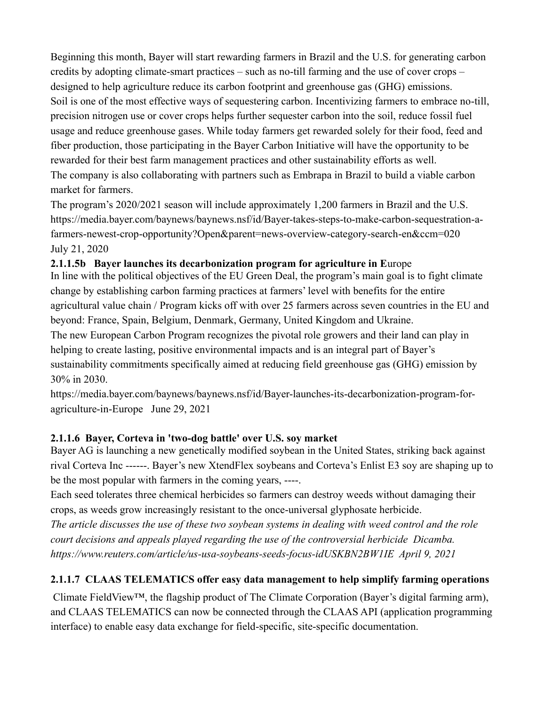Beginning this month, Bayer will start rewarding farmers in Brazil and the U.S. for generating carbon credits by adopting climate-smart practices – such as no-till farming and the use of cover crops – designed to help agriculture reduce its carbon footprint and greenhouse gas (GHG) emissions. Soil is one of the most effective ways of sequestering carbon. Incentivizing farmers to embrace no-till, precision nitrogen use or cover crops helps further sequester carbon into the soil, reduce fossil fuel usage and reduce greenhouse gases. While today farmers get rewarded solely for their food, feed and fiber production, those participating in the Bayer Carbon Initiative will have the opportunity to be rewarded for their best farm management practices and other sustainability efforts as well. The company is also collaborating with partners such as Embrapa in Brazil to build a viable carbon market for farmers.

The program's 2020/2021 season will include approximately 1,200 farmers in Brazil and the U.S. [https://media.bayer.com/baynews/baynews.nsf/id/Bayer-takes-steps-to-make-carbon-sequestration-a](https://media.bayer.com/baynews/baynews.nsf/id/Bayer-takes-steps-to-make-carbon-sequestration-a-farmers-newest-crop-opportunity?Open&parent=news-overview-category-search-en&ccm=020)[farmers-newest-crop-opportunity?Open&parent=news-overview-category-search-en&ccm=020](https://media.bayer.com/baynews/baynews.nsf/id/Bayer-takes-steps-to-make-carbon-sequestration-a-farmers-newest-crop-opportunity?Open&parent=news-overview-category-search-en&ccm=020) July 21, 2020

### **2.1.1.5b Bayer launches its decarbonization program for agriculture in E**urope

In line with the political objectives of the EU Green Deal, the program's main goal is to fight climate change by establishing carbon farming practices at farmers' level with benefits for the entire agricultural value chain / Program kicks off with over 25 farmers across seven countries in the EU and beyond: France, Spain, Belgium, Denmark, Germany, United Kingdom and Ukraine.

The new European Carbon Program recognizes the pivotal role growers and their land can play in helping to create lasting, positive environmental impacts and is an integral part of Bayer's sustainability commitments specifically aimed at reducing field greenhouse gas (GHG) emission by 30% in 2030.

[https://media.bayer.com/baynews/baynews.nsf/id/Bayer-launches-its-decarbonization-program-for](https://media.bayer.com/baynews/baynews.nsf/id/Bayer-launches-its-decarbonization-program-for-agriculture-in-Europe)[agriculture-in-Europe](https://media.bayer.com/baynews/baynews.nsf/id/Bayer-launches-its-decarbonization-program-for-agriculture-in-Europe) June 29, 2021

#### **2.1.1.6 Bayer, Corteva in 'two-dog battle' over U.S. soy market**

Bayer AG is launching a new genetically modified soybean in the United States, striking back against rival Corteva Inc ------. Bayer's new XtendFlex soybeans and Corteva's Enlist E3 soy are shaping up to be the most popular with farmers in the coming years, ----.

Each seed tolerates three chemical herbicides so farmers can destroy weeds without damaging their crops, as weeds grow increasingly resistant to the once-universal glyphosate herbicide.

*The article discusses the use of these two soybean systems in dealing with weed control and the role court decisions and appeals played regarding the use of the controversial herbicide Dicamba. <https://www.reuters.com/article/us-usa-soybeans-seeds-focus-idUSKBN2BW1IE>April 9, 2021*

# **2.1.1.7 CLAAS TELEMATICS offer easy data management to help simplify farming operations**

Climate FieldView™, the flagship product of The Climate Corporation (Bayer's digital farming arm), and CLAAS TELEMATICS can now be connected through the CLAAS API (application programming interface) to enable easy data exchange for field-specific, site-specific documentation.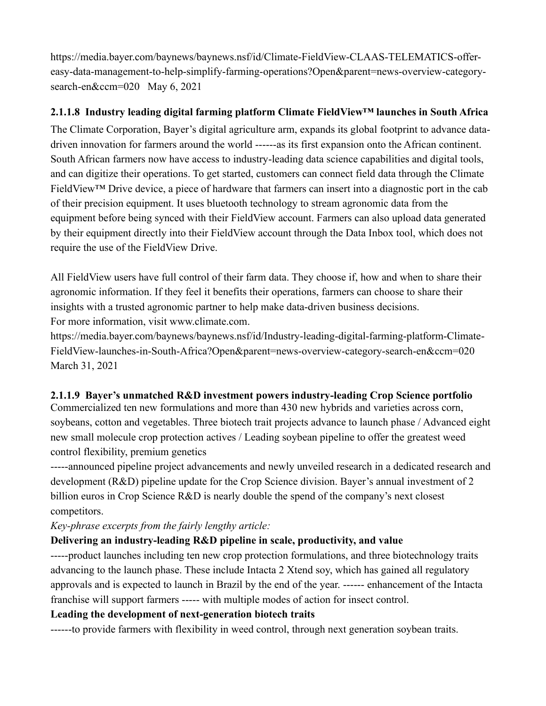[https://media.bayer.com/baynews/baynews.nsf/id/Climate-FieldView-CLAAS-TELEMATICS-offer](https://media.bayer.com/baynews/baynews.nsf/id/Climate-FieldView-CLAAS-TELEMATICS-offer-easy-data-management-to-help-simplify-farming-operations?Open&parent=news-overview-category-search-en&ccm=020)[easy-data-management-to-help-simplify-farming-operations?Open&parent=news-overview-category](https://media.bayer.com/baynews/baynews.nsf/id/Climate-FieldView-CLAAS-TELEMATICS-offer-easy-data-management-to-help-simplify-farming-operations?Open&parent=news-overview-category-search-en&ccm=020)[search-en&ccm=020](https://media.bayer.com/baynews/baynews.nsf/id/Climate-FieldView-CLAAS-TELEMATICS-offer-easy-data-management-to-help-simplify-farming-operations?Open&parent=news-overview-category-search-en&ccm=020) May 6, 2021

# **2.1.1.8 Industry leading digital farming platform Climate FieldView™ launches in South Africa**

The Climate Corporation, Bayer's digital agriculture arm, expands its global footprint to advance datadriven innovation for farmers around the world ------as its first expansion onto the African continent. South African farmers now have access to industry-leading data science capabilities and digital tools, and can digitize their operations. To get started, customers can connect field data through the Climate FieldView™ Drive device, a piece of hardware that farmers can insert into a diagnostic port in the cab of their precision equipment. It uses bluetooth technology to stream agronomic data from the equipment before being synced with their FieldView account. Farmers can also upload data generated by their equipment directly into their FieldView account through the Data Inbox tool, which does not require the use of the FieldView Drive.

All FieldView users have full control of their farm data. They choose if, how and when to share their agronomic information. If they feel it benefits their operations, farmers can choose to share their insights with a trusted agronomic partner to help make data-driven business decisions. For more information, visit [www.climate.com.](http://www.climate.com/)

[https://media.bayer.com/baynews/baynews.nsf/id/Industry-leading-digital-farming-platform-Climate-](https://media.bayer.com/baynews/baynews.nsf/id/Industry-leading-digital-farming-platform-Climate-FieldView-launches-in-South-Africa?Open&parent=news-overview-category-search-en&ccm=020)[FieldView-launches-in-South-Africa?Open&parent=news-overview-category-search-en&ccm=020](https://media.bayer.com/baynews/baynews.nsf/id/Industry-leading-digital-farming-platform-Climate-FieldView-launches-in-South-Africa?Open&parent=news-overview-category-search-en&ccm=020)  March 31, 2021

# **2.1.1.9 Bayer's unmatched R&D investment powers industry-leading Crop Science portfolio**

Commercialized ten new formulations and more than 430 new hybrids and varieties across corn, soybeans, cotton and vegetables. Three biotech trait projects advance to launch phase / Advanced eight new small molecule crop protection actives / Leading soybean pipeline to offer the greatest weed control flexibility, premium genetics

-----announced pipeline project advancements and newly unveiled research in a dedicated research and development (R&D) pipeline update for the Crop Science division. Bayer's annual investment of 2 billion euros in Crop Science R&D is nearly double the spend of the company's next closest competitors.

*Key-phrase excerpts from the fairly lengthy article:*

# **Delivering an industry-leading R&D pipeline in scale, productivity, and value**

-----product launches including ten new crop protection formulations, and three biotechnology traits advancing to the launch phase. These include [Intacta 2 Xtend s](https://plataformaintacta2xtend.com.br/)oy, which has gained all regulatory approvals and is expected to launch in Brazil by the end of the year. ------ enhancement of the Intacta franchise will support farmers ----- with multiple modes of action for insect control.

# **Leading the development of next-generation biotech traits**

------to provide farmers with flexibility in weed control, through next generation soybean traits.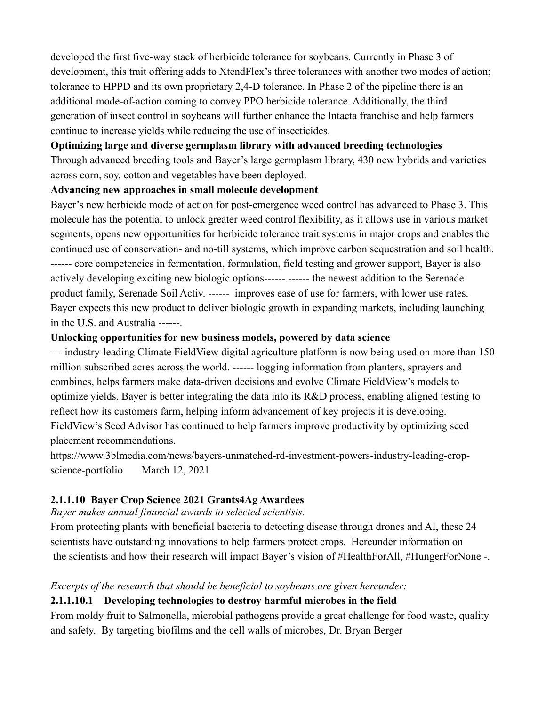developed the first five-way stack of herbicide tolerance for soybeans. Currently in Phase 3 of development, this trait offering adds to XtendFlex's three tolerances with another two modes of action; tolerance to HPPD and its own proprietary 2,4-D tolerance. In Phase 2 of the pipeline there is an additional mode-of-action coming to convey PPO herbicide tolerance. Additionally, the third generation of insect control in soybeans will further enhance the Intacta franchise and help farmers continue to increase yields while reducing the use of insecticides.

#### **Optimizing large and diverse germplasm library with advanced breeding technologies**

Through advanced breeding tools and Bayer's large germplasm library, 430 new hybrids and varieties across corn, soy, cotton and vegetables have been deployed.

#### **Advancing new approaches in small molecule development**

Bayer's new herbicide mode of action for post-emergence weed control has advanced to Phase 3. This molecule has the potential to unlock greater weed control flexibility, as it allows use in various market segments, opens new opportunities for herbicide tolerance trait systems in major crops and enables the continued use of conservation- and no-till systems, which improve carbon sequestration and soil health. ------ core competencies in fermentation, formulation, field testing and grower support, Bayer is also actively developing exciting new biologic options------.-------- the newest addition to the Serenade product family, Serenade Soil Activ. ------ improves ease of use for farmers, with lower use rates. Bayer expects this new product to deliver biologic growth in expanding markets, including launching in the U.S. and Australia ------.

#### **Unlocking opportunities for new business models, powered by data science**

----industry-leading [Climate FieldView](https://climate.com/) digital agriculture platform is now being used on more than 150 million subscribed acres across the world. ------ logging information from planters, sprayers and combines, helps farmers make data-driven decisions and evolve Climate FieldView's models to optimize yields. Bayer is better integrating the data into its R&D process, enabling aligned testing to reflect how its customers farm, helping inform advancement of key projects it is developing. FieldView's [Seed Advisor h](https://climate.com/newsroom/predictive-seed-placement-technology)as continued to help farmers improve productivity by optimizing seed placement recommendations.

https://www.3blmedia.com/news/bayers-unmatched-rd-investment-powers-industry-leading-cropscience-portfolio March 12, 2021

#### **2.1.1.10 Bayer Crop Science 2021 Grants4Ag Awardees**

*Bayer makes annual financial awards to selected scientists.*

From protecting plants with beneficial bacteria to detecting disease through drones and AI, these 24 scientists have outstanding innovations to help farmers protect crops. Hereunder information on the scientists and how their research will impact Bayer's vision of #HealthForAll, #HungerForNone -.

#### *Excerpts of the research that should be beneficial to soybeans are given hereunder:*

#### **2.1.1.10.1 Developing technologies to destroy harmful microbes in the field**

From moldy fruit to Salmonella, microbial pathogens provide a great challenge for food waste, quality and safety. By targeting biofilms and the cell walls of microbes, [Dr. Bryan Berger](https://www.halo.science/profile/bryan-berger-1915)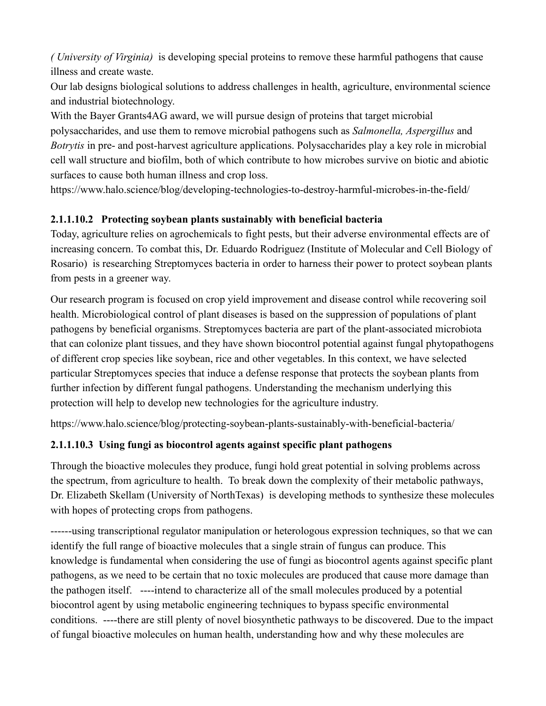*( University of Virginia)* is developing special proteins to remove these harmful pathogens that cause illness and create waste.

Our lab designs biological solutions to address challenges in health, agriculture, environmental science and industrial biotechnology.

With the Bayer Grants4AG award, we will pursue design of proteins that target microbial polysaccharides, and use them to remove microbial pathogens such as *Salmonella, Aspergillus* and *Botrytis* in pre- and post-harvest agriculture applications. Polysaccharides play a key role in microbial cell wall structure and biofilm, both of which contribute to how microbes survive on biotic and abiotic surfaces to cause both human illness and crop loss.

<https://www.halo.science/blog/developing-technologies-to-destroy-harmful-microbes-in-the-field/>

# **2.1.1.10.2 Protecting soybean plants sustainably with beneficial bacteria**

Today, agriculture relies on agrochemicals to fight pests, but their adverse environmental effects are of increasing concern. To combat this, [Dr. Eduardo Rodriguez](https://www.halo.science/profile/eduardo-rodriguez-1651) (Institute of Molecular and Cell Biology of Rosario) is researching Streptomyces bacteria in order to harness their power to protect soybean plants from pests in a greener way.

Our research program is focused on crop yield improvement and disease control while recovering soil health. Microbiological control of plant diseases is based on the suppression of populations of plant pathogens by beneficial organisms. Streptomyces bacteria are part of the plant-associated microbiota that can colonize plant tissues, and they have shown biocontrol potential against fungal phytopathogens of different crop species like soybean, rice and other vegetables. In this context, we have selected particular Streptomyces species that induce a defense response that protects the soybean plants from further infection by different fungal pathogens. Understanding the mechanism underlying this protection will help to develop new technologies for the agriculture industry.

<https://www.halo.science/blog/protecting-soybean-plants-sustainably-with-beneficial-bacteria/>

# **2.1.1.10.3 Using fungi as biocontrol agents against specific plant pathogens**

Through the bioactive molecules they produce, fungi hold great potential in solving problems across the spectrum, from agriculture to health. To break down the complexity of their metabolic pathways, [Dr. Elizabeth Skellam](https://www.halo.science/profile/elizabeth-skellam-1969) (University of NorthTexas) is developing methods to synthesize these molecules with hopes of protecting crops from pathogens.

------using transcriptional regulator manipulation or heterologous expression techniques, so that we can identify the full range of bioactive molecules that a single strain of fungus can produce. This knowledge is fundamental when considering the use of fungi as biocontrol agents against specific plant pathogens, as we need to be certain that no toxic molecules are produced that cause more damage than the pathogen itself. ----intend to characterize all of the small molecules produced by a potential biocontrol agent by using metabolic engineering techniques to bypass specific environmental conditions. ----there are still plenty of novel biosynthetic pathways to be discovered. Due to the impact of fungal bioactive molecules on human health, understanding how and why these molecules are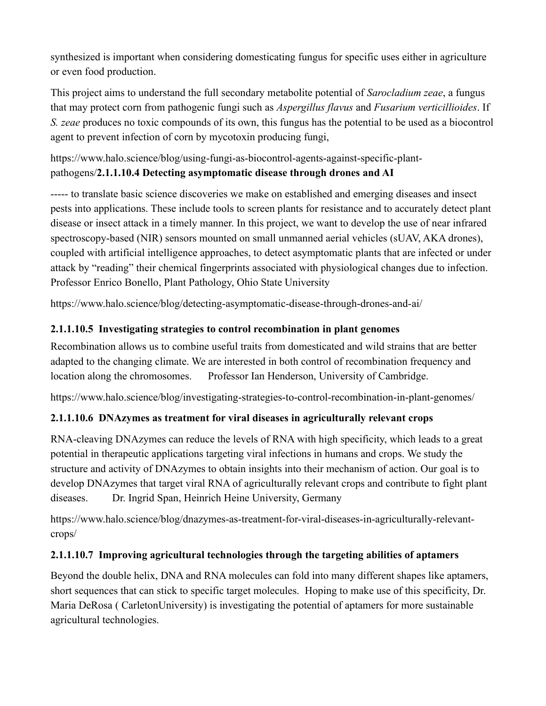synthesized is important when considering domesticating fungus for specific uses either in agriculture or even food production.

This project aims to understand the full secondary metabolite potential of *Sarocladium zeae*, a fungus that may protect corn from pathogenic fungi such as *Aspergillus flavus* and *Fusarium verticillioides*. If *S. zeae* produces no toxic compounds of its own, this fungus has the potential to be used as a biocontrol agent to prevent infection of corn by mycotoxin producing fungi,

[https://www.halo.science/blog/using-fungi-as-biocontrol-agents-against-specific-plant](https://www.halo.science/blog/using-fungi-as-biocontrol-agents-against-specific-plant-pathogens/)[pathogens/](https://www.halo.science/blog/using-fungi-as-biocontrol-agents-against-specific-plant-pathogens/)**2.1.1.10.4 Detecting asymptomatic disease through drones and AI**

----- to translate basic science discoveries we make on established and emerging diseases and insect pests into applications. These include tools to screen plants for resistance and to accurately detect plant disease or insect attack in a timely manner. In this project, we want to develop the use of near infrared spectroscopy-based (NIR) sensors mounted on small unmanned aerial vehicles (sUAV, AKA drones), coupled with artificial intelligence approaches, to detect asymptomatic plants that are infected or under attack by "reading" their chemical fingerprints associated with physiological changes due to infection. Professor Enrico Bonello, Plant Pathology, Ohio State University

<https://www.halo.science/blog/detecting-asymptomatic-disease-through-drones-and-ai/>

# **2.1.1.10.5 Investigating strategies to control recombination in plant genomes**

Recombination allows us to combine useful traits from domesticated and wild strains that are better adapted to the changing climate. We are interested in both control of recombination frequency and location along the chromosomes. Professor Ian Henderson, University of Cambridge.

https://www.halo.science/blog/investigating-strategies-to-control-recombination-in-plant-genomes/

# **2.1.1.10.6 DNAzymes as treatment for viral diseases in agriculturally relevant crops**

RNA-cleaving DNAzymes can reduce the levels of RNA with high specificity, which leads to a great potential in therapeutic applications targeting viral infections in humans and crops. We study the structure and activity of DNAzymes to obtain insights into their mechanism of action. Our goal is to develop DNAzymes that target viral RNA of agriculturally relevant crops and contribute to fight plant diseases. Dr. Ingrid Span, Heinrich Heine University, Germany

[https://www.halo.science/blog/dnazymes-as-treatment-for-viral-diseases-in-agriculturally-relevant](https://www.halo.science/blog/dnazymes-as-treatment-for-viral-diseases-in-agriculturally-relevant-crops/)[crops/](https://www.halo.science/blog/dnazymes-as-treatment-for-viral-diseases-in-agriculturally-relevant-crops/)

# **2.1.1.10.7 Improving agricultural technologies through the targeting abilities of aptamers**

Beyond the double helix, DNA and RNA molecules can fold into many different shapes like aptamers, short sequences that can stick to specific target molecules. Hoping to make use of this specificity, [Dr.](https://www.halo.science/profile/maria-derosa-1746)  [Maria DeRosa](https://www.halo.science/profile/maria-derosa-1746) ( CarletonUniversity) is investigating the potential of aptamers for more sustainable agricultural technologies.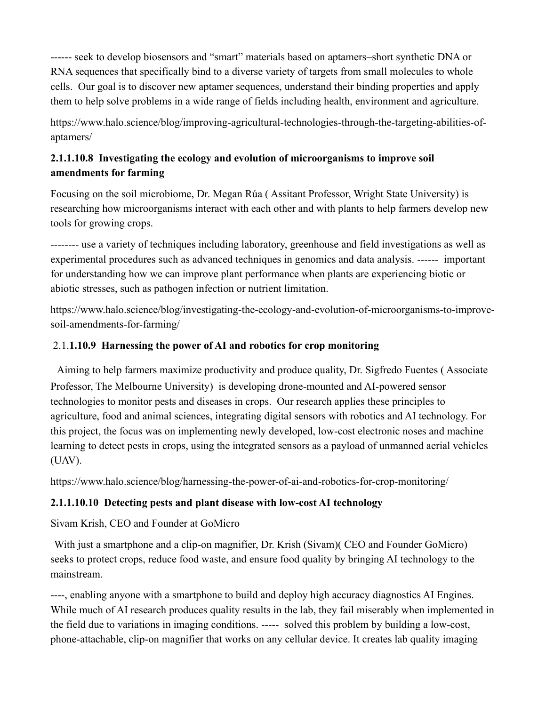------ seek to develop biosensors and "smart" materials based on aptamers–short synthetic DNA or RNA sequences that specifically bind to a diverse variety of targets from small molecules to whole cells. Our goal is to discover new aptamer sequences, understand their binding properties and apply them to help solve problems in a wide range of fields including health, environment and agriculture.

[https://www.halo.science/blog/improving-agricultural-technologies-through-the-targeting-abilities-of](https://www.halo.science/blog/improving-agricultural-technologies-through-the-targeting-abilities-of-aptamers/)[aptamers/](https://www.halo.science/blog/improving-agricultural-technologies-through-the-targeting-abilities-of-aptamers/)

# **2.1.1.10.8 Investigating the ecology and evolution of microorganisms to improve soil amendments for farming**

Focusing on the soil microbiome, [Dr. Megan Rúa](https://www.halo.science/profile/megan-rua-1784) ( Assitant Professor, Wright State University) is researching how microorganisms interact with each other and with plants to help farmers develop new tools for growing crops.

-------- use a variety of techniques including laboratory, greenhouse and field investigations as well as experimental procedures such as advanced techniques in genomics and data analysis. ------ important for understanding how we can improve plant performance when plants are experiencing biotic or abiotic stresses, such as pathogen infection or nutrient limitation.

[https://www.halo.science/blog/investigating-the-ecology-and-evolution-of-microorganisms-to-improve](https://www.halo.science/blog/investigating-the-ecology-and-evolution-of-microorganisms-to-improve-soil-amendments-for-farming/)[soil-amendments-for-farming/](https://www.halo.science/blog/investigating-the-ecology-and-evolution-of-microorganisms-to-improve-soil-amendments-for-farming/)

# 2.1.**1.10.9 Harnessing the power of AI and robotics for crop monitoring**

Aiming to help farmers maximize productivity and produce quality, [Dr. Sigfredo Fuentes](https://www.halo.science/profile/sigfredo-fuentes-1352) ( Associate Professor, The Melbourne University) is developing drone-mounted and AI-powered sensor technologies to monitor pests and diseases in crops. Our research applies these principles to agriculture, food and animal sciences, integrating digital sensors with robotics and AI technology. For this project, the focus was on implementing newly developed, low-cost electronic noses and machine learning to detect pests in crops, using the integrated sensors as a payload of unmanned aerial vehicles (UAV).

https://www.halo.science/blog/harnessing-the-power-of-ai-and-robotics-for-crop-monitoring/

# **2.1.1.10.10 Detecting pests and plant disease with low-cost AI technology**

Sivam Krish, CEO and Founder at GoMicro

With just a smartphone and a clip-on magnifier, [Dr. Krish](https://www.halo.science/profile/sivam-krish-2381) (Sivam)( CEO and Founder GoMicro) seeks to protect crops, reduce food waste, and ensure food quality by bringing AI technology to the mainstream.

----, enabling anyone with a smartphone to build and deploy high accuracy diagnostics AI Engines. While much of AI research produces quality results in the lab, they fail miserably when implemented in the field due to variations in imaging conditions. ----- solved this problem by building a low-cost, phone-attachable, clip-on magnifier that works on any cellular device. It creates lab quality imaging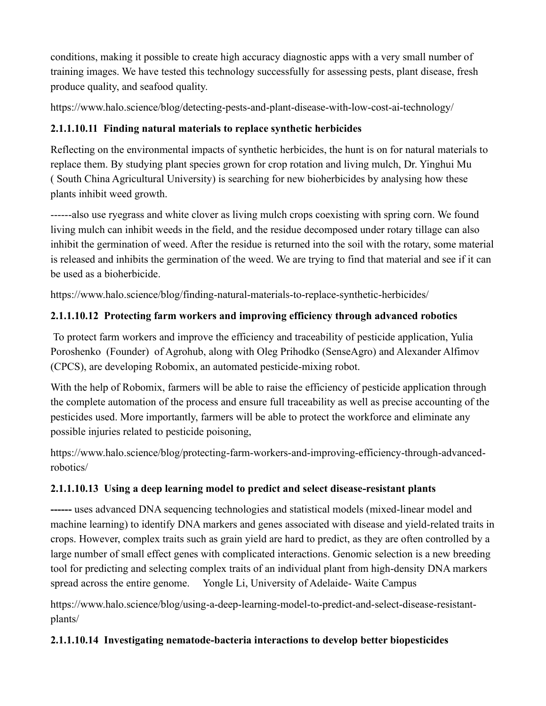conditions, making it possible to create high accuracy diagnostic apps with a very small number of training images. We have tested this technology successfully for assessing pests, plant disease, fresh produce quality, and seafood quality.

<https://www.halo.science/blog/detecting-pests-and-plant-disease-with-low-cost-ai-technology/>

# **2.1.1.10.11 Finding natural materials to replace synthetic herbicides**

Reflecting on the environmental impacts of synthetic herbicides, the hunt is on for natural materials to replace them. By studying plant species grown for crop rotation and living mulch, [Dr. Yinghui Mu](https://www.halo.science/profile/yinghui-mu-1441) ( South China Agricultural University) is searching for new bioherbicides by analysing how these plants inhibit weed growth.

------also use ryegrass and white clover as living mulch crops coexisting with spring corn. We found living mulch can inhibit weeds in the field, and the residue decomposed under rotary tillage can also inhibit the germination of weed. After the residue is returned into the soil with the rotary, some material is released and inhibits the germination of the weed. We are trying to find that material and see if it can be used as a bioherbicide.

<https://www.halo.science/blog/finding-natural-materials-to-replace-synthetic-herbicides/>

# **2.1.1.10.12 Protecting farm workers and improving efficiency through advanced robotics**

To protect farm workers and improve the efficiency and traceability of pesticide application, [Yulia](https://www.halo.science/profile/yulia-poroshenko-1381)  [Poroshenko](https://www.halo.science/profile/yulia-poroshenko-1381) (Founder) of Agrohub, along with Oleg Prihodko (SenseAgro) and Alexander Alfimov (CPCS), are developing Robomix, an automated pesticide-mixing robot.

With the help of Robomix, farmers will be able to raise the efficiency of pesticide application through the complete automation of the process and ensure full traceability as well as precise accounting of the pesticides used. More importantly, farmers will be able to protect the workforce and eliminate any possible injuries related to pesticide poisoning,

[https://www.halo.science/blog/protecting-farm-workers-and-improving-efficiency-through-advanced](https://www.halo.science/blog/protecting-farm-workers-and-improving-efficiency-through-advanced-robotics/)[robotics/](https://www.halo.science/blog/protecting-farm-workers-and-improving-efficiency-through-advanced-robotics/)

# **2.1.1.10.13 Using a deep learning model to predict and select disease-resistant plants**

**------** uses advanced DNA sequencing technologies and statistical models (mixed-linear model and machine learning) to identify DNA markers and genes associated with disease and yield-related traits in crops. However, complex traits such as grain yield are hard to predict, as they are often controlled by a large number of small effect genes with complicated interactions. Genomic selection is a new breeding tool for predicting and selecting complex traits of an individual plant from high-density DNA markers spread across the entire genome. Yongle Li, University of Adelaide- Waite Campus

[https://www.halo.science/blog/using-a-deep-learning-model-to-predict-and-select-disease-resistant](https://www.halo.science/blog/using-a-deep-learning-model-to-predict-and-select-disease-resistant-plants/)[plants/](https://www.halo.science/blog/using-a-deep-learning-model-to-predict-and-select-disease-resistant-plants/)

# **2.1.1.10.14 Investigating nematode-bacteria interactions to develop better biopesticides**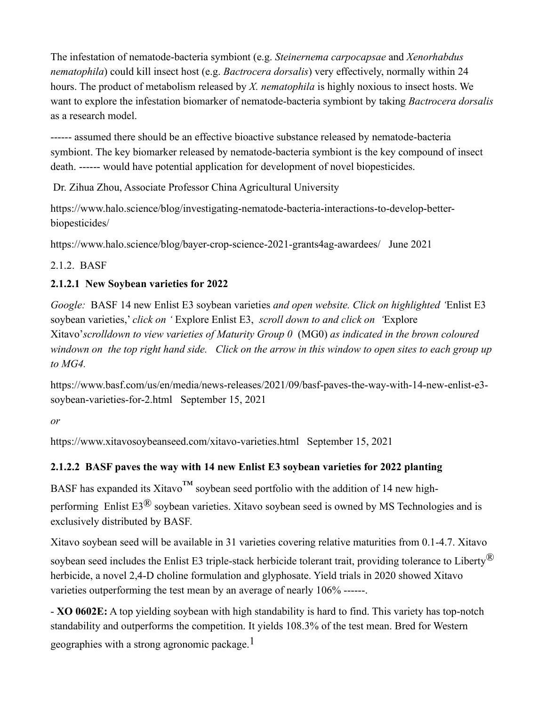The infestation of nematode-bacteria symbiont (e.g. *Steinernema carpocapsae* and *Xenorhabdus nematophila*) could kill insect host (e.g. *Bactrocera dorsalis*) very effectively, normally within 24 hours. The product of metabolism released by *X. nematophila* is highly noxious to insect hosts. We want to explore the infestation biomarker of nematode-bacteria symbiont by taking *Bactrocera dorsalis*  as a research model.

------ assumed there should be an effective bioactive substance released by nematode-bacteria symbiont. The key biomarker released by nematode-bacteria symbiont is the key compound of insect death. ------ would have potential application for development of novel biopesticides.

Dr. Zihua Zhou, Associate Professor China Agricultural University

[https://www.halo.science/blog/investigating-nematode-bacteria-interactions-to-develop-better](https://www.halo.science/blog/investigating-nematode-bacteria-interactions-to-develop-better-biopesticides/)[biopesticides/](https://www.halo.science/blog/investigating-nematode-bacteria-interactions-to-develop-better-biopesticides/) 

<https://www.halo.science/blog/bayer-crop-science-2021-grants4ag-awardees/>June 2021

# 2.1.2. BASF

# **2.1.2.1 New Soybean varieties for 2022**

*Google:* BASF 14 new Enlist E3 soybean varieties *and open website. Click on highlighted '*Enlist E3 soybean varieties,' *click on '* Explore Enlist E3, *scroll down to and click on '*Explore Xitavo'*scrolldown to view varieties of Maturity Group 0* (MG0) *as indicated in the brown coloured windown on the top right hand side. Click on the arrow in this window to open sites to each group up to MG4.*

[https://www.basf.com/us/en/media/news-releases/2021/09/basf-paves-the-way-with-14-new-enlist-e3](https://www.basf.com/us/en/media/news-releases/2021/09/basf-paves-the-way-with-14-new-enlist-e3-soybean-varieties-for-2.html) [soybean-varieties-for-2.html](https://www.basf.com/us/en/media/news-releases/2021/09/basf-paves-the-way-with-14-new-enlist-e3-soybean-varieties-for-2.html) September 15, 2021

*or*

https://www.xitavosoybeanseed.com/xitavo-varieties.html September 15, 2021

# **2.1.2.2 BASF paves the way with 14 new Enlist E3 soybean varieties for 2022 planting**

BASF has expanded its Xitavo<sup>™</sup> soybean seed portfolio with the addition of 14 new highperforming [Enlist E3](https://www.xitavosoybeanseed.com/)[®](https://www.xitavosoybeanseed.com/) [soybean varieties.](https://www.xitavosoybeanseed.com/) Xitavo soybean seed is owned by MS Technologies and is exclusively distributed by BASF.

Xitavo soybean seed will be available in 31 varieties covering relative maturities from 0.1-4.7. Xitavo soybean seed includes the Enlist E3 triple-stack herbicide tolerant trait, providing tolerance to Liberty<sup>®</sup> herbicide, a novel 2,4-D choline formulation and glyphosate. Yield trials in 2020 showed Xitavo varieties outperforming the test mean by an average of nearly 106% ------.

- **XO 0602E:** A top yielding soybean with high standability is hard to find. This variety has top-notch standability and outperforms the competition. It yields 108.3% of the test mean. Bred for Western geographies with a strong agronomic package.<sup>1</sup>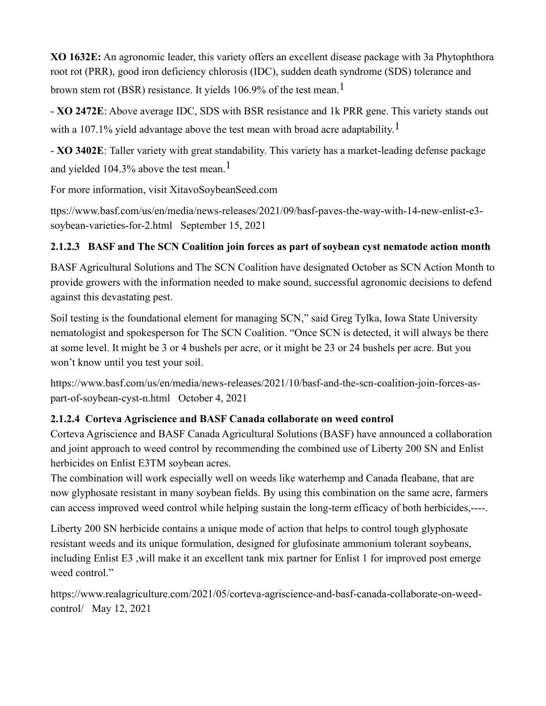**XO 1632E:** An agronomic leader, this variety offers an excellent disease package with 3a Phytophthora root rot (PRR), good iron deficiency chlorosis (IDC), sudden death syndrome (SDS) tolerance and brown stem rot (BSR) resistance. It yields 106.9% of the test mean.<sup>1</sup>

- **XO 2472E**: Above average IDC, SDS with BSR resistance and 1k PRR gene. This variety stands out with a 107.1% yield advantage above the test mean with broad acre adaptability.<sup>1</sup>

- **XO 3402E**: Taller variety with great standability. This variety has a market-leading defense package and yielded 104.3% above the test mean.<sup>1</sup>

For more information, visit [XitavoSoybeanSeed.com](https://www.xitavosoybeanseed.com/)

ttps://www.basf.com/us/en/media/news-releases/2021/09/basf-paves-the-way-with-14-new-enlist-e3 soybean-varieties-for-2.html September 15, 2021

# **2.1.2.3 BASF and The SCN Coalition join forces as part of soybean cyst nematode action month**

BASF Agricultural Solutions and The SCN Coalition have designated October as SCN Action Month to provide growers with the information needed to make sound, successful agronomic decisions to defend against this devastating pest.

Soil testing is the foundational element for managing SCN," said Greg Tylka, Iowa State University nematologist and spokesperson for The SCN Coalition. "Once SCN is detected, it will always be there at some level. It might be 3 or 4 bushels per acre, or it might be 23 or 24 bushels per acre. But you won't know until you test your soil.

[https://www.basf.com/us/en/media/news-releases/2021/10/basf-and-the-scn-coalition-join-forces-as](https://www.basf.com/us/en/media/news-releases/2021/10/basf-and-the-scn-coalition-join-forces-as-part-of-soybean-cyst-n.html)[part-of-soybean-cyst-n.html](https://www.basf.com/us/en/media/news-releases/2021/10/basf-and-the-scn-coalition-join-forces-as-part-of-soybean-cyst-n.html) October 4, 2021

# **2.1.2.4 Corteva Agriscience and BASF Canada collaborate on weed control**

Corteva Agriscience and BASF Canada Agricultural Solutions (BASF) have announced a collaboration and joint approach to weed control by recommending the combined use of Liberty 200 SN and Enlist herbicides on Enlist E3TM soybean acres.

The combination will work especially well on weeds like waterhemp and Canada fleabane, that are now glyphosate resistant in many soybean fields. By using this combination on the same acre, farmers can access improved weed control while helping sustain the long-term efficacy of both herbicides,----.

Liberty 200 SN herbicide contains a unique mode of action that helps to control tough glyphosate resistant weeds and its unique formulation, designed for glufosinate ammonium tolerant soybeans, including Enlist E3 ,will make it an excellent tank mix partner for Enlist 1 for improved post emerge weed control."

[https://www.realagriculture.com/2021/05/corteva-agriscience-and-basf-canada-collaborate-on-weed](https://www.realagriculture.com/2021/05/corteva-agriscience-and-basf-canada-collaborate-on-weed-control/)[control/](https://www.realagriculture.com/2021/05/corteva-agriscience-and-basf-canada-collaborate-on-weed-control/) May 12, 2021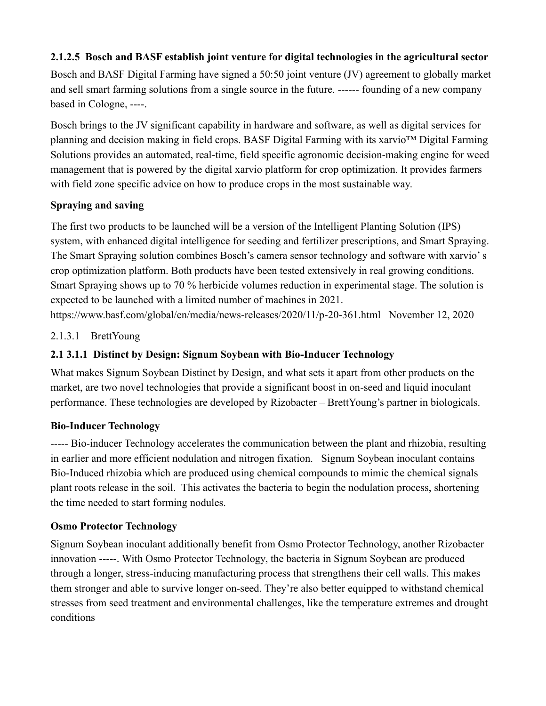# **2.1.2.5 Bosch and BASF establish joint venture for digital technologies in the agricultural sector**

Bosch and BASF Digital Farming have signed a 50:50 joint venture (JV) agreement to globally market and sell smart farming solutions from a single source in the future. ------ founding of a new company based in Cologne, ----.

Bosch brings to the JV significant capability in hardware and software, as well as digital services for planning and decision making in field crops. BASF Digital Farming with its xarvio™ Digital Farming Solutions provides an automated, real-time, field specific agronomic decision-making engine for weed management that is powered by the digital xarvio platform for crop optimization. It provides farmers with field zone specific advice on how to produce crops in the most sustainable way.

### **Spraying and saving**

The first two products to be launched will be a version of the Intelligent Planting Solution (IPS) system, with enhanced digital intelligence for seeding and fertilizer prescriptions, and Smart Spraying. The Smart Spraying solution combines Bosch's camera sensor technology and software with xarvio' s crop optimization platform. Both products have been tested extensively in real growing conditions. Smart Spraying shows up to 70 % herbicide volumes reduction in experimental stage. The solution is expected to be launched with a limited number of machines in 2021.

<https://www.basf.com/global/en/media/news-releases/2020/11/p-20-361.html>November 12, 2020

### 2.1.3.1 BrettYoung

## **2.1 3.1.1 Distinct by Design: Signum Soybean with Bio-Inducer Technology**

What makes Signum Soybean Distinct by Design, and what sets it apart from other products on the market, are two novel technologies that provide a significant boost in on-seed and liquid inoculant performance. These technologies are developed by [Rizobacter](https://www.brettyoung.ca/west-canada-seed-crop-inputs/biologicals/rizobacter) – BrettYoung's partner in biologicals.

#### **Bio-Inducer Technology**

----- Bio-inducer Technology accelerates the communication between the plant and rhizobia, resulting in earlier and more efficient nodulation and nitrogen fixation. Signum Soybean inoculant contains Bio-Induced rhizobia which are produced using chemical compounds to mimic the chemical signals plant roots release in the soil. This activates the bacteria to begin the nodulation process, shortening the time needed to start forming nodules.

#### **Osmo Protector Technology**

Signum Soybean inoculant additionally benefit from Osmo Protector Technology, another Rizobacter innovation -----. With Osmo Protector Technology, the bacteria in Signum Soybean are produced through a longer, stress-inducing manufacturing process that strengthens their cell walls. This makes them stronger and able to survive longer on-seed. They're also better equipped to withstand chemical stresses from seed treatment and environmental challenges, like the temperature extremes and drought conditions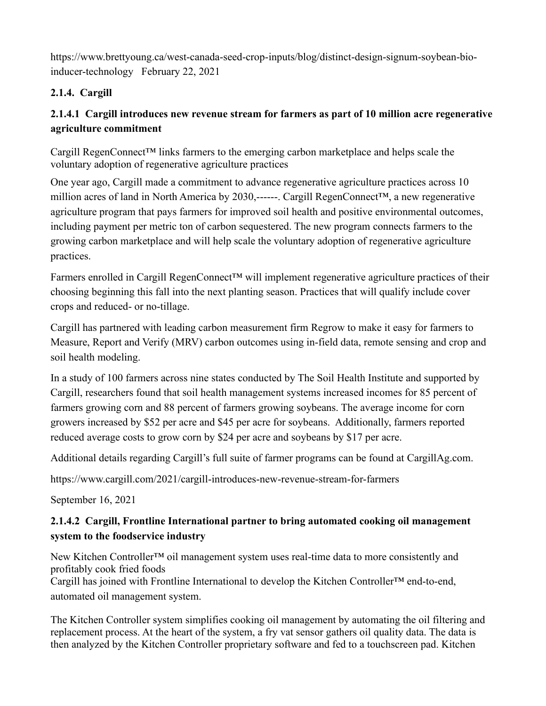[https://www.brettyoung.ca/west-canada-seed-crop-inputs/blog/distinct-design-signum-soybean-bio](https://www.brettyoung.ca/west-canada-seed-crop-inputs/blog/distinct-design-signum-soybean-bio-inducer-technology)[inducer-technology](https://www.brettyoung.ca/west-canada-seed-crop-inputs/blog/distinct-design-signum-soybean-bio-inducer-technology) February 22, 2021

# **2.1.4. Cargill**

# **2.1.4.1 Cargill introduces new revenue stream for farmers as part of 10 million acre regenerative agriculture commitment**

Cargill RegenConnect™ links farmers to the emerging carbon marketplace and helps scale the voluntary adoption of regenerative agriculture practices

One year ago, Cargill made a commitment to advance regenerative agriculture practices across 10 million acres of land in North America by 2030,------. Cargill RegenConnect™, a new regenerative agriculture program that pays farmers for improved soil health and positive environmental outcomes, including payment per metric ton of carbon sequestered. The new program connects farmers to the growing carbon marketplace and will help scale the voluntary adoption of regenerative agriculture practices.

Farmers enrolled in Cargill RegenConnect™ will implement regenerative agriculture practices of their choosing beginning this fall into the next planting season. Practices that will qualify include cover crops and reduced- or no-tillage.

Cargill has partnered with leading carbon measurement firm Regrow to make it easy for farmers to Measure, Report and Verify (MRV) carbon outcomes using in-field data, remote sensing and crop and soil health modeling.

In a study of 100 farmers across nine states conducted by The Soil Health Institute and supported by Cargill, researchers found that soil health management systems increased incomes for 85 percent of farmers growing corn and 88 percent of farmers growing soybeans. The average income for corn growers increased by \$52 per acre and \$45 per acre for soybeans. Additionally, farmers reported reduced average costs to grow corn by \$24 per acre and soybeans by \$17 per acre.

Additional details regarding Cargill's full suite of farmer programs can be found at [CargillAg.com.](http://cargillag.com/)

<https://www.cargill.com/2021/cargill-introduces-new-revenue-stream-for-farmers>

September 16, 2021

# **2.1.4.2 Cargill, Frontline International partner to bring automated cooking oil management system to the foodservice industry**

New Kitchen Controller<sup>™</sup> oil management system uses real-time data to more consistently and profitably cook fried foods

Cargill has joined with Frontline International to develop the Kitchen Controller™ end-to-end, automated oil management system.

The Kitchen Controller system simplifies cooking oil management by automating the oil filtering and replacement process. At the heart of the system, a fry vat sensor gathers oil quality data. The data is then analyzed by the Kitchen Controller proprietary software and fed to a touchscreen pad. Kitchen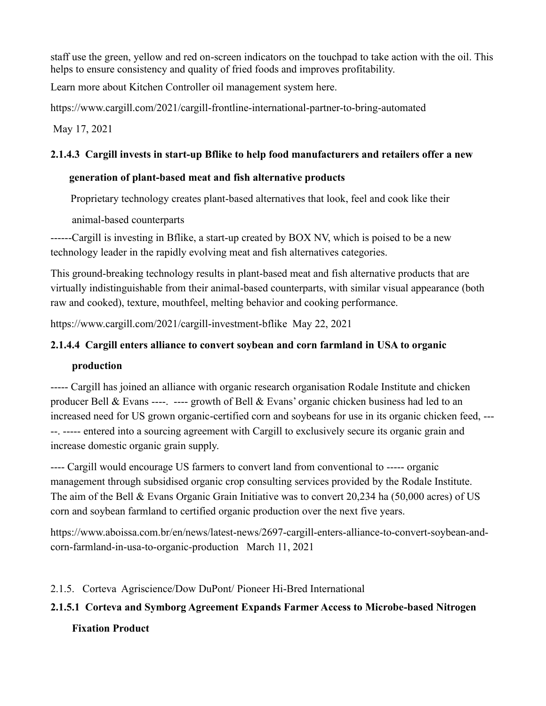staff use the green, yellow and red on-screen indicators on the touchpad to take action with the oil. This helps to ensure consistency and quality of fried foods and improves profitability.

Learn more about Kitchen Controller oil management system [here.](http://kitchencontrollersystem.com/)

<https://www.cargill.com/2021/cargill-frontline-international-partner-to-bring-automated>

May 17, 2021

# **2.1.4.3 Cargill invests in start-up Bflike to help food manufacturers and retailers offer a new**

### **generation of plant-based meat and fish alternative products**

Proprietary technology creates plant-based alternatives that look, feel and cook like their

animal-based counterparts

------Cargill is investing in Bflike, a start-up created by BOX NV, which is poised to be a new technology leader in the rapidly evolving meat and fish alternatives categories.

This ground-breaking technology results in plant-based meat and fish alternative products that are virtually indistinguishable from their animal-based counterparts, with similar visual appearance (both raw and cooked), texture, mouthfeel, melting behavior and cooking performance.

<https://www.cargill.com/2021/cargill-investment-bflike>May 22, 2021

### **2.1.4.4 Cargill enters alliance to convert soybean and corn farmland in USA to organic**

# **production**

----- Cargill has joined an alliance with organic research organisation Rodale Institute and chicken producer Bell & Evans ----. ---- growth of Bell & Evans' organic chicken business had led to an increased need for US grown organic-certified corn and soybeans for use in its organic chicken feed, --- --. ----- entered into a sourcing agreement with Cargill to exclusively secure its organic grain and increase domestic organic grain supply.

---- Cargill would encourage US farmers to convert land from conventional to ----- organic management through subsidised organic crop consulting services provided by the Rodale Institute. The aim of the Bell & Evans Organic Grain Initiative was to convert 20,234 ha (50,000 acres) of US corn and soybean farmland to certified organic production over the next five years.

[https://www.aboissa.com.br/en/news/latest-news/2697-cargill-enters-alliance-to-convert-soybean-and](https://www.aboissa.com.br/en/news/latest-news/2697-cargill-enters-alliance-to-convert-soybean-and-corn-farmland-in-usa-to-organic-production)[corn-farmland-in-usa-to-organic-production](https://www.aboissa.com.br/en/news/latest-news/2697-cargill-enters-alliance-to-convert-soybean-and-corn-farmland-in-usa-to-organic-production) March 11, 2021

# 2.1.5. Corteva Agriscience/Dow DuPont/ Pioneer Hi-Bred International

# **2.1.5.1 Corteva and Symborg Agreement Expands Farmer Access to Microbe-based Nitrogen Fixation Product**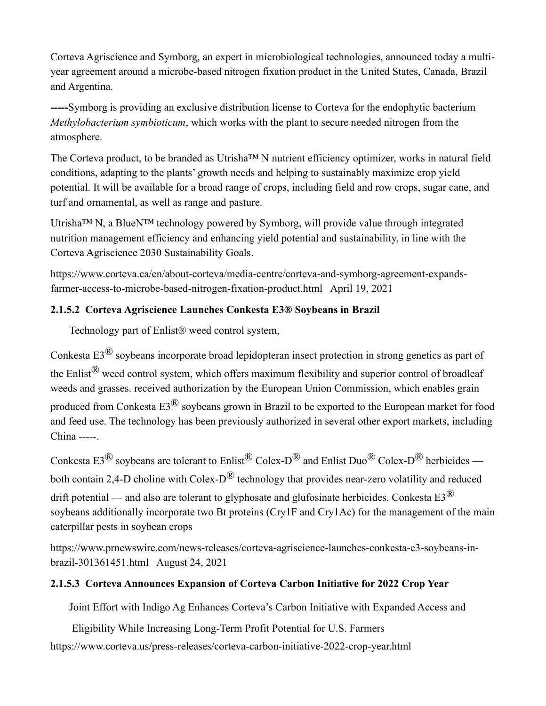Corteva Agriscience and Symborg, an expert in microbiological technologies, announced today a multiyear agreement around a microbe-based nitrogen fixation product in the United States, Canada, Brazil and Argentina.

**-----**Symborg is providing an exclusive distribution license to Corteva for the endophytic bacterium *Methylobacterium symbioticum*, which works with the plant to secure needed nitrogen from the atmosphere.

The Corteva product, to be branded as Utrisha™ N nutrient efficiency optimizer, works in natural field conditions, adapting to the plants' growth needs and helping to sustainably maximize crop yield potential. It will be available for a broad range of crops, including field and row crops, sugar cane, and turf and ornamental, as well as range and pasture.

Utrisha™ N, a BlueN™ technology powered by Symborg, will provide value through integrated nutrition management efficiency and enhancing yield potential and sustainability, in line with the [Corteva Agriscience 2030 Sustainability Goals.](https://www.corteva.com/sustainability.html)

[https://www.corteva.ca/en/about-corteva/media-centre/corteva-and-symborg-agreement-expands](https://www.corteva.ca/en/about-corteva/media-centre/corteva-and-symborg-agreement-expands-farmer-access-to-microbe-based-nitrogen-fixation-product.html)[farmer-access-to-microbe-based-nitrogen-fixation-product.html](https://www.corteva.ca/en/about-corteva/media-centre/corteva-and-symborg-agreement-expands-farmer-access-to-microbe-based-nitrogen-fixation-product.html) April 19, 2021

# **2.1.5.2 Corteva Agriscience Launches Conkesta E3® Soybeans in Brazil**

Technology part of Enlist® weed control system,

Conkesta E3® soybeans incorporate broad lepidopteran insect protection in strong genetics as part of the Enlist® weed control system, which offers maximum flexibility and superior control of broadleaf weeds and grasses. received authorization by the European Union Commission, which enables grain produced from Conkesta E3® soybeans grown in Brazil to be exported to the European market for food and feed use. The technology has been previously authorized in several other export markets, including China -----.

Conkesta E3<sup>®</sup> soybeans are tolerant to Enlist<sup>®</sup> Colex-D<sup>®</sup> and Enlist Duo<sup>®</sup> Colex-D<sup>®</sup> herbicides both contain 2,4-D choline with Colex- $D^{\textcircled{R}}$  technology that provides near-zero volatility and reduced drift potential — and also are tolerant to glyphosate and glufosinate herbicides. Conkesta  $E3^{\circledR}$ soybeans additionally incorporate two Bt proteins (Cry1F and Cry1Ac) for the management of the main caterpillar pests in soybean crops

[https://www.prnewswire.com/news-releases/corteva-agriscience-launches-conkesta-e3-soybeans-in](https://www.prnewswire.com/news-releases/corteva-agriscience-launches-conkesta-e3-soybeans-in-brazil-301361451.html)[brazil-301361451.html](https://www.prnewswire.com/news-releases/corteva-agriscience-launches-conkesta-e3-soybeans-in-brazil-301361451.html) August 24, 2021

# **2.1.5.3 Corteva Announces Expansion of Corteva Carbon Initiative for 2022 Crop Year**

Joint Effort with Indigo Ag Enhances Corteva's Carbon Initiative with Expanded Access and

 Eligibility While Increasing Long-Term Profit Potential for U.S. Farmers <https://www.corteva.us/press-releases/corteva-carbon-initiative-2022-crop-year.html>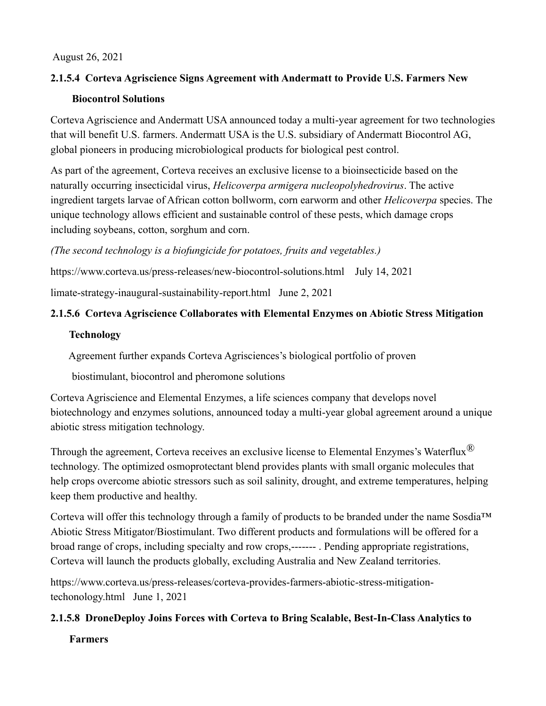#### August 26, 2021

# **2.1.5.4 Corteva Agriscience Signs Agreement with Andermatt to Provide U.S. Farmers New**

#### **Biocontrol Solutions**

Corteva Agriscience and Andermatt USA announced today a multi-year agreement for two technologies that will benefit U.S. farmers. Andermatt USA is the U.S. subsidiary of Andermatt Biocontrol AG, global pioneers in producing microbiological products for biological pest control.

As part of the agreement, Corteva receives an exclusive license to a bioinsecticide based on the naturally occurring insecticidal virus, *Helicoverpa armigera nucleopolyhedrovirus*. The active ingredient targets larvae of African cotton bollworm, corn earworm and other *Helicoverpa* species. The unique technology allows efficient and sustainable control of these pests, which damage crops including soybeans, cotton, sorghum and corn.

### *(The second technology is a biofungicide for potatoes, fruits and vegetables.)*

<https://www.corteva.us/press-releases/new-biocontrol-solutions.html>July 14, 2021

[limate-strategy-inaugural-sustainability-report.html](https://www.corteva.us/press-releases/corteva-announces-enterprise-climate-strategy-inaugural-sustainability-report.html) June 2, 2021

# **2.1.5.6 Corteva Agriscience Collaborates with Elemental Enzymes on Abiotic Stress Mitigation**

#### **Technology**

Agreement further expands Corteva Agrisciences's biological portfolio of proven

biostimulant, biocontrol and pheromone solutions

Corteva Agriscience and Elemental Enzymes, a life sciences company that develops novel biotechnology and enzymes solutions, announced today a multi-year global agreement around a unique abiotic stress mitigation technology.

Through the agreement, Corteva receives an exclusive license to Elemental Enzymes's Waterflux<sup>®</sup> technology. The optimized osmoprotectant blend provides plants with small organic molecules that help crops overcome abiotic stressors such as soil salinity, drought, and extreme temperatures, helping keep them productive and healthy.

Corteva will offer this technology through a family of products to be branded under the name Sosdia™ Abiotic Stress Mitigator/Biostimulant. Two different products and formulations will be offered for a broad range of crops, including specialty and row crops,------- . Pending appropriate registrations, Corteva will launch the products globally, excluding Australia and New Zealand territories.

[https://www.corteva.us/press-releases/corteva-provides-farmers-abiotic-stress-mitigation](https://www.corteva.us/press-releases/corteva-provides-farmers-abiotic-stress-mitigation-techonology.html)[techonology.html](https://www.corteva.us/press-releases/corteva-provides-farmers-abiotic-stress-mitigation-techonology.html) June 1, 2021

# **2.1.5.8 DroneDeploy Joins Forces with Corteva to Bring Scalable, Best-In-Class Analytics to**

 **Farmers**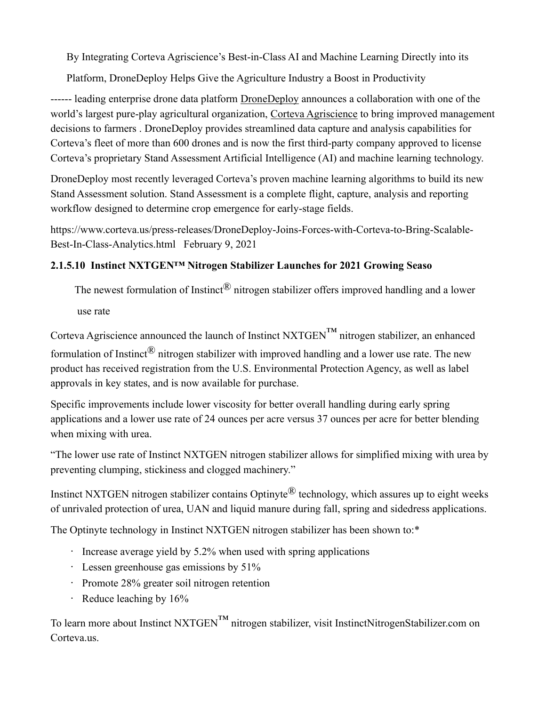By Integrating Corteva Agriscience's Best-in-Class AI and Machine Learning Directly into its

Platform, DroneDeploy Helps Give the Agriculture Industry a Boost in Productivity

------ leading enterprise drone data platform [DroneDeploy](https://www.dronedeploy.com/) announces a collaboration with one of the world's largest pure-play agricultural organization, [Corteva Agriscience](https://www.corteva.com/) to bring improved management decisions to farmers . DroneDeploy provides streamlined data capture and analysis capabilities for Corteva's fleet of more than 600 drones and is now the first third-party company approved to license Corteva's proprietary Stand Assessment Artificial Intelligence (AI) and machine learning technology.

DroneDeploy most recently leveraged Corteva's proven machine learning algorithms to build its new Stand Assessment solution. Stand Assessment is a complete flight, capture, analysis and reporting workflow designed to determine crop emergence for early-stage fields.

[https://www.corteva.us/press-releases/DroneDeploy-Joins-Forces-with-Corteva-to-Bring-Scalable-](https://www.corteva.us/press-releases/DroneDeploy-Joins-Forces-with-Corteva-to-Bring-Scalable-Best-In-Class-Analytics.ht)[Best-In-Class-Analytics.htm](https://www.corteva.us/press-releases/DroneDeploy-Joins-Forces-with-Corteva-to-Bring-Scalable-Best-In-Class-Analytics.ht)l February 9, 2021

# **2.1.5.10 Instinct NXTGEN™ Nitrogen Stabilizer Launches for 2021 Growing Seaso**

The newest formulation of Instinct<sup>®</sup> nitrogen stabilizer offers improved handling and a lower use rate

Corteva Agriscience announced the launch of Instinct  $NXTGEN^{TM}$  nitrogen stabilizer, an enhanced formulation of Instinct<sup>®</sup> nitrogen stabilizer with improved handling and a lower use rate. The new product has received registration from the U.S. Environmental Protection Agency, as well as label approvals in key states, and is now available for purchase.

Specific improvements include lower viscosity for better overall handling during early spring applications and a lower use rate of 24 ounces per acre versus 37 ounces per acre for better blending when mixing with urea.

"The lower use rate of Instinct NXTGEN nitrogen stabilizer allows for simplified mixing with urea by preventing clumping, stickiness and clogged machinery."

Instinct NXTGEN nitrogen stabilizer contains Optinyte<sup>®</sup> technology, which assures up to eight weeks of unrivaled protection of urea, UAN and liquid manure during fall, spring and sidedress applications.

The Optinyte technology in Instinct NXTGEN nitrogen stabilizer has been shown to:\*

- Increase average yield by 5.2% when used with spring applications
- Lessen greenhouse gas emissions by 51%
- Promote 28% greater soil nitrogen retention
- Reduce leaching by 16%

To learn more about Instinct NXTGEN<sup>TM</sup> nitrogen stabilizer, visit InstinctNitrogenStabilizer.com on Corteva.us.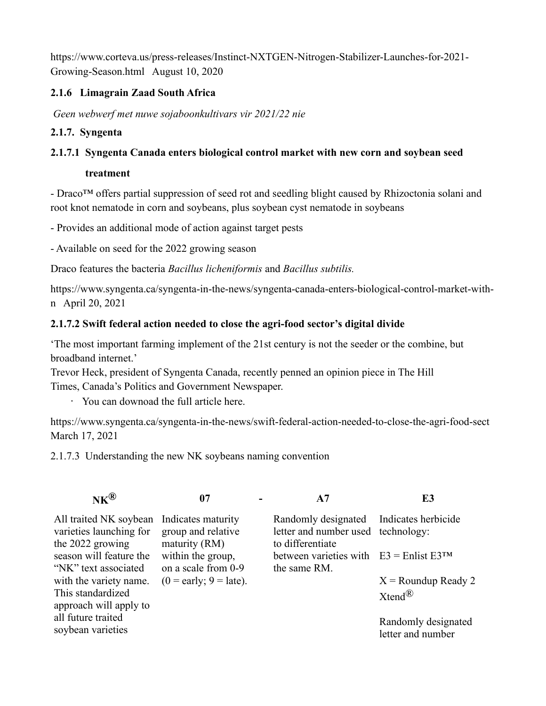[https://www.corteva.us/press-releases/Instinct-NXTGEN-Nitrogen-Stabilizer-Launches-for-2021-](https://www.corteva.us/press-releases/Instinct-NXTGEN-Nitrogen-Stabilizer-Launches-for-2021-Growing-Season.html) [Growing-Season.html](https://www.corteva.us/press-releases/Instinct-NXTGEN-Nitrogen-Stabilizer-Launches-for-2021-Growing-Season.html) August 10, 2020

## **2.1.6 Limagrain Zaad South Africa**

*Geen webwerf met nuwe sojaboonkultivars vir 2021/22 nie*

### **2.1.7. Syngenta**

### **2.1.7.1 Syngenta Canada enters biological control market with new corn and soybean seed**

#### **treatment**

- Draco™ offers partial suppression of seed rot and seedling blight caused by Rhizoctonia solani and root knot nematode in corn and soybeans, plus soybean cyst nematode in soybeans

- Provides an additional mode of action against target pests

- Available on seed for the 2022 growing season

Draco features the bacteria *Bacillus licheniformis* and *Bacillus subtilis.*

[https://www.syngenta.ca/syngenta-in-the-news/syngenta-canada-enters-biological-control-market-with](https://www.syngenta.ca/syngenta-in-the-news/syngenta-canada-enters-biological-control-market-with-n)[n](https://www.syngenta.ca/syngenta-in-the-news/syngenta-canada-enters-biological-control-market-with-n) April 20, 2021

#### **2.1.7.2 Swift federal action needed to close the agri-food sector's digital divide**

'The most important farming implement of the 21st century is not the seeder or the combine, but broadband internet.'

Trevor Heck, president of Syngenta Canada, recently penned an opinion piece in The Hill Times, Canada's Politics and Government Newspaper.

• [You can downoad the full article here.](https://assets.syngentaebiz.com/images/Hill_Times_SyngentaTrevor.Heck_2021.pdf)

<https://www.syngenta.ca/syngenta-in-the-news/swift-federal-action-needed-to-close-the-agri-food-sect> March 17, 2021

2.1.7.3 Understanding the new NK soybeans naming convention

| $\mathbf{N}\mathbf{K}^\text{(B)}$                                                        | 07                                       |                                                                                                   | E3                                       |
|------------------------------------------------------------------------------------------|------------------------------------------|---------------------------------------------------------------------------------------------------|------------------------------------------|
| All traited NK soybean Indicates maturity<br>varieties launching for<br>the 2022 growing | group and relative<br>maturity (RM)      | Randomly designated Indicates herbicide<br>letter and number used technology:<br>to differentiate |                                          |
| season will feature the<br>"NK" text associated                                          | within the group,<br>on a scale from 0-9 | between varieties with $E3 =$ Enlist E3TM<br>the same RM.                                         |                                          |
| with the variety name.                                                                   | $(0 = \text{early}; 9 = \text{late}).$   |                                                                                                   | $X =$ Roundup Ready 2                    |
| This standardized<br>approach will apply to                                              |                                          |                                                                                                   | $X$ tend $^{\circledR}$                  |
| all future traited<br>soybean varieties                                                  |                                          |                                                                                                   | Randomly designated<br>letter and number |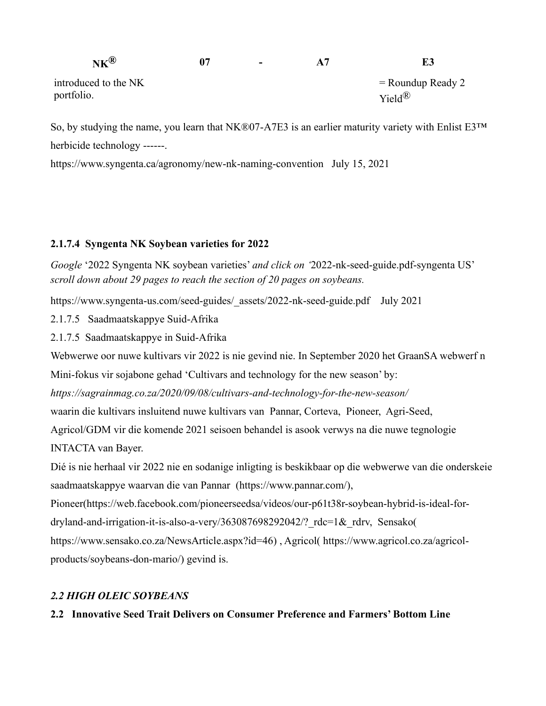| $N K^{(k)}$                        | 07 | $\overline{\phantom{0}}$ | E3                                         |
|------------------------------------|----|--------------------------|--------------------------------------------|
| introduced to the NK<br>portfolio. |    |                          | $=$ Roundup Ready 2<br>$Yield^{\circledR}$ |

So, by studying the name, you learn that NK®07-A7E3 is an earlier maturity variety with Enlist E3™ herbicide technology ------.

<https://www.syngenta.ca/agronomy/new-nk-naming-convention>July 15, 2021

#### **2.1.7.4 Syngenta NK Soybean varieties for 2022**

*Google* '2022 Syngenta NK soybean varieties' *and click on '*2022-nk-seed-guide.pdf-syngenta US' *scroll down about 29 pages to reach the section of 20 pages on soybeans.*

[https://www.syngenta-us.com/seed-guides/\\_assets/2022-nk-seed-guide.pdf](https://www.syngenta-us.com/seed-guides/_assets/2022-nk-seed-guide.pdf) July 2021

2.1.7.5 Saadmaatskappye Suid-Afrika

2.1.7.5 Saadmaatskappye in Suid-Afrika

Webwerwe oor nuwe kultivars vir 2022 is nie gevind nie. In September 2020 het GraanSA webwerf n

Mini-fokus vir sojabone gehad 'Cultivars and technology for the new season' by:

*https://sagrainmag.co.za/2020/09/08/cultivars-and-technology-for-the-new-season/*

waarin die kultivars insluitend nuwe kultivars van Pannar, Corteva, Pioneer, Agri-Seed,

Agricol/GDM vir die komende 2021 seisoen behandel is asook verwys na die nuwe tegnologie

INTACTA van Bayer.

Dié is nie herhaal vir 2022 nie en sodanige inligting is beskikbaar op die webwerwe van die onderskeie saadmaatskappye waarvan die van Pannar [\(https://www.pannar.com/\)](https://www.pannar.com/),

Pioneer(https://web.facebook.com/pioneerseedsa/videos/our-p61t38r-soybean-hybrid-is-ideal-fordryland-and-irrigation-it-is-also-a-very/363087698292042/?\_rdc=1&\_rdrv, Sensako(

[https://www.sensako.co.za/NewsArticle.aspx?id=46\)](https://www.sensako.co.za/NewsArticle.aspx?id=46) , Agricol( [https://www.agricol.co.za/agricol](https://www.agricol.co.za/agricol-products/soybeans-don-mario/)[products/soybeans-don-mario/\)](https://www.agricol.co.za/agricol-products/soybeans-don-mario/) gevind is.

#### *2.2 HIGH OLEIC SOYBEANS*

#### **2.2 Innovative Seed Trait Delivers on Consumer Preference and Farmers' Bottom Line**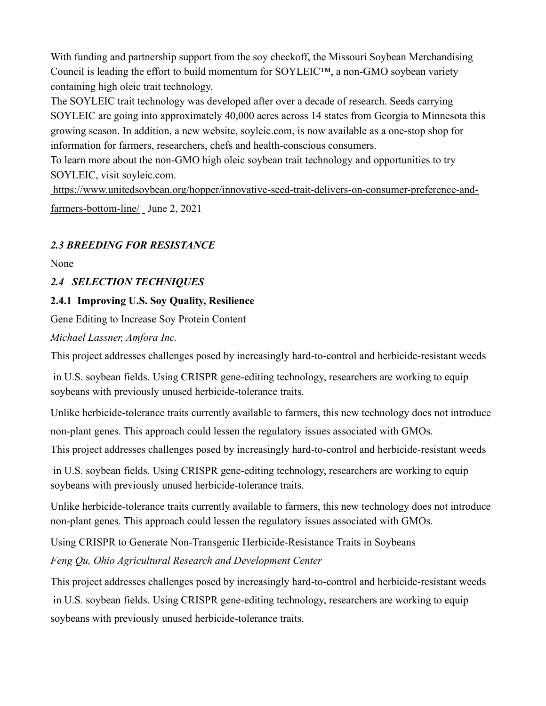With funding and partnership support from the soy checkoff, the Missouri Soybean Merchandising Council is leading the effort to build momentum for SOYLEIC™, a non-GMO soybean variety containing high oleic trait technology.

The SOYLEIC trait technology was developed after over a decade of research. Seeds carrying SOYLEIC are going into approximately 40,000 acres across 14 states from Georgia to Minnesota this growing season. In addition, a new website, [soyleic.com,](https://soyleic.com/) is now available as a one-stop shop for information for farmers, researchers, chefs and health-conscious consumers.

To learn more about the non-GMO high oleic soybean trait technology and opportunities to try SOYLEIC, visit [soyleic.com.](https://soyleic.com/)

[https://www.unitedsoybean.org/hopper/innovative-seed-trait-delivers-on-consumer-preference-and](https://www.unitedsoybean.org/hopper/innovative-seed-trait-delivers-on-consumer-preference-and-farmers-bottom-line/)[farmers-bottom-line/](https://www.unitedsoybean.org/hopper/innovative-seed-trait-delivers-on-consumer-preference-and-farmers-bottom-line/) June 2, 2021

# *2.3 BREEDING FOR RESISTANCE*

None

### *2.4 SELECTION TECHNIQUES*

#### **2.4.1 Improving U.S. Soy Quality, Resilience**

Gene Editing to Increase Soy Protein Content

*Michael Lassner, Amfora Inc.*

This project addresses challenges posed by increasingly hard-to-control and herbicide-resistant weeds

in U.S. soybean fields. Using CRISPR gene-editing technology, researchers are working to equip soybeans with previously unused herbicide-tolerance traits.

Unlike herbicide-tolerance traits currently available to farmers, this new technology does not introduce non-plant genes. This approach could lessen the regulatory issues associated with GMOs.

This project addresses challenges posed by increasingly hard-to-control and herbicide-resistant weeds

in U.S. soybean fields. Using CRISPR gene-editing technology, researchers are working to equip soybeans with previously unused herbicide-tolerance traits.

Unlike herbicide-tolerance traits currently available to farmers, this new technology does not introduce non-plant genes. This approach could lessen the regulatory issues associated with GMOs.

Using CRISPR to Generate Non-Transgenic Herbicide-Resistance Traits in Soybeans

*Feng Qu, Ohio Agricultural Research and Development Center*

This project addresses challenges posed by increasingly hard-to-control and herbicide-resistant weeds in U.S. soybean fields. Using CRISPR gene-editing technology, researchers are working to equip soybeans with previously unused herbicide-tolerance traits.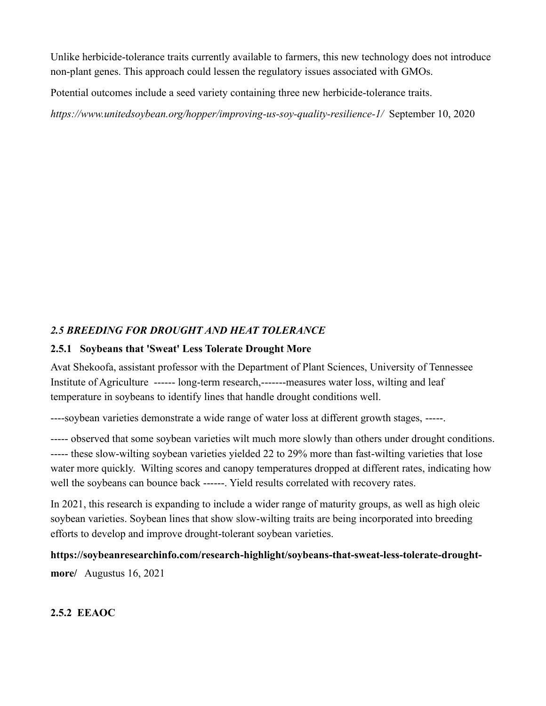Unlike herbicide-tolerance traits currently available to farmers, this new technology does not introduce non-plant genes. This approach could lessen the regulatory issues associated with GMOs.

Potential outcomes include a seed variety containing three new herbicide-tolerance traits.

*<https://www.unitedsoybean.org/hopper/improving-us-soy-quality-resilience-1/>* September 10, 2020

# *2.5 BREEDING FOR DROUGHT AND HEAT TOLERANCE*

### **2.5.1 Soybeans that 'Sweat' Less Tolerate Drought More**

Avat Shekoofa, assistant professor with the Department of Plant Sciences, University of Tennessee Institute of Agriculture ------ long-term research,-------measures water loss, wilting and leaf temperature in soybeans to identify lines that handle drought conditions well.

----soybean varieties demonstrate a wide range of water loss at different growth stages, -----.

----- observed that some soybean varieties wilt much more slowly than others under drought conditions. ----- these slow-wilting soybean varieties yielded 22 to 29% more than fast-wilting varieties that lose water more quickly. Wilting scores and canopy temperatures dropped at different rates, indicating how well the soybeans can bounce back ------. Yield results correlated with recovery rates.

In 2021, this research is expanding to include a wider range of maturity groups, as well as high oleic soybean varieties. Soybean lines that show slow-wilting traits are being incorporated into breeding efforts to develop and improve drought-tolerant soybean varieties.

**[https://soybeanresearchinfo.com/research-highlight/soybeans-that-sweat-less-tolerate-drought](https://soybeanresearchinfo.com/research-highlight/soybeans-that-sweat-less-tolerate-drought-more/)[more/](https://soybeanresearchinfo.com/research-highlight/soybeans-that-sweat-less-tolerate-drought-more/)** Augustus 16, 2021

# **2.5.2 EEAOC**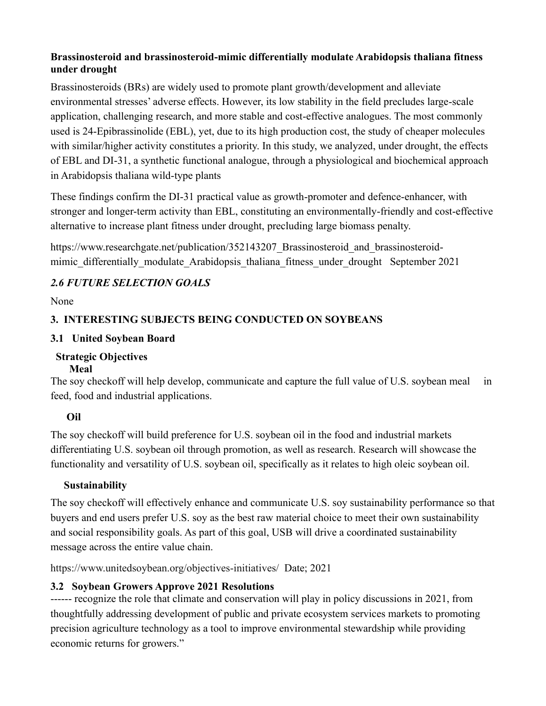# **Brassinosteroid and brassinosteroid-mimic differentially modulate Arabidopsis thaliana fitness under drought**

Brassinosteroids (BRs) are widely used to promote plant growth/development and alleviate environmental stresses' adverse effects. However, its low stability in the field precludes large-scale application, challenging research, and more stable and cost-effective analogues. The most commonly used is 24-Epibrassinolide (EBL), yet, due to its high production cost, the study of cheaper molecules with similar/higher activity constitutes a priority. In this study, we analyzed, under drought, the effects of EBL and DI-31, a synthetic functional analogue, through a physiological and biochemical approach in Arabidopsis thaliana wild-type plants

These findings confirm the DI-31 practical value as growth-promoter and defence-enhancer, with stronger and longer-term activity than EBL, constituting an environmentally-friendly and cost-effective alternative to increase plant fitness under drought, precluding large biomass penalty.

https://www.researchgate.net/publication/352143207 Brassinosteroid and brassinosteroid[mimic\\_differentially\\_modulate\\_Arabidopsis\\_thaliana\\_fitness\\_under\\_drought](https://www.researchgate.net/publication/352143207_Brassinosteroid_and_brassinosteroid-mimic_differentially_modulate_Arabidopsis_thaliana_fitness_under_drought) September 2021

# *2.6 FUTURE SELECTION GOALS*

None

# **3. INTERESTING SUBJECTS BEING CONDUCTED ON SOYBEANS**

### **3.1 United Soybean Board**

#### **Strategic Objectives Meal**

The soy checkoff will help develop, communicate and capture the full value of U.S. soybean meal in feed, food and industrial applications.

# **Oil**

The soy checkoff will build preference for U.S. soybean oil in the food and industrial markets differentiating U.S. soybean oil through promotion, as well as research. Research will showcase the functionality and versatility of U.S. soybean oil, specifically as it relates to high oleic soybean oil.

# **Sustainability**

The soy checkoff will effectively enhance and communicate U.S. soy sustainability performance so that buyers and end users prefer U.S. soy as the best raw material choice to meet their own sustainability and social responsibility goals. As part of this goal, USB will drive a coordinated sustainability message across the entire value chain.

<https://www.unitedsoybean.org/objectives-initiatives/> Date; 2021

# **3.2 Soybean Growers Approve 2021 Resolutions**

------ recognize the role that climate and conservation will play in policy discussions in 2021, from thoughtfully addressing development of public and private ecosystem services markets to promoting precision agriculture technology as a tool to improve environmental stewardship while providing economic returns for growers."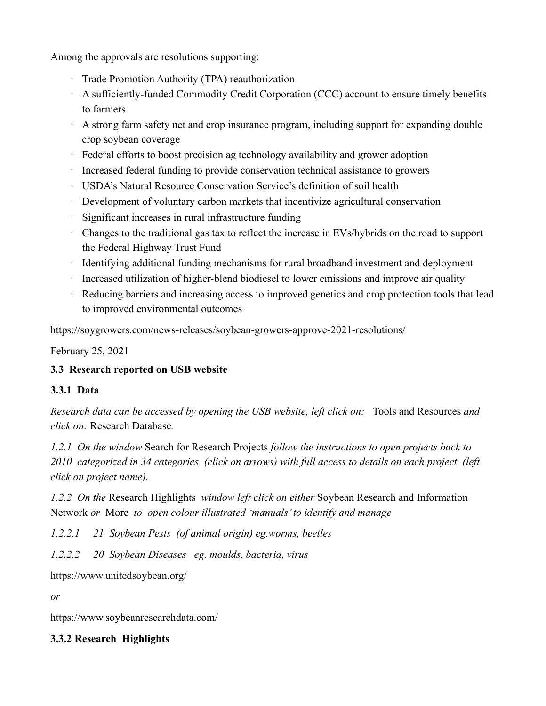Among the approvals are resolutions supporting:

- Trade Promotion Authority (TPA) reauthorization
- A sufficiently-funded Commodity Credit Corporation (CCC) account to ensure timely benefits to farmers
- A strong farm safety net and crop insurance program, including support for expanding double crop soybean coverage
- Federal efforts to boost precision ag technology availability and grower adoption
- Increased federal funding to provide conservation technical assistance to growers
- USDA's Natural Resource Conservation Service's definition of soil health
- Development of voluntary carbon markets that incentivize agricultural conservation
- Significant increases in rural infrastructure funding
- Changes to the traditional gas tax to reflect the increase in EVs/hybrids on the road to support the Federal Highway Trust Fund
- Identifying additional funding mechanisms for rural broadband investment and deployment
- Increased utilization of higher-blend biodiesel to lower emissions and improve air quality
- Reducing barriers and increasing access to improved genetics and crop protection tools that lead to improved environmental outcomes

<https://soygrowers.com/news-releases/soybean-growers-approve-2021-resolutions/>

February 25, 2021

# **3***.***3 Research reported on USB website**

# **3.3.1 Data**

*Research data can be accessed by opening the USB website, left click on:* Tools and Resources *and click on:* Research Database*.*

*1.2.1 On the window* Search for Research Projects *follow the instructions to open projects back to 2010 categorized in 34 categories (click on arrows) with full access to details on each project (left click on project name).*

*1.2.2 On the* Research Highlights *window left click on either* Soybean Research and Information Network *or* More *to open colour illustrated 'manuals' to identify and manage*

*1.2.2.1 21 Soybean Pests (of animal origin) eg.worms, beetles*

*1.2.2.2 20 Soybean Diseases eg. moulds, bacteria, virus*

<https://www.unitedsoybean.org/>

*or*

<https://www.soybeanresearchdata.com/>

# **3.3.2 Research Highlights**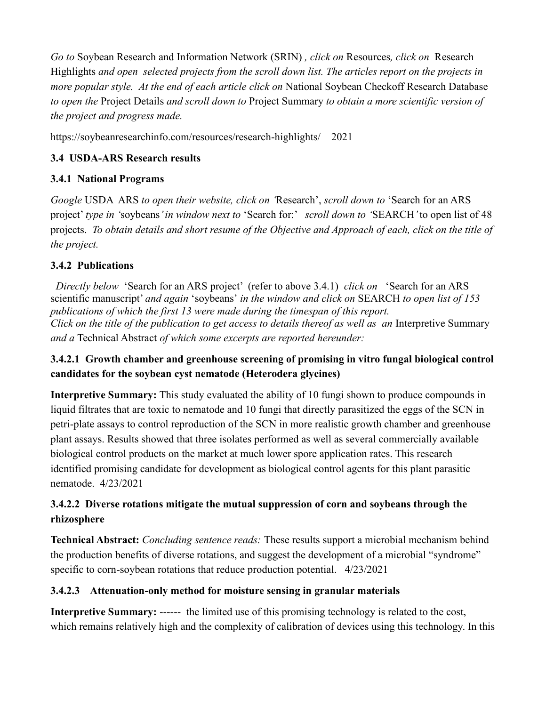*Go to* Soybean Research and Information Network (SRIN) *, click on* Resources*, click on* Research Highlights *and open selected projects from the scroll down list. The articles report on the projects in more popular style. At the end of each article click on* National Soybean Checkoff Research Database *to open the* Project Details *and scroll down to* Project Summary *to obtain a more scientific version of the project and progress made.*

<https://soybeanresearchinfo.com/resources/research-highlights/>2021

# **3.4 USDA-ARS Research results**

# **3.4.1 National Programs**

*Google* USDA ARS *to open their website, click on '*Research', *scroll down to* 'Search for an ARS project' *type in '*soybeans*' in window next to* 'Search for:' *scroll down to '*SEARCH*'* to open list of 48 projects. *To obtain details and short resume of the Objective and Approach of each, click on the title of the project.*

# **3.4.2 Publications**

*Directly below* 'Search for an ARS project' (refer to above 3.4.1) *click on* 'Search for an ARS scientific manuscript' *and again* 'soybeans' *in the window and click on* SEARCH *to open list of 153 publications of which the first 13 were made during the timespan of this report. Click on the title of the publication to get access to details thereof as well as an Interpretive Summary and a* Technical Abstract *of which some excerpts are reported hereunder:*

# **3.4.2.1 Growth chamber and greenhouse screening of promising in vitro fungal biological control candidates for the soybean cyst nematode (Heterodera glycines)**

**Interpretive Summary:** This study evaluated the ability of 10 fungi shown to produce compounds in liquid filtrates that are toxic to nematode and 10 fungi that directly parasitized the eggs of the SCN in petri-plate assays to control reproduction of the SCN in more realistic growth chamber and greenhouse plant assays. Results showed that three isolates performed as well as several commercially available biological control products on the market at much lower spore application rates. This research identified promising candidate for development as biological control agents for this plant parasitic nematode. 4/23/2021

# **3.4.2.2 Diverse rotations mitigate the mutual suppression of corn and soybeans through the rhizosphere**

**Technical Abstract:** *Concluding sentence reads:* These results support a microbial mechanism behind the production benefits of diverse rotations, and suggest the development of a microbial "syndrome" specific to corn-soybean rotations that reduce production potential. 4/23/2021

# **3.4.2.3 Attenuation-only method for moisture sensing in granular materials**

**Interpretive Summary:** ------ the limited use of this promising technology is related to the cost, which remains relatively high and the complexity of calibration of devices using this technology. In this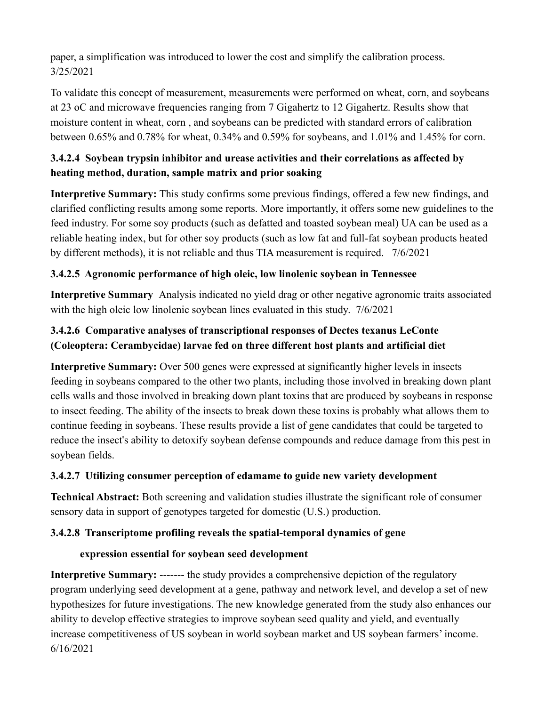paper, a simplification was introduced to lower the cost and simplify the calibration process. 3/25/2021

To validate this concept of measurement, measurements were performed on wheat, corn, and soybeans at 23 oC and microwave frequencies ranging from 7 Gigahertz to 12 Gigahertz. Results show that moisture content in wheat, corn , and soybeans can be predicted with standard errors of calibration between 0.65% and 0.78% for wheat, 0.34% and 0.59% for soybeans, and 1.01% and 1.45% for corn.

# **3.4.2.4 Soybean trypsin inhibitor and urease activities and their correlations as affected by heating method, duration, sample matrix and prior soaking**

**Interpretive Summary:** This study confirms some previous findings, offered a few new findings, and clarified conflicting results among some reports. More importantly, it offers some new guidelines to the feed industry. For some soy products (such as defatted and toasted soybean meal) UA can be used as a reliable heating index, but for other soy products (such as low fat and full-fat soybean products heated by different methods), it is not reliable and thus TIA measurement is required. 7/6/2021

# **3.4.2.5 Agronomic performance of high oleic, low linolenic soybean in Tennessee**

**Interpretive Summary** Analysis indicated no yield drag or other negative agronomic traits associated with the high oleic low linolenic soybean lines evaluated in this study. 7/6/2021

# **3.4.2.6 Comparative analyses of transcriptional responses of Dectes texanus LeConte (Coleoptera: Cerambycidae) larvae fed on three different host plants and artificial diet**

**Interpretive Summary:** Over 500 genes were expressed at significantly higher levels in insects feeding in soybeans compared to the other two plants, including those involved in breaking down plant cells walls and those involved in breaking down plant toxins that are produced by soybeans in response to insect feeding. The ability of the insects to break down these toxins is probably what allows them to continue feeding in soybeans. These results provide a list of gene candidates that could be targeted to reduce the insect's ability to detoxify soybean defense compounds and reduce damage from this pest in soybean fields.

# **3.4.2.7 Utilizing consumer perception of edamame to guide new variety development**

**Technical Abstract:** Both screening and validation studies illustrate the significant role of consumer sensory data in support of genotypes targeted for domestic (U.S.) production.

# **3.4.2.8 Transcriptome profiling reveals the spatial-temporal dynamics of gene**

#### **expression essential for soybean seed development**

**Interpretive Summary:** ------- the study provides a comprehensive depiction of the regulatory program underlying seed development at a gene, pathway and network level, and develop a set of new hypothesizes for future investigations. The new knowledge generated from the study also enhances our ability to develop effective strategies to improve soybean seed quality and yield, and eventually increase competitiveness of US soybean in world soybean market and US soybean farmers' income. 6/16/2021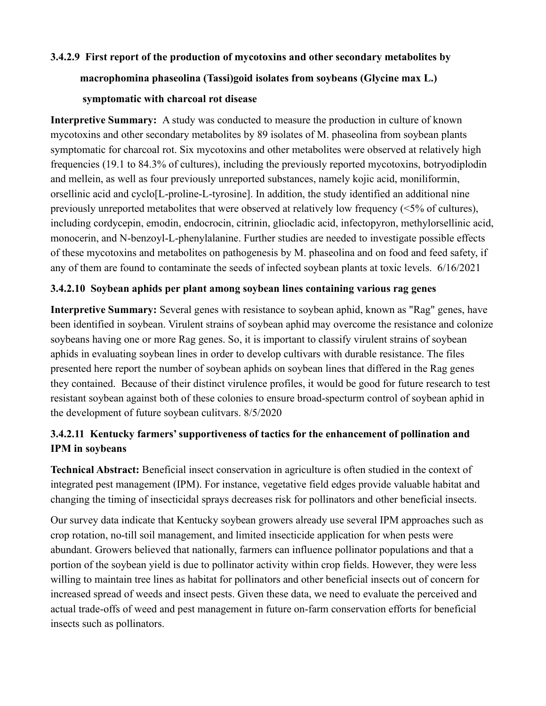### **3.4.2.9 First report of the production of mycotoxins and other secondary metabolites by**

# **macrophomina phaseolina (Tassi)goid isolates from soybeans (Glycine max L.)**

#### **symptomatic with charcoal rot disease**

**Interpretive Summary:** A study was conducted to measure the production in culture of known mycotoxins and other secondary metabolites by 89 isolates of M. phaseolina from soybean plants symptomatic for charcoal rot. Six mycotoxins and other metabolites were observed at relatively high frequencies (19.1 to 84.3% of cultures), including the previously reported mycotoxins, botryodiplodin and mellein, as well as four previously unreported substances, namely kojic acid, moniliformin, orsellinic acid and cyclo[L-proline-L-tyrosine]. In addition, the study identified an additional nine previously unreported metabolites that were observed at relatively low frequency (<5% of cultures), including cordycepin, emodin, endocrocin, citrinin, gliocladic acid, infectopyron, methylorsellinic acid, monocerin, and N-benzoyl-L-phenylalanine. Further studies are needed to investigate possible effects of these mycotoxins and metabolites on pathogenesis by M. phaseolina and on food and feed safety, if any of them are found to contaminate the seeds of infected soybean plants at toxic levels. 6/16/2021

### **3.4.2.10 Soybean aphids per plant among soybean lines containing various rag genes**

**Interpretive Summary:** Several genes with resistance to soybean aphid, known as "Rag" genes, have been identified in soybean. Virulent strains of soybean aphid may overcome the resistance and colonize soybeans having one or more Rag genes. So, it is important to classify virulent strains of soybean aphids in evaluating soybean lines in order to develop cultivars with durable resistance. The files presented here report the number of soybean aphids on soybean lines that differed in the Rag genes they contained. Because of their distinct virulence profiles, it would be good for future research to test resistant soybean against both of these colonies to ensure broad-specturm control of soybean aphid in the development of future soybean culitvars. 8/5/2020

# **3.4.2.11 Kentucky farmers' supportiveness of tactics for the enhancement of pollination and IPM in soybeans**

**Technical Abstract:** Beneficial insect conservation in agriculture is often studied in the context of integrated pest management (IPM). For instance, vegetative field edges provide valuable habitat and changing the timing of insecticidal sprays decreases risk for pollinators and other beneficial insects.

Our survey data indicate that Kentucky soybean growers already use several IPM approaches such as crop rotation, no-till soil management, and limited insecticide application for when pests were abundant. Growers believed that nationally, farmers can influence pollinator populations and that a portion of the soybean yield is due to pollinator activity within crop fields. However, they were less willing to maintain tree lines as habitat for pollinators and other beneficial insects out of concern for increased spread of weeds and insect pests. Given these data, we need to evaluate the perceived and actual trade-offs of weed and pest management in future on-farm conservation efforts for beneficial insects such as pollinators.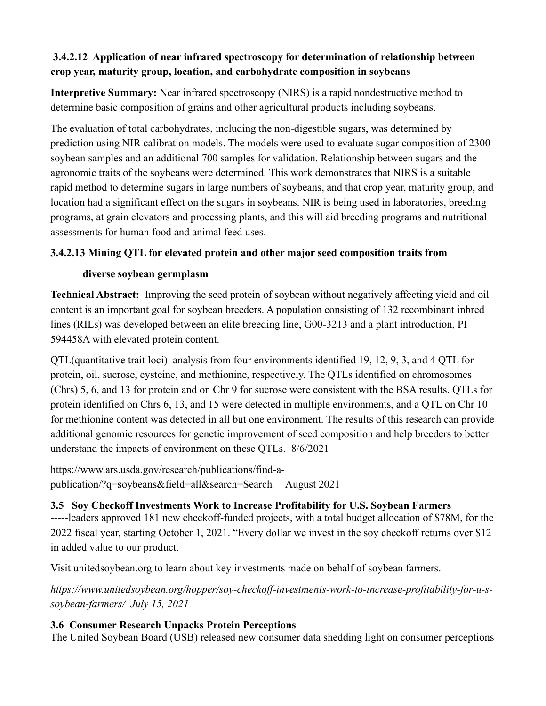# **3.4.2.12 Application of near infrared spectroscopy for determination of relationship between crop year, maturity group, location, and carbohydrate composition in soybeans**

**Interpretive Summary:** Near infrared spectroscopy (NIRS) is a rapid nondestructive method to determine basic composition of grains and other agricultural products including soybeans.

The evaluation of total carbohydrates, including the non-digestible sugars, was determined by prediction using NIR calibration models. The models were used to evaluate sugar composition of 2300 soybean samples and an additional 700 samples for validation. Relationship between sugars and the agronomic traits of the soybeans were determined. This work demonstrates that NIRS is a suitable rapid method to determine sugars in large numbers of soybeans, and that crop year, maturity group, and location had a significant effect on the sugars in soybeans. NIR is being used in laboratories, breeding programs, at grain elevators and processing plants, and this will aid breeding programs and nutritional assessments for human food and animal feed uses.

# **3.4.2.13 Mining QTL for elevated protein and other major seed composition traits from**

### **diverse soybean germplasm**

**Technical Abstract:** Improving the seed protein of soybean without negatively affecting yield and oil content is an important goal for soybean breeders. A population consisting of 132 recombinant inbred lines (RILs) was developed between an elite breeding line, G00-3213 and a plant introduction, PI 594458A with elevated protein content.

QTL(quantitative trait loci) analysis from four environments identified 19, 12, 9, 3, and 4 QTL for protein, oil, sucrose, cysteine, and methionine, respectively. The QTLs identified on chromosomes (Chrs) 5, 6, and 13 for protein and on Chr 9 for sucrose were consistent with the BSA results. QTLs for protein identified on Chrs 6, 13, and 15 were detected in multiple environments, and a QTL on Chr 10 for methionine content was detected in all but one environment. The results of this research can provide additional genomic resources for genetic improvement of seed composition and help breeders to better understand the impacts of environment on these QTLs. 8/6/2021

[https://www.ars.usda.gov/research/publications/find-a](https://www.ars.usda.gov/research/publications/find-a-publication/?q=soybeans&field=all&search=Search)[publication/?q=soybeans&field=all&search=Search](https://www.ars.usda.gov/research/publications/find-a-publication/?q=soybeans&field=all&search=Search) August 2021

# **3.5 Soy Checkoff Investments Work to Increase Profitability for U.S. Soybean Farmers**

-----leaders approved 181 new checkoff-funded projects, with a total budget allocation of \$78M, for the 2022 fiscal year, starting October 1, 2021. "Every dollar we invest in the soy checkoff [returns over \\$12](https://www.unitedsoybean.org/issue-briefs/checkoff-return-on-investment/) in added value to our product.

Visit [unitedsoybean.org](http://www.unitedsoybean.org/) to learn about key investments made on behalf of soybean farmers.

*[https://www.unitedsoybean.org/hopper/soy-checkoff-investments-work-to-increase-profitability-for-u-s](https://www.unitedsoybean.org/hopper/soy-checkoff-investments-work-to-increase-profitability-for-u-s-soybean-farmers/)[soybean-farmers/](https://www.unitedsoybean.org/hopper/soy-checkoff-investments-work-to-increase-profitability-for-u-s-soybean-farmers/) July 15, 2021*

# **3.6 Consumer Research Unpacks Protein Perceptions**

The United Soybean Board (USB) released [new consumer data](https://www.soyconnection.com/docs/default-source/default-document-library/soymeetsboomingdemandforflexitarian-friendlyfoods.pdf?sfvrsn=8df02b1d_0) shedding light on consumer perceptions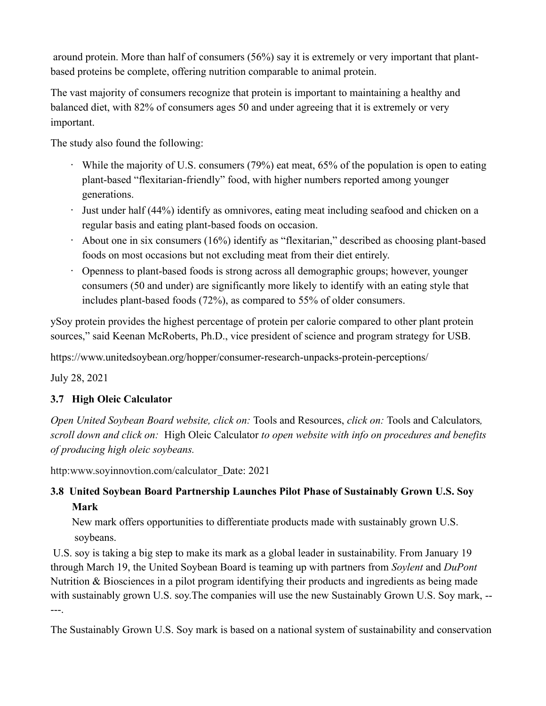around protein. More than half of consumers (56%) say it is extremely or very important that plantbased proteins be complete, offering nutrition comparable to animal protein.

The vast majority of consumers recognize that protein is important to maintaining a healthy and balanced diet, with 82% of consumers ages 50 and under agreeing that it is extremely or very important.

The study also found the following:

- While the majority of U.S. consumers (79%) eat meat, 65% of the population is open to eating plant-based "flexitarian-friendly" food, with higher numbers reported among younger generations.
- Just under half (44%) identify as omnivores, eating meat including seafood and chicken on a regular basis and eating plant-based foods on occasion.
- About one in six consumers (16%) identify as "flexitarian," described as choosing plant-based foods on most occasions but not excluding meat from their diet entirely.
- Openness to plant-based foods is strong across all demographic groups; however, younger consumers (50 and under) are significantly more likely to identify with an eating style that includes plant-based foods (72%), as compared to 55% of older consumers.

ySoy protein provides the highest percentage of protein per calorie compared to other plant protein sources," said Keenan McRoberts, Ph.D., vice president of science and program strategy for USB.

<https://www.unitedsoybean.org/hopper/consumer-research-unpacks-protein-perceptions/>

July 28, 2021

# **3.7 High Oleic Calculator**

*Open United Soybean Board website, click on:* Tools and Resources, *click on:* Tools and Calculators*, scroll down and click on:* High Oleic Calculator *to open website with info on procedures and benefits of producing high oleic soybeans.*

[http:www.soyinnovtion.com/calculator](http://www.soyinnovtion.com/calculator) Date: 2021

# **3.8 United Soybean Board Partnership Launches Pilot Phase of Sustainably Grown U.S. Soy Mark**

 New mark offers opportunities to differentiate products made with sustainably grown U.S. soybeans.

U.S. soy is taking a big step to make its mark as a global leader in sustainability. From January 19 through March 19, the United Soybean Board is teaming up with partners from *[Soylent](https://soylent.com/)* and *[DuPont](https://www.dupont.com/)*  Nutrition & Biosciences in a pilot program identifying their products and ingredients as being made with sustainably grown U.S. soy.The companies will use the new Sustainably Grown U.S. Soy mark, -- ---.

The Sustainably Grown U.S. Soy mark is based on a national system of sustainability and conservation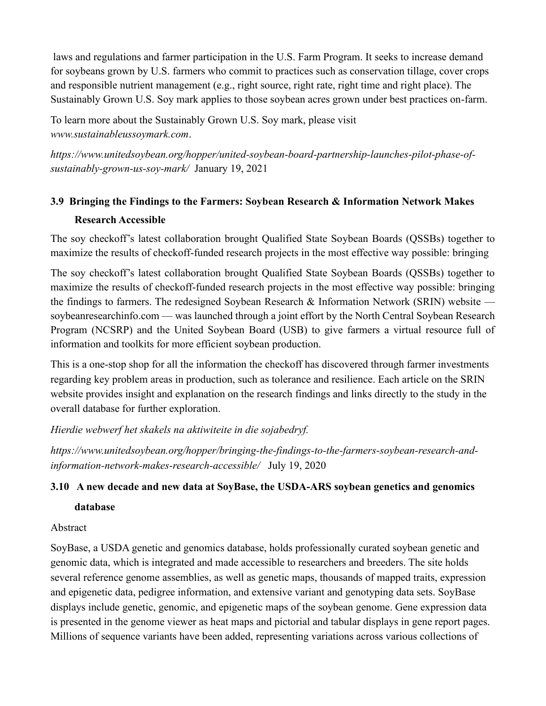laws and regulations and farmer participation in the U.S. Farm Program. It seeks to increase demand for soybeans grown by U.S. farmers who commit to practices such as conservation tillage, cover crops and responsible nutrient management (e.g., right source, right rate, right time and right place). The Sustainably Grown U.S. Soy mark applies to those soybean acres grown under best practices on-farm.

To learn more about the Sustainably Grown U.S. Soy mark, please visit *[www.sustainableussoymark.com](http://www.sustainableussoymark.com/)*.

*[https://www.unitedsoybean.org/hopper/united-soybean-board-partnership-launches-pilot-phase-of](https://www.unitedsoybean.org/hopper/united-soybean-board-partnership-launches-pilot-phase-of-sustainably-grown-us-soy-mark/)[sustainably-grown-us-soy-mark/](https://www.unitedsoybean.org/hopper/united-soybean-board-partnership-launches-pilot-phase-of-sustainably-grown-us-soy-mark/)* January 19, 2021

# **3.9 Bringing the Findings to the Farmers: Soybean Research & Information Network Makes Research Accessible**

The soy checkoff's latest collaboration brought Qualified State Soybean Boards (QSSBs) together to maximize the results of checkoff-funded research projects in the most effective way possible: bringing

The soy checkoff's latest collaboration brought Qualified State Soybean Boards (QSSBs) together to maximize the results of checkoff-funded research projects in the most effective way possible: bringing the findings to farmers. The redesigned Soybean Research & Information Network (SRIN) website [soybeanresearchinfo.com](https://soybeanresearchinfo.com/) — was launched through a joint effort by the North Central Soybean Research Program (NCSRP) and the United Soybean Board (USB) to give farmers a virtual resource full of information and toolkits for more efficient soybean production.

This is a one-stop shop for all the information the checkoff has discovered through farmer investments regarding key problem areas in production, such as tolerance and resilience. Each article on the SRIN website provides insight and explanation on the research findings and links directly to the study in the overall database for further exploration.

*Hierdie webwerf het skakels na aktiwiteite in die sojabedryf.*

*[https://www.unitedsoybean.org/hopper/bringing-the-findings-to-the-farmers-soybean-research-and](https://www.unitedsoybean.org/hopper/bringing-the-findings-to-the-farmers-soybean-research-and-information-network-makes-research-accessible/)[information-network-makes-research-accessible/](https://www.unitedsoybean.org/hopper/bringing-the-findings-to-the-farmers-soybean-research-and-information-network-makes-research-accessible/)* July 19, 2020

# **3.10 A new decade and new data at SoyBase, the USDA-ARS soybean genetics and genomics**

#### **database**

Abstract

SoyBase, a USDA genetic and genomics database, holds professionally curated soybean genetic and genomic data, which is integrated and made accessible to researchers and breeders. The site holds several reference genome assemblies, as well as genetic maps, thousands of mapped traits, expression and epigenetic data, pedigree information, and extensive variant and genotyping data sets. SoyBase displays include genetic, genomic, and epigenetic maps of the soybean genome. Gene expression data is presented in the genome viewer as heat maps and pictorial and tabular displays in gene report pages. Millions of sequence variants have been added, representing variations across various collections of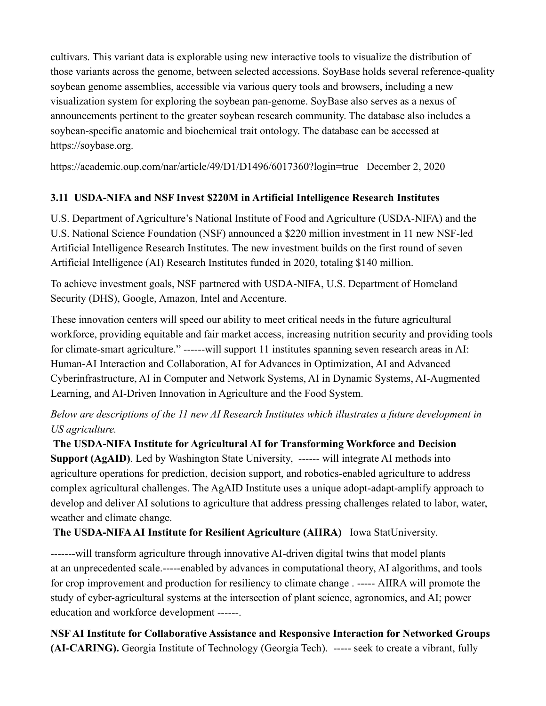cultivars. This variant data is explorable using new interactive tools to visualize the distribution of those variants across the genome, between selected accessions. SoyBase holds several reference-quality soybean genome assemblies, accessible via various query tools and browsers, including a new visualization system for exploring the soybean pan-genome. SoyBase also serves as a nexus of announcements pertinent to the greater soybean research community. The database also includes a soybean-specific anatomic and biochemical trait ontology. The database can be accessed at [https://soybase.org.](https://soybase.org/)

<https://academic.oup.com/nar/article/49/D1/D1496/6017360?login=true>December 2, 2020

# **3.11 USDA-NIFA and NSF Invest \$220M in Artificial Intelligence Research Institutes**

U.S. Department of Agriculture's National Institute of Food and Agriculture (USDA-NIFA) and the U.S. National Science Foundation (NSF) announced a \$220 million investment in 11 new NSF-led Artificial Intelligence Research Institutes. The new investment builds on the first round of seven Artificial Intelligence (AI) Research Institutes funded in 2020, totaling \$140 million.

To achieve investment goals, NSF partnered with USDA-NIFA, U.S. Department of Homeland Security (DHS), Google, Amazon, Intel and Accenture.

These innovation centers will speed our ability to meet critical needs in the future agricultural workforce, providing equitable and fair market access, increasing nutrition security and providing tools for climate-smart agriculture." ------will support 11 institutes spanning seven research areas in AI: Human-AI Interaction and Collaboration, AI for Advances in Optimization, AI and Advanced Cyberinfrastructure, AI in Computer and Network Systems, AI in Dynamic Systems, AI-Augmented Learning, and AI-Driven Innovation in Agriculture and the Food System.

# *Below are descriptions of the 11 new AI Research Institutes which illustrates a future development in US agriculture.*

**The USDA-NIFA Institute for Agricultural AI for Transforming Workforce and Decision Support (AgAID)**. Led by Washington State University, ------ will integrate AI methods into agriculture operations for prediction, decision support, and robotics-enabled agriculture to address complex agricultural challenges. The AgAID Institute uses a unique adopt-adapt-amplify approach to develop and deliver AI solutions to agriculture that address pressing challenges related to labor, water, weather and climate change.

**The USDA-NIFA AI Institute for Resilient Agriculture (AIIRA)** Iowa StatUniversity.

-------will transform agriculture through innovative AI-driven digital twins that model plants at an unprecedented scale.-----enabled by advances in computational theory, AI algorithms, and tools for crop improvement and production for resiliency to climate change . ----- AIIRA will promote the study of cyber-agricultural systems at the intersection of plant science, agronomics, and AI; power education and workforce development ------.

**NSF AI Institute for Collaborative Assistance and Responsive Interaction for Networked Groups (AI-CARING).** Georgia Institute of Technology (Georgia Tech). ----- seek to create a vibrant, fully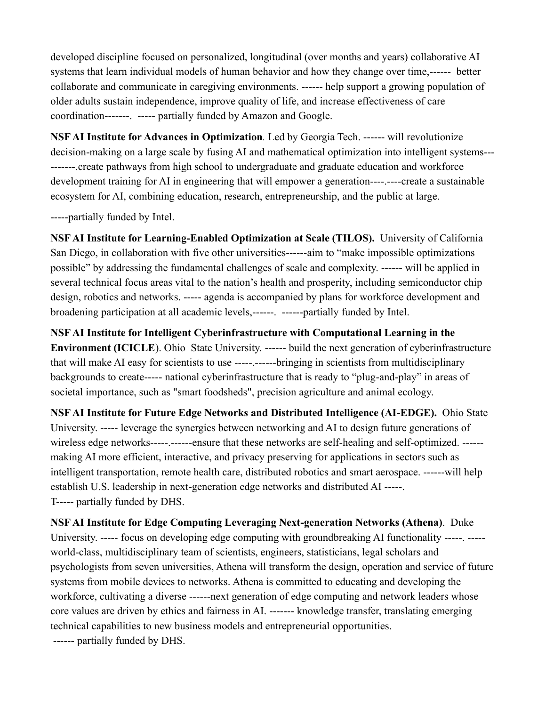developed discipline focused on personalized, longitudinal (over months and years) collaborative AI systems that learn individual models of human behavior and how they change over time,------ better collaborate and communicate in caregiving environments. ------ help support a growing population of older adults sustain independence, improve quality of life, and increase effectiveness of care coordination-------. ----- partially funded by Amazon and Google.

**NSF AI Institute for Advances in Optimization***.* Led by Georgia Tech. ------ will revolutionize decision-making on a large scale by fusing AI and mathematical optimization into intelligent systems--- -------.create pathways from high school to undergraduate and graduate education and workforce development training for AI in engineering that will empower a generation----.----create a sustainable ecosystem for AI, combining education, research, entrepreneurship, and the public at large.

-----partially funded by Intel.

**NSF AI Institute for Learning-Enabled Optimization at Scale (TILOS).** University of California San Diego, in collaboration with five other universities------aim to "make impossible optimizations possible" by addressing the fundamental challenges of scale and complexity. ------ will be applied in several technical focus areas vital to the nation's health and prosperity, including semiconductor chip design, robotics and networks. ----- agenda is accompanied by plans for workforce development and broadening participation at all academic levels,------. ------partially funded by Intel.

**NSF AI Institute for Intelligent Cyberinfrastructure with Computational Learning in the Environment (ICICLE**). Ohio State University. ------ build the next generation of cyberinfrastructure that will make AI easy for scientists to use -----.------bringing in scientists from multidisciplinary backgrounds to create----- national cyberinfrastructure that is ready to "plug-and-play" in areas of societal importance, such as "smart foodsheds", precision agriculture and animal ecology.

**NSF AI Institute for Future Edge Networks and Distributed Intelligence (AI-EDGE).** Ohio State University. ----- leverage the synergies between networking and AI to design future generations of wireless edge networks-----.------ensure that these networks are self-healing and self-optimized. -----making AI more efficient, interactive, and privacy preserving for applications in sectors such as intelligent transportation, remote health care, distributed robotics and smart aerospace. ------will help establish U.S. leadership in next-generation edge networks and distributed AI -----. T----- partially funded by DHS.

**NSF AI Institute for Edge Computing Leveraging Next-generation Networks (Athena)**. Duke University. ----- focus on developing edge computing with groundbreaking AI functionality -----. ---- world-class, multidisciplinary team of scientists, engineers, statisticians, legal scholars and psychologists from seven universities, Athena will transform the design, operation and service of future systems from mobile devices to networks. Athena is committed to educating and developing the workforce, cultivating a diverse ------next generation of edge computing and network leaders whose core values are driven by ethics and fairness in AI. ------- knowledge transfer, translating emerging technical capabilities to new business models and entrepreneurial opportunities. ------ partially funded by DHS.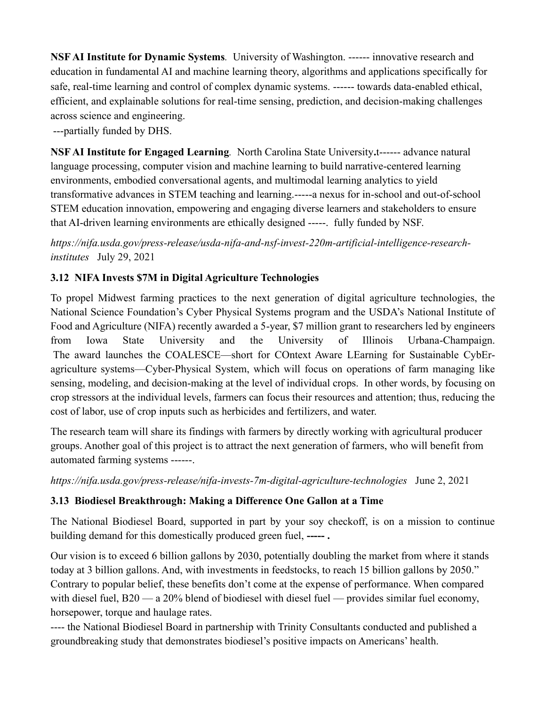**NSF AI Institute for Dynamic Systems***.* University of Washington. ------ innovative research and education in fundamental AI and machine learning theory, algorithms and applications specifically for safe, real-time learning and control of complex dynamic systems. ------ towards data-enabled ethical, efficient, and explainable solutions for real-time sensing, prediction, and decision-making challenges across science and engineering.

---partially funded by DHS.

**NSF AI Institute for Engaged Learning***.* North Carolina State University**.**t------ advance natural language processing, computer vision and machine learning to build narrative-centered learning environments, embodied conversational agents, and multimodal learning analytics to yield transformative advances in STEM teaching and learning.-----a nexus for in-school and out-of-school STEM education innovation, empowering and engaging diverse learners and stakeholders to ensure that AI-driven learning environments are ethically designed -----. fully funded by NSF.

*[https://nifa.usda.gov/press-release/usda-nifa-and-nsf-invest-220m-artificial-intelligence-research](https://nifa.usda.gov/press-release/usda-nifa-and-nsf-invest-220m-artificial-intelligence-research-institutes)[institutes](https://nifa.usda.gov/press-release/usda-nifa-and-nsf-invest-220m-artificial-intelligence-research-institutes)* July 29, 2021

# **3.12 NIFA Invests \$7M in Digital Agriculture Technologies**

To propel Midwest farming practices to the next generation of digital agriculture technologies, the National Science Foundation's Cyber Physical Systems program and the USDA's National Institute of Food and Agriculture (NIFA) recently awarded a 5-year, \$7 million grant to researchers led by engineers from Iowa State University and the University of Illinois Urbana-Champaign. The award launches the COALESCE—short for COntext Aware LEarning for Sustainable CybEragriculture systems—Cyber-Physical System, which will focus on operations of farm managing like sensing, modeling, and decision-making at the level of individual crops. In other words, by focusing on crop stressors at the individual levels, farmers can focus their resources and attention; thus, reducing the cost of labor, use of crop inputs such as herbicides and fertilizers, and water.

The research team will share its findings with farmers by directly working with agricultural producer groups. Another goal of this project is to attract the next generation of farmers, who will benefit from automated farming systems ------.

*<https://nifa.usda.gov/press-release/nifa-invests-7m-digital-agriculture-technologies>* June 2, 2021

# **3.13 Biodiesel Breakthrough: Making a Difference One Gallon at a Time**

The National Biodiesel Board, supported in part by your soy checkoff, is on a mission to continue building demand for this domestically produced green fuel, **----- .**

Our vision is to exceed 6 billion gallons by 2030, potentially doubling the market from where it stands today at 3 billion gallons. And, with investments in feedstocks, to reach 15 billion gallons by 2050." Contrary to popular belief, these benefits don't come at the expense of performance. When compared with diesel fuel, B20 — a 20% blend of biodiesel with diesel fuel — provides similar fuel economy, horsepower, torque and haulage rates.

---- the National Biodiesel Board in partnership with Trinity Consultants conducted and published a [groundbreaking study](https://www.unitedsoybean.org/article/new-biodiesel-research-findings-indicate-health-benefits) that demonstrates biodiesel's positive impacts on Americans' health.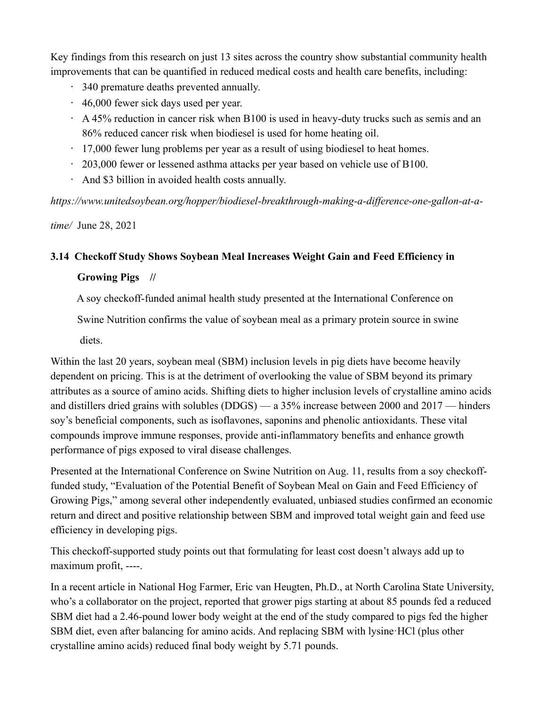Key findings from [this research](https://www.biodiesel.org/news-resources/health-benefits-study) on just 13 sites across the country show substantial community health improvements that can be quantified in reduced medical costs and health care benefits, including:

- 340 premature deaths prevented annually.
- 46,000 fewer sick days used per year.
- $\cdot$  A 45% reduction in cancer risk when B100 is used in heavy-duty trucks such as semis and an 86% reduced cancer risk when biodiesel is used for home heating oil.
- $\cdot$  17,000 fewer lung problems per year as a result of using biodiesel to heat homes.
- 203,000 fewer or lessened asthma attacks per year based on vehicle use of B100.
- And \$3 billion in avoided health costs annually.

*[https://www.unitedsoybean.org/hopper/biodiesel-breakthrough-making-a-difference-one-gallon-at-a-](https://www.unitedsoybean.org/hopper/biodiesel-breakthrough-making-a-difference-one-gallon-at-a-time/)*

*[time/](https://www.unitedsoybean.org/hopper/biodiesel-breakthrough-making-a-difference-one-gallon-at-a-time/)* June 28, 2021

# **3.14 Checkoff Study Shows Soybean Meal Increases Weight Gain and Feed Efficiency in**

### **Growing Pigs //**

A soy checkoff-funded animal health study presented at the International Conference on

Swine Nutrition confirms the value of soybean meal as a primary protein source in swine

diets.

Within the last 20 years, soybean meal (SBM) inclusion levels in pig diets have become heavily dependent on pricing. This is at the detriment of overlooking the value of SBM beyond its primary attributes as a source of amino acids. Shifting diets to higher inclusion levels of crystalline amino acids and distillers dried grains with solubles (DDGS) — a 35% increase between 2000 and 2017 — hinders soy's beneficial components, such as isoflavones, saponins and phenolic antioxidants. These vital compounds improve immune responses, provide anti-inflammatory benefits and enhance growth performance of pigs exposed to viral disease challenges.

Presented at the [International Conference on Swine Nutrition](http://www.regcytes.extension.iastate.edu/swinenutrition/wp-content/uploads/sites/16/2021/07/ISN-Conference-Program-.pdf) on Aug. 11, results from a soy checkofffunded study, "Evaluation of the Potential Benefit of Soybean Meal on Gain and Feed Efficiency of Growing Pigs," among several other independently evaluated, unbiased studies confirmed an economic return and direct and positive relationship between SBM and improved total weight gain and feed use efficiency in developing pigs.

This checkoff-supported study points out that formulating for least cost doesn't always add up to maximum profit, ----.

In a recent article in [National Hog Farmer,](https://www.nationalhogfarmer.com/news/potential-benefit-soybean-meal-gain-feed-efficiency-growing-pigs) Eric van Heugten, Ph.D., at North Carolina State University, who's a collaborator on the project, reported that grower pigs starting at about 85 pounds fed a reduced SBM diet had a 2.46-pound lower body weight at the end of the study compared to pigs fed the higher SBM diet, even after balancing for amino acids. And replacing SBM with lysine·HCl (plus other crystalline amino acids) reduced final body weight by 5.71 pounds.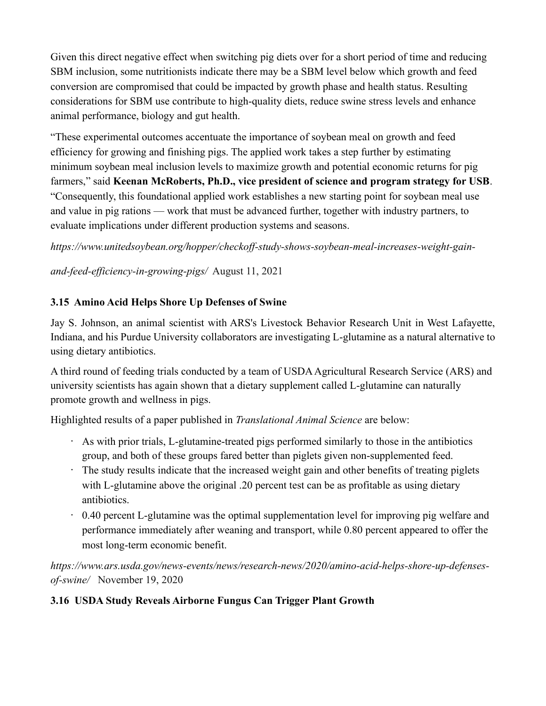Given this direct negative effect when switching pig diets over for a short period of time and reducing SBM inclusion, some nutritionists indicate there may be a SBM level below which growth and feed conversion are compromised that could be impacted by growth phase and health status. Resulting considerations for SBM use contribute to high-quality diets, reduce swine stress levels and enhance animal performance, biology and gut health.

"These experimental outcomes accentuate the importance of soybean meal on growth and feed efficiency for growing and finishing pigs. The applied work takes a step further by estimating minimum soybean meal inclusion levels to maximize growth and potential economic returns for pig farmers," said **Keenan McRoberts, Ph.D., vice president of science and program strategy for USB**. "Consequently, this foundational applied work establishes a new starting point for soybean meal use and value in pig rations — work that must be advanced further, together with industry partners, to evaluate implications under different production systems and seasons.

*[https://www.unitedsoybean.org/hopper/checkoff-study-shows-soybean-meal-increases-weight-gain-](https://www.unitedsoybean.org/hopper/checkoff-study-shows-soybean-meal-increases-weight-gain-and-feed-efficiency-in-growing-pigs/)*

*[and-feed-efficiency-in-growing-pigs/](https://www.unitedsoybean.org/hopper/checkoff-study-shows-soybean-meal-increases-weight-gain-and-feed-efficiency-in-growing-pigs/)* August 11, 2021

# **3.15 Amino Acid Helps Shore Up Defenses of Swine**

[Jay S. Johnson,](https://www.ars.usda.gov/people-locations/person?person-id=51354) an animal scientist with ARS's [Livestock Behavior Research Unit](https://www.ars.usda.gov/midwest-area/west-lafayette-in/livestock-behavior-research/) in West Lafayette, Indiana, and his Purdue University collaborators are investigating L-glutamine as a natural alternative to using dietary antibiotics.

A third round of feeding trials conducted by a team of USDA Agricultural Research Service [\(ARS\)](https://www.ars.usda.gov/) and university scientists has again shown that a dietary supplement called L-glutamine can naturally promote growth and wellness in pigs.

Highlighted results of a paper published in *Translational Animal Science* are below:

- As with prior trials, L-glutamine-treated pigs performed similarly to those in the antibiotics group, and both of these groups fared better than piglets given non-supplemented feed.
- The study results indicate that the increased weight gain and other benefits of treating piglets with L-glutamine above the original .20 percent test can be as profitable as using dietary antibiotics.
- 0.40 percent L-glutamine was the optimal supplementation level for improving pig welfare and performance immediately after weaning and transport, while 0.80 percent appeared to offer the most long-term economic benefit.

*[https://www.ars.usda.gov/news-events/news/research-news/2020/amino-acid-helps-shore-up-defenses](https://www.ars.usda.gov/news-events/news/research-news/2020/amino-acid-helps-shore-up-defenses-of-swine/)[of-swine/](https://www.ars.usda.gov/news-events/news/research-news/2020/amino-acid-helps-shore-up-defenses-of-swine/)* November 19, 2020

# **3.16 USDA Study Reveals Airborne Fungus Can Trigger Plant Growth**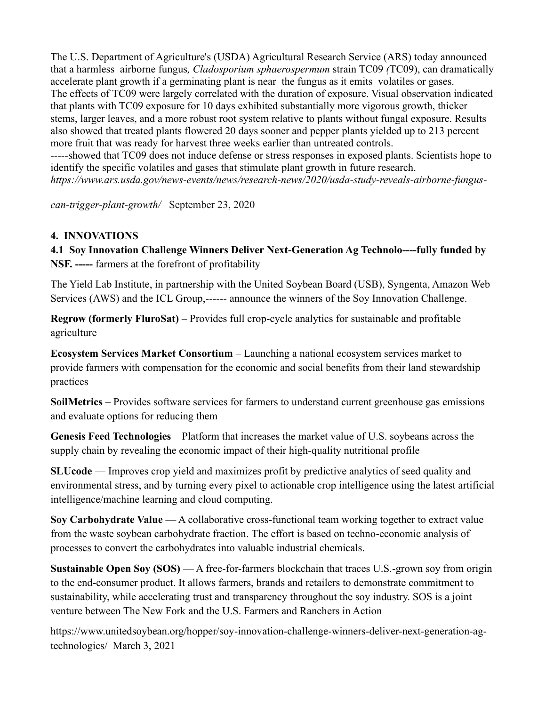The U.S. Department of Agriculture's (USDA) Agricultural Research Service (ARS) today announced that a harmless airborne fungus*, Cladosporium sphaerospermum* strain TC09 *(*TC09), can dramatically accelerate plant growth if a germinating plant is near the fungus as it emits volatiles or gases. The effects of TC09 were largely correlated with the duration of exposure. Visual observation indicated that plants with TC09 exposure for 10 days exhibited substantially more vigorous growth, thicker stems, larger leaves, and a more robust root system relative to plants without fungal exposure. Results also showed that treated plants flowered 20 days sooner and pepper plants yielded up to 213 percent more fruit that was ready for harvest three weeks earlier than untreated controls. -----showed that TC09 does not induce defense or stress responses in exposed plants. Scientists hope to identify the specific volatiles and gases that stimulate plant growth in future research.

*[https://www.ars.usda.gov/news-events/news/research-news/2020/usda-study-reveals-airborne-fungus-](https://www.ars.usda.gov/news-events/news/research-news/2020/usda-study-reveals-airborne-fungus-can-trigger-plant-growth/)*

*[can-trigger-plant-growth/](https://www.ars.usda.gov/news-events/news/research-news/2020/usda-study-reveals-airborne-fungus-can-trigger-plant-growth/)* September 23, 2020

### **4. INNOVATIONS**

**4.1 Soy Innovation Challenge Winners Deliver Next-Generation Ag Technolo----fully funded by NSF. -----** farmers at the forefront of profitability

The Yield Lab Institute, in partnership with the United Soybean Board (USB), Syngenta, Amazon Web Services (AWS) and the ICL Group,------ announce the winners of the Soy Innovation Challenge.

**Regrow (formerly FluroSat)** – Provides full crop-cycle analytics for sustainable and profitable agriculture

**Ecosystem Services Market Consortium** – Launching a national ecosystem services market to provide farmers with compensation for the economic and social benefits from their land stewardship practices

**SoilMetrics** – Provides software services for farmers to understand current greenhouse gas emissions and evaluate options for reducing them

**Genesis Feed Technologies** – Platform that increases the market value of U.S. soybeans across the supply chain by revealing the economic impact of their high-quality nutritional profile

**SLUcode** — Improves crop yield and maximizes profit by predictive analytics of seed quality and environmental stress, and by turning every pixel to actionable crop intelligence using the latest artificial intelligence/machine learning and cloud computing.

**Soy Carbohydrate Value** — A collaborative cross-functional team working together to extract value from the waste soybean carbohydrate fraction. The effort is based on techno-economic analysis of processes to convert the carbohydrates into valuable industrial chemicals.

**Sustainable Open Soy (SOS)** — A free-for-farmers blockchain that traces U.S.-grown soy from origin to the end-consumer product. It allows farmers, brands and retailers to demonstrate commitment to sustainability, while accelerating trust and transparency throughout the soy industry. SOS is a joint venture between [The New Fork](https://thenewfork.com/) and the [U.S. Farmers and Ranchers in Action](https://usfarmersandranchers.org/)

[https://www.unitedsoybean.org/hopper/soy-innovation-challenge-winners-deliver-next-generation-ag](https://www.unitedsoybean.org/hopper/soy-innovation-challenge-winners-deliver-next-generation-ag-technologies/)[technologies/](https://www.unitedsoybean.org/hopper/soy-innovation-challenge-winners-deliver-next-generation-ag-technologies/) [March](https://www.unitedsoybean.org/hopper/soy-innovation-challenge-winners-deliver-next-generation-ag-technologies/March) 3, 2021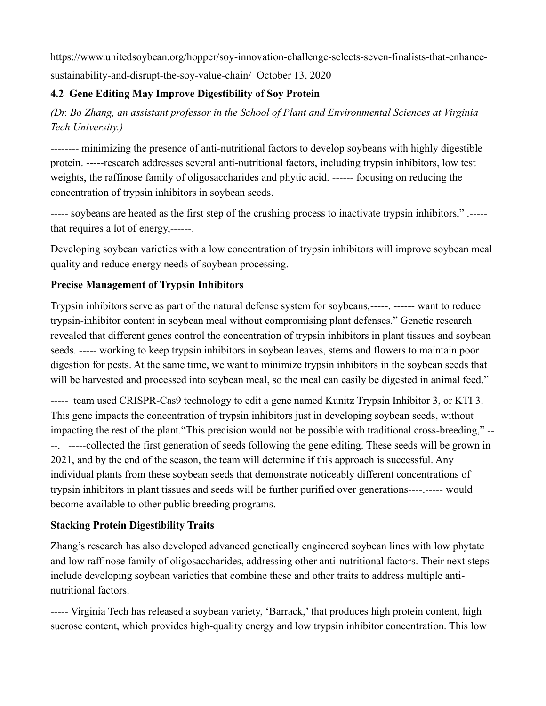[https://www.unitedsoybean.org/hopper/soy-innovation-challenge-selects-seven-finalists-that-enhance](https://www.unitedsoybean.org/hopper/soy-innovation-challenge-selects-seven-finalists-that-enhance-sustainability-and-disrupt-the-soy-value-chain/)[sustainability-and-disrupt-the-soy-value-chain/](https://www.unitedsoybean.org/hopper/soy-innovation-challenge-selects-seven-finalists-that-enhance-sustainability-and-disrupt-the-soy-value-chain/) October 13, 2020

# **4.2 Gene Editing May Improve Digestibility of Soy Protein**

*(Dr. Bo Zhang, an assistant professor in the School of Plant and Environmental Sciences at Virginia Tech University.)*

-------- minimizing the presence of anti-nutritional factors to develop soybeans with highly digestible protein. -----research addresses several anti-nutritional factors, including trypsin inhibitors, low test weights, the raffinose family of oligosaccharides and phytic acid. ------ focusing on reducing the concentration of trypsin inhibitors in soybean seeds.

----- soybeans are heated as the first step of the crushing process to inactivate trypsin inhibitors," .---- that requires a lot of energy,------.

Developing soybean varieties with a low concentration of trypsin inhibitors will improve soybean meal quality and reduce energy needs of soybean processing.

# **Precise Management of Trypsin Inhibitors**

Trypsin inhibitors serve as part of the natural defense system for soybeans,-----. ------ want to reduce trypsin-inhibitor content in soybean meal without compromising plant defenses." Genetic research revealed that different genes control the concentration of trypsin inhibitors in plant tissues and soybean seeds. ----- working to keep trypsin inhibitors in soybean leaves, stems and flowers to maintain poor digestion for pests. At the same time, we want to minimize trypsin inhibitors in the soybean seeds that will be harvested and processed into soybean meal, so the meal can easily be digested in animal feed."

----- team used CRISPR-Cas9 technology to edit a gene named Kunitz Trypsin Inhibitor 3, or KTI 3. This gene impacts the concentration of trypsin inhibitors just in developing soybean seeds, without impacting the rest of the plant."This precision would not be possible with traditional cross-breeding," -- --. -----collected the first generation of seeds following the gene editing. These seeds will be grown in 2021, and by the end of the season, the team will determine if this approach is successful. Any individual plants from these soybean seeds that demonstrate noticeably different concentrations of trypsin inhibitors in plant tissues and seeds will be further purified over generations----.----- would become available to other public breeding programs.

# **Stacking Protein Digestibility Traits**

Zhang's research has also developed advanced genetically engineered soybean lines with low phytate and low raffinose family of oligosaccharides, addressing other anti-nutritional factors. Their next steps include developing soybean varieties that combine these and other traits to address multiple antinutritional factors.

----- Virginia Tech has released a soybean variety, 'Barrack,' that produces [high protein content,](https://soybeanresearchinfo.com/research-highlight/high-protein-content-soybean-genetics-research/) high sucrose content, which provides high-quality energy and low trypsin inhibitor concentration. This low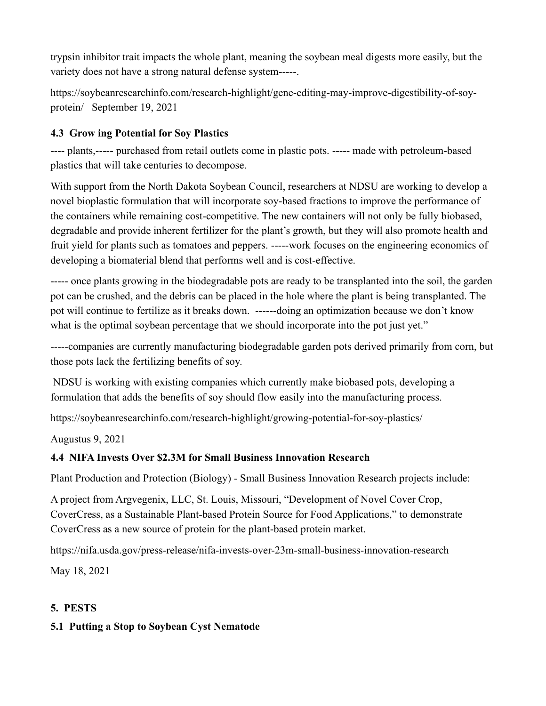trypsin inhibitor trait impacts the whole plant, meaning the soybean meal digests more easily, but the variety does not have a strong natural defense system-----.

[https://soybeanresearchinfo.com/research-highlight/gene-editing-may-improve-digestibility-of-soy](https://soybeanresearchinfo.com/research-highlight/gene-editing-may-improve-digestibility-of-soy-protein/)[protein/](https://soybeanresearchinfo.com/research-highlight/gene-editing-may-improve-digestibility-of-soy-protein/) September 19, 2021

## **4.3 Grow ing Potential for Soy Plastics**

---- plants,----- purchased from retail outlets come in plastic pots. ----- made with petroleum-based plastics that will take centuries to decompose.

With support from the North Dakota Soybean Council, researchers at NDSU are working to develop a novel bioplastic formulation that will incorporate soy-based fractions to improve the performance of the containers while remaining cost-competitive. The new containers will not only be fully biobased, degradable and provide inherent fertilizer for the plant's growth, but they will also promote health and fruit yield for plants such as tomatoes and peppers. -----work focuses on the engineering economics of developing a biomaterial blend that performs well and is cost-effective.

----- once plants growing in the biodegradable pots are ready to be transplanted into the soil, the garden pot can be crushed, and the debris can be placed in the hole where the plant is being transplanted. The pot will continue to fertilize as it breaks down. ------doing an optimization because we don't know what is the optimal soybean percentage that we should incorporate into the pot just yet."

-----companies are currently manufacturing biodegradable garden pots derived primarily from corn, but those pots lack the fertilizing benefits of soy.

NDSU is working with existing companies which currently make biobased pots, developing a formulation that adds the benefits of soy should flow easily into the manufacturing process.

<https://soybeanresearchinfo.com/research-highlight/growing-potential-for-soy-plastics/>

Augustus 9, 2021

#### **4.4 NIFA Invests Over \$2.3M for Small Business Innovation Research**

[Plant Production and Protection \(Biology\)](https://go.usa.gov/xH4HV) - Small Business Innovation Research projects include:

A project from Argvegenix, LLC, St. Louis, Missouri, "Development of Novel Cover Crop, CoverCress, as a Sustainable Plant-based Protein Source for Food Applications," to demonstrate CoverCress as a new source of protein for the plant-based protein market.

<https://nifa.usda.gov/press-release/nifa-invests-over-23m-small-business-innovation-research>

May 18, 2021

# **5. PESTS**

#### **5.1 Putting a Stop to Soybean Cyst Nematode**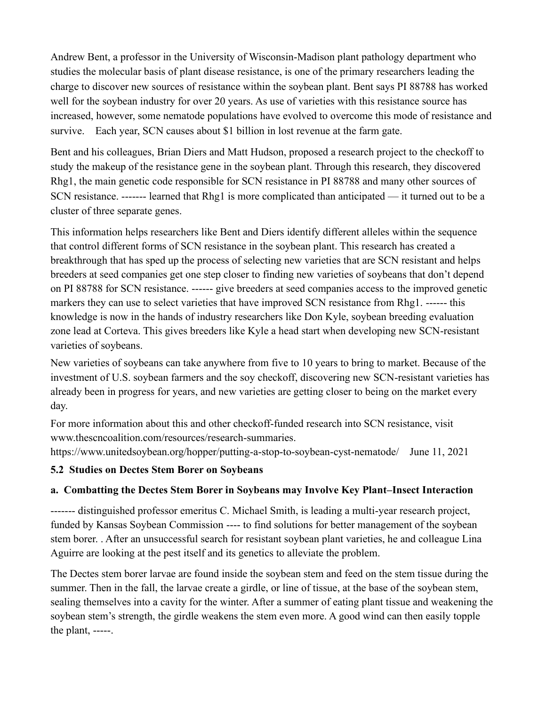Andrew Bent, a professor in the University of Wisconsin-Madison plant pathology department who studies the molecular basis of plant disease resistance, is one of the primary researchers leading the charge to discover new sources of resistance within the soybean plant. Bent says PI 88788 has worked well for the soybean industry for over 20 years. As use of varieties with this resistance source has increased, however, some nematode populations have evolved to overcome this mode of resistance and survive. Each year, SCN causes about \$1 billion in lost revenue at the farm gate.

Bent and his colleagues, Brian Diers and Matt Hudson, proposed a research project to the checkoff to study the makeup of the resistance gene in the soybean plant. Through this research, they discovered Rhg1, the main genetic code responsible for SCN resistance in PI 88788 and many other sources of SCN resistance. ------- learned that Rhg1 is more complicated than anticipated — it turned out to be a cluster of three separate genes.

This information helps researchers like Bent and Diers identify different alleles within the sequence that control different forms of SCN resistance in the soybean plant. This research has created a breakthrough that has sped up the process of selecting new varieties that are SCN resistant and helps breeders at seed companies get one step closer to finding new varieties of soybeans that don't depend on PI 88788 for SCN resistance. ------ give breeders at seed companies access to the improved genetic markers they can use to select varieties that have improved SCN resistance from Rhg1. ------ this knowledge is now in the hands of industry researchers like Don Kyle, soybean breeding evaluation zone lead at Corteva. This gives breeders like Kyle a head start when developing new SCN-resistant varieties of soybeans.

New varieties of soybeans can take anywhere from five to 10 years to bring to market. Because of the investment of U.S. soybean farmers and the soy checkoff, discovering new SCN-resistant varieties has already been in progress for years, and new varieties are getting closer to being on the market every day.

For more information about this and other checkoff-funded research into SCN resistance, visit [www.thescncoalition.com/resources/research-summaries.](http://www.thescncoalition.com/resources/research-summaries)

https://www.unitedsoybean.org/hopper/putting-a-stop-to-soybean-cyst-nematode/ June 11, 2021

#### **5.2 Studies on Dectes Stem Borer on Soybeans**

# **a. Combatting the Dectes Stem Borer in Soybeans may Involve Key Plant–Insect Interaction**

------- distinguished professor emeritus C. Michael Smith, is leading a multi-year research project, funded by Kansas Soybean Commission ---- to find solutions for better management of the soybean stem borer. . After an unsuccessful search for resistant soybean plant varieties, he and colleague Lina Aguirre are looking at the pest itself and its genetics to alleviate the problem.

The Dectes stem borer larvae are found inside the soybean stem and feed on the stem tissue during the summer. Then in the fall, the larvae create a girdle, or line of tissue, at the base of the soybean stem, sealing themselves into a cavity for the winter. After a summer of eating plant tissue and weakening the soybean stem's strength, the girdle weakens the stem even more. A good wind can then easily topple the plant, -----.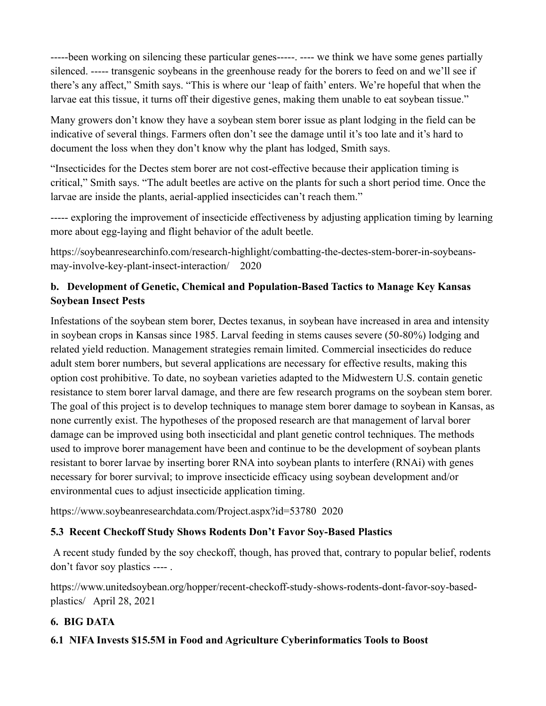-----been working on silencing these particular genes-----. ---- we think we have some genes partially silenced. ----- transgenic soybeans in the greenhouse ready for the borers to feed on and we'll see if there's any affect," Smith says. "This is where our 'leap of faith' enters. We're hopeful that when the larvae eat this tissue, it turns off their digestive genes, making them unable to eat soybean tissue."

Many growers don't know they have a soybean stem borer issue as plant lodging in the field can be indicative of several things. Farmers often don't see the damage until it's too late and it's hard to document the loss when they don't know why the plant has lodged, Smith says.

"Insecticides for the Dectes stem borer are not cost-effective because their application timing is critical," Smith says. "The adult beetles are active on the plants for such a short period time. Once the larvae are inside the plants, aerial-applied insecticides can't reach them."

----- exploring the improvement of insecticide effectiveness by adjusting application timing by learning more about egg-laying and flight behavior of the adult beetle.

[https://soybeanresearchinfo.com/research-highlight/combatting-the-dectes-stem-borer-in-soybeans](https://soybeanresearchinfo.com/research-highlight/combatting-the-dectes-stem-borer-in-soybeans-may-involve-key-plant-insect-interaction/)[may-involve-key-plant-insect-interaction/](https://soybeanresearchinfo.com/research-highlight/combatting-the-dectes-stem-borer-in-soybeans-may-involve-key-plant-insect-interaction/) 2020

# **b. Development of Genetic, Chemical and Population-Based Tactics to Manage Key Kansas Soybean Insect Pests**

Infestations of the soybean stem borer, Dectes texanus, in soybean have increased in area and intensity in soybean crops in Kansas since 1985. Larval feeding in stems causes severe (50-80%) lodging and related yield reduction. Management strategies remain limited. Commercial insecticides do reduce adult stem borer numbers, but several applications are necessary for effective results, making this option cost prohibitive. To date, no soybean varieties adapted to the Midwestern U.S. contain genetic resistance to stem borer larval damage, and there are few research programs on the soybean stem borer. The goal of this project is to develop techniques to manage stem borer damage to soybean in Kansas, as none currently exist. The hypotheses of the proposed research are that management of larval borer damage can be improved using both insecticidal and plant genetic control techniques. The methods used to improve borer management have been and continue to be the development of soybean plants resistant to borer larvae by inserting borer RNA into soybean plants to interfere (RNAi) with genes necessary for borer survival; to improve insecticide efficacy using soybean development and/or environmental cues to adjust insecticide application timing.

<https://www.soybeanresearchdata.com/Project.aspx?id=53780>2020

# **5.3 Recent Checkoff Study Shows Rodents Don't Favor Soy-Based Plastics**

[A recent study](https://pubs.acs.org/doi/10.1021/acssuschemeng.0c05868) funded by the soy checkoff, though, has proved that, contrary to popular belief, rodents don't favor soy plastics ---- .

[https://www.unitedsoybean.org/hopper/recent-checkoff-study-shows-rodents-dont-favor-soy-based](https://www.unitedsoybean.org/hopper/recent-checkoff-study-shows-rodents-dont-favor-soy-based-plastics/)[plastics/](https://www.unitedsoybean.org/hopper/recent-checkoff-study-shows-rodents-dont-favor-soy-based-plastics/) April 28, 2021

# **6. BIG DATA**

# **6.1 NIFA Invests \$15.5M in Food and Agriculture Cyberinformatics Tools to Boost**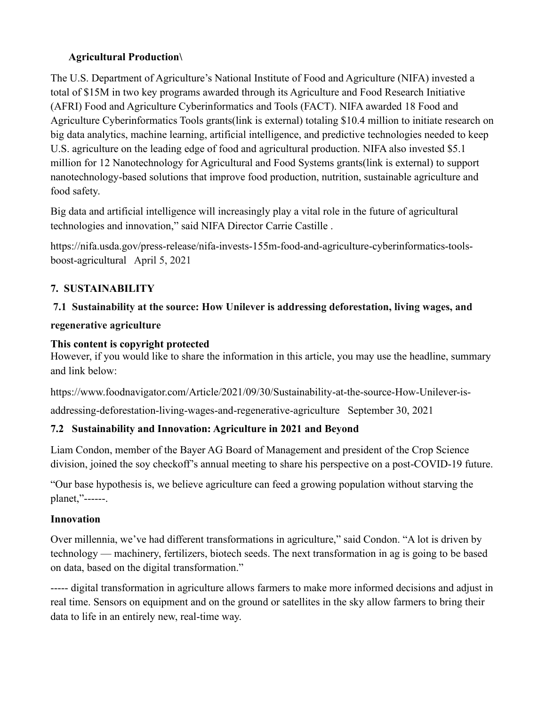# **Agricultural Production\**

The U.S. Department of Agriculture's National Institute of Food and Agriculture (NIFA) invested a total of \$15M in two key programs awarded through its Agriculture and Food Research Initiative (AFRI) Food and Agriculture Cyberinformatics and Tools (FACT). NIFA awarded [18 Food and](https://go.usa.gov/xsHGa)  [Agriculture Cyberinformatics Tools grants\(link is external\)](https://go.usa.gov/xsHGa) totaling \$10.4 million to initiate research on big data analytics, machine learning, artificial intelligence, and predictive technologies needed to keep U.S. agriculture on the leading edge of food and agricultural production. NIFA also invested \$5.1 million for [12 Nanotechnology for Agricultural and Food Systems grants\(link is external\)](https://go.usa.gov/xssga) to support nanotechnology-based solutions that improve food production, nutrition, sustainable agriculture and food safety.

Big data and artificial intelligence will increasingly play a vital role in the future of agricultural technologies and innovation," said NIFA Director Carrie Castille .

[https://nifa.usda.gov/press-release/nifa-invests-155m-food-and-agriculture-cyberinformatics-tools](https://nifa.usda.gov/press-release/nifa-invests-155m-food-and-agriculture-cyberinformatics-tools-boost-agricultural)[boost-agricultural](https://nifa.usda.gov/press-release/nifa-invests-155m-food-and-agriculture-cyberinformatics-tools-boost-agricultural) April 5, 2021

# **7. SUSTAINABILITY**

### **7.1 [Sustainability at the source: How Unilever is addressing deforestation, living wages, and](https://www.foodnavigator.com/Article/2021/09/30/Sustainability-at-the-source-How-Unilever-is-addressing-deforestation-living-wages-and-regenerative-agriculture?utm_source=copyright&utm_medium=OnSite&utm_campaign=copyright)**

#### **[regenerative agriculture](https://www.foodnavigator.com/Article/2021/09/30/Sustainability-at-the-source-How-Unilever-is-addressing-deforestation-living-wages-and-regenerative-agriculture?utm_source=copyright&utm_medium=OnSite&utm_campaign=copyright)**

#### **This content is copyright protected**

However, if you would like to share the information in this article, you may use the headline, summary and link below:

[https://www.foodnavigator.com/Article/2021/09/30/Sustainability-at-the-source-How-Unilever-is-](https://www.foodnavigator.com/Article/2021/09/30/Sustainability-at-the-source-How-Unilever-is-addressing-deforestation-living-wages-and-regenerative-agriculture)

[addressing-deforestation-living-wages-and-regenerative-agriculture](https://www.foodnavigator.com/Article/2021/09/30/Sustainability-at-the-source-How-Unilever-is-addressing-deforestation-living-wages-and-regenerative-agriculture) September 30, 2021

# **7.2 Sustainability and Innovation: Agriculture in 2021 and Beyond**

Liam Condon, member of the Bayer AG Board of Management and president of the Crop Science division, joined the soy checkoff's annual meeting to share his perspective on a post-COVID-19 future.

"Our base hypothesis is, we believe agriculture can feed a growing population without starving the planet,"------.

#### **Innovation**

Over millennia, we've had different transformations in agriculture," said Condon. "A lot is driven by technology — machinery, fertilizers, biotech seeds. The next transformation in ag is going to be based on data, based on the digital transformation."

----- digital transformation in agriculture allows farmers to make more informed decisions and adjust in real time. Sensors on equipment and on the ground or satellites in the sky allow farmers to bring their data to life in an entirely new, real-time way.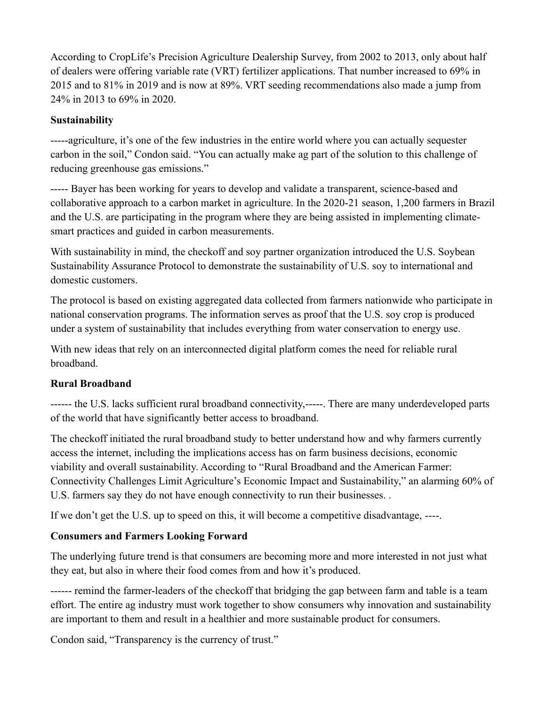According to CropLife's Precision Agriculture Dealership Survey, from 2002 to 2013, only about half of dealers were offering variable rate (VRT) fertilizer applications. That number increased to 69% in 2015 and to 81% in 2019 and is now at 89%. VRT seeding recommendations also made a jump from 24% in 2013 to 69% in 2020.

### **Sustainability**

-----agriculture, it's one of the few industries in the entire world where you can actually sequester carbon in the soil," Condon said. "You can actually make ag part of the solution to this challenge of reducing greenhouse gas emissions."

----- Bayer has been working for years to develop and validate a transparent, science-based and collaborative approach to a carbon market in agriculture. In the 2020-21 season, 1,200 farmers in Brazil and the U.S. are participating in the program where they are being assisted in implementing climatesmart practices and guided in carbon measurements.

With sustainability in mind, the checkoff and soy partner organization introduced the U.S. Soybean Sustainability Assurance Protocol to demonstrate the sustainability of U.S. soy to international and domestic customers.

The protocol is based on existing aggregated data collected from farmers nationwide who participate in national conservation programs. The information serves as proof that the U.S. soy crop is produced under a system of sustainability that includes everything from water conservation to energy use.

With new ideas that rely on an interconnected digital platform comes the need for reliable rural broadband.

#### **Rural Broadband**

------ the U.S. lacks sufficient rural broadband connectivity,-----. There are many underdeveloped parts of the world that have significantly better access to broadband.

The checkoff initiated the rural broadband study to better understand how and why farmers currently access the internet, including the implications access has on farm business decisions, economic viability and overall sustainability. According to ["Rural Broadband and the American Farmer:](https://www.unitedsoybean.org/article/study-rural-broadband-ag-technology)  [Connectivity Challenges Limit Agriculture's Economic Impact and Sustainability,](https://www.unitedsoybean.org/article/study-rural-broadband-ag-technology)" an alarming 60% of U.S. farmers say they do not have enough connectivity to run their businesses. .

If we don't get the U.S. up to speed on this, it will become a competitive disadvantage, ----.

# **Consumers and Farmers Looking Forward**

The underlying future trend is that consumers are becoming more and more interested in not just what they eat, but also in where their food comes from and how it's produced.

------ remind the farmer-leaders of the checkoff that bridging the gap between farm and table is a team effort. The entire ag industry must work together to show consumers why innovation and sustainability are important to them and result in a healthier and more sustainable product for consumers.

Condon said, "Transparency is the currency of trust."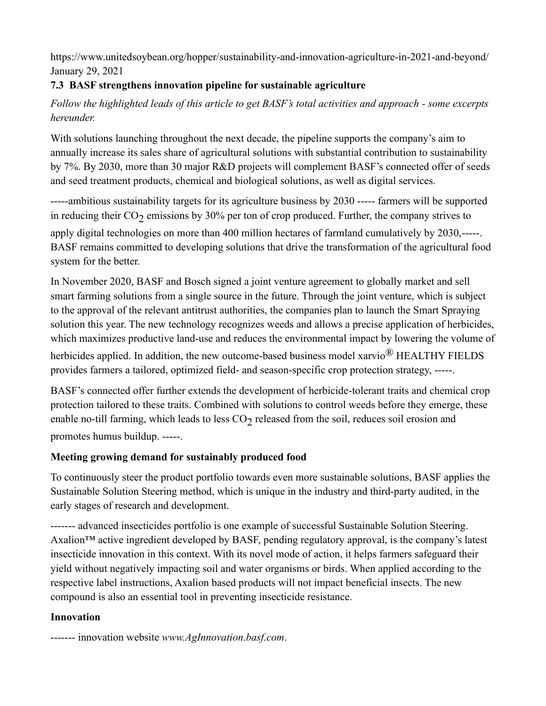<https://www.unitedsoybean.org/hopper/sustainability-and-innovation-agriculture-in-2021-and-beyond/> January 29, 2021

# **7.3 BASF strengthens innovation pipeline for sustainable agriculture**

# *Follow the highlighted leads of this article to get BASF's total activities and approach - some excerpts hereunder.*

With solutions launching throughout the next decade, the pipeline supports the company's aim to annually increase its sales share of [agricultural solutions with substantial contribution to sustainability](https://www.basf.com/global/en/media/news-releases/2020/11/p-20-365.html)  [by 7%.](https://www.basf.com/global/en/media/news-releases/2020/11/p-20-365.html) By 2030, more than 30 major R&D projects will complement BASF's connected offer of seeds and seed treatment products, chemical and biological solutions, as well as digital services.

----[-ambitious sustainability targets for its agriculture business by](https://www.basf.com/global/en/media/news-releases/2020/11/p-20-365.html) 2030 ----- farmers will be supported in reducing their  $\rm CO_2$  emissions by 30% per ton of crop produced. Further, the company strives to

apply digital technologies on more than 400 million hectares of farmland cumulatively by 2030,-----. BASF remains committed to developing solutions that drive the transformation of the agricultural food system for the better.

In November 2020, [BASF and Bosch signed a joint venture agreement](https://www.basf.com/global/en/media/news-releases/2020/11/p-20-361.html) to globally market and sell smart farming solutions from a single source in the future. Through the joint venture, which is subject to the approval of the relevant antitrust authorities, the companies plan to launch the [Smart Spraying](https://www.basf.com/global/en/media/news-releases/2020/11/p-20-361.html)  [solution](https://www.basf.com/global/en/media/news-releases/2020/11/p-20-361.html) this year. The new technology recognizes weeds and allows a precise application of herbicides, which maximizes productive land-use and reduces the environmental impact by lowering the volume of

herbicides applied. In addition, the new outcome-based business model xarvio<sup>®</sup> HEALTHY FIELDS provides farmers a tailored, optimized field- and season-specific crop protection strategy, -----.

BASF's connected offer further extends the development of herbicide-tolerant traits and chemical crop protection tailored to these traits. Combined with solutions to control weeds before they emerge, these enable no-till farming, which leads to less  $CO_2$  released from the soil, reduces soil erosion and promotes humus buildup. -----.

# **Meeting growing demand for sustainably produced food**

To continuously steer the product portfolio towards even more sustainable solutions, BASF applies the [Sustainable Solution Steering](https://www.basf.com/global/en/who-we-are/sustainability/we-drive-sustainable-solutions/sustainable-solution-steering.html) method, which is unique in the industry and third-party audited, in the early stages of research and development.

------- advanced insecticides portfolio is one example of successful Sustainable Solution Steering. Axalion<sup>™</sup> active ingredient developed by BASF, pending regulatory approval, is the company's latest insecticide innovation in this context. With its novel mode of action, it helps farmers safeguard their yield without negatively impacting soil and water organisms or birds. When applied according to the respective label instructions, Axalion based products will not impact beneficial insects. The new compound is also an essential tool in preventing insecticide resistance.

# **Innovation**

------- innovation website *[www.AgInnovation.basf.com](http://www.aginnovation.basf.com/)*.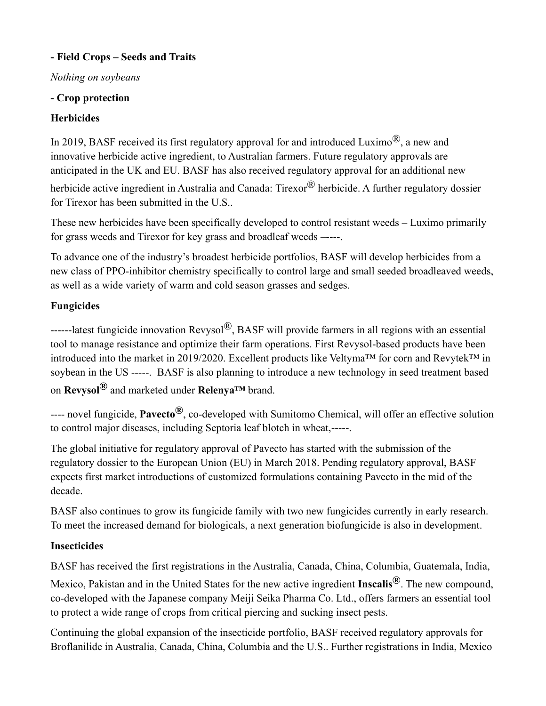# **- Field Crops – Seeds and Traits**

# *Nothing on soybeans*

# **- Crop protection**

# **Herbicides**

In 2019, BASF received its first regulatory approval for and introduced Luximo<sup>®</sup>, a new and innovative herbicide active ingredient, to Australian farmers. Future regulatory approvals are anticipated in the UK and EU. BASF has also received regulatory approval for an additional new

herbicide active ingredient in Australia and Canada: Tirexor® herbicide. A further regulatory dossier for Tirexor has been submitted in the U.S..

These new herbicides have been specifically developed to control resistant weeds – Luximo primarily for grass weeds and Tirexor for key grass and broadleaf weeds –----.

To advance one of the industry's broadest herbicide portfolios, BASF will develop herbicides from a new class of PPO-inhibitor chemistry specifically to control large and small seeded broadleaved weeds, as well as a wide variety of warm and cold season grasses and sedges.

# **Fungicides**

------latest fungicide innovation [Revysol](https://agriculture.basf.com/global/en/innovations-for-agriculture/innovation-for-fungicides/revysol.html)[®,](https://agriculture.basf.com/global/en/innovations-for-agriculture/innovation-for-fungicides/revysol.html) BASF will provide farmers in all regions with an essential tool to manage resistance and optimize their farm operations. First Revysol-based products have been introduced into the market in 2019/2020. Excellent products like Veltyma™ for corn and Revytek™ in soybean in the US -----. BASF is also planning to introduce a new technology in seed treatment based on **Revysol®** and marketed under **Relenya™** brand.

---- novel fungicide, **Pavecto®**, co-developed with Sumitomo Chemical, will offer an effective solution to control major diseases, including Septoria leaf blotch in wheat,-----.

The global initiative for regulatory approval of Pavecto has started with the submission of the regulatory dossier to the European Union (EU) in March 2018. Pending regulatory approval, BASF expects first market introductions of customized formulations containing Pavecto in the mid of the decade.

BASF also continues to grow its fungicide family with two new fungicides currently in early research. To meet the increased demand for biologicals, a next generation biofungicide is also in development.

# **Insecticides**

BASF has received the first registrations in the Australia, Canada, China, Columbia, Guatemala, India,

Mexico, Pakistan and in the United States for the new active ingredient **Inscalis®**. The new compound, co-developed with the Japanese company Meiji Seika Pharma Co. Ltd., offers farmers an essential tool to protect a wide range of crops from critical piercing and sucking insect pests.

Continuing the global expansion of the insecticide portfolio, BASF received regulatory approvals for Broflanilide in Australia, Canada, China, Columbia and the U.S.. Further registrations in India, Mexico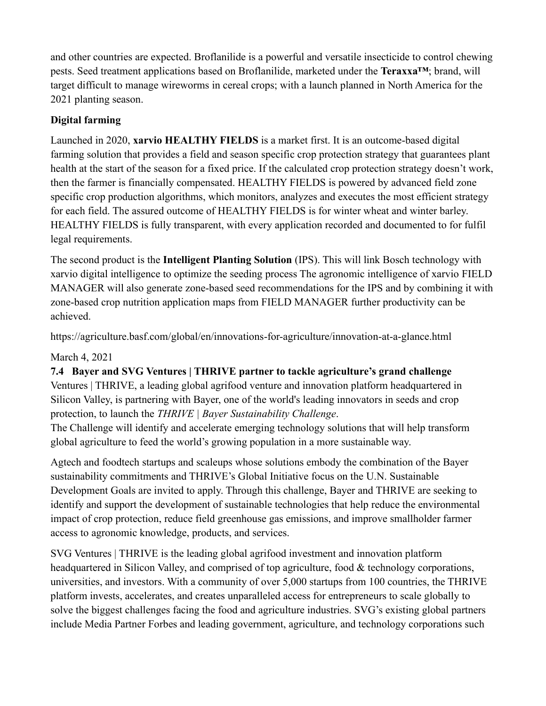and other countries are expected. Broflanilide is a powerful and versatile insecticide to control chewing pests. Seed treatment applications based on Broflanilide, marketed under the **Teraxxa™**; brand, will target difficult to manage wireworms in cereal crops; with a launch planned in North America for the 2021 planting season.

# **Digital farming**

Launched in 2020, **xarvio HEALTHY FIELDS** is a market first. It is an outcome-based digital farming solution that provides a field and season specific crop protection strategy that guarantees plant health at the start of the season for a fixed price. If the calculated crop protection strategy doesn't work, then the farmer is financially compensated. HEALTHY FIELDS is powered by advanced field zone specific crop production algorithms, which monitors, analyzes and executes the most efficient strategy for each field. The assured outcome of HEALTHY FIELDS is for winter wheat and winter barley. HEALTHY FIELDS is fully transparent, with every application recorded and documented to for fulfil legal requirements.

The second product is the **Intelligent Planting Solution** (IPS). This will link Bosch technology with xarvio digital intelligence to optimize the seeding process The agronomic intelligence of xarvio FIELD MANAGER will also generate zone-based seed recommendations for the IPS and by combining it with zone-based crop nutrition application maps from FIELD MANAGER further productivity can be achieved.

<https://agriculture.basf.com/global/en/innovations-for-agriculture/innovation-at-a-glance.html>

# March 4, 2021

# **7.4 Bayer and SVG Ventures | THRIVE partner to tackle agriculture's grand challenge**

Ventures | THRIVE, a leading global agrifood venture and innovation platform headquartered in Silicon Valley, is partnering with Bayer, one of the world's leading innovators in seeds and crop protection, to launch the *THRIVE | Bayer Sustainability Challenge*.

The Challenge will identify and accelerate emerging technology solutions that will help transform global agriculture to feed the world's growing population in a more sustainable way.

Agtech and foodtech startups and scaleups whose solutions embody the combination of the [Bayer](https://bit.ly/bayer_sustainability)  [sustainability commitments](https://bit.ly/bayer_sustainability) and [THRIVE's Global Initiative](https://thriveagrifood.com/global-initiative/) focus on the U.N. Sustainable Development Goals are invited to apply. Through this challenge, Bayer and THRIVE are seeking to identify and support the development of sustainable technologies that help reduce the environmental impact of crop protection, reduce field greenhouse gas emissions, and improve smallholder farmer access to agronomic knowledge, products, and services.

SVG Ventures | THRIVE is the leading global agrifood investment and innovation platform headquartered in Silicon Valley, and comprised of top agriculture, food & technology corporations, universities, and investors. With a community of over 5,000 startups from 100 countries, the THRIVE platform invests, accelerates, and creates unparalleled access for entrepreneurs to scale globally to solve the biggest challenges facing the food and agriculture industries. SVG's existing global partners include Media Partner Forbes and leading government, agriculture, and technology corporations such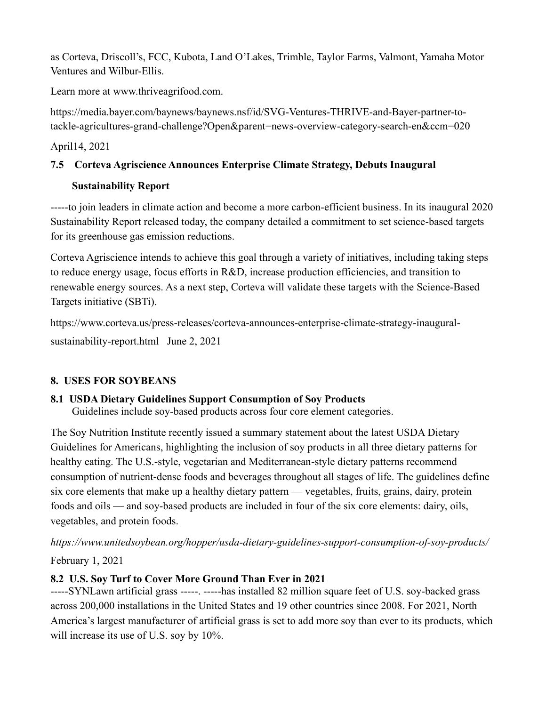as Corteva, Driscoll's, FCC, Kubota, Land O'Lakes, Trimble, Taylor Farms, Valmont, Yamaha Motor Ventures and Wilbur-Ellis.

Learn more at [www.thriveagrifood.com.](http://www.thriveagrifood.com/)

[https://media.bayer.com/baynews/baynews.nsf/id/SVG-Ventures-THRIVE-and-Bayer-partner-to](https://media.bayer.com/baynews/baynews.nsf/id/SVG-Ventures-THRIVE-and-Bayer-partner-to-tackle-agricultures-grand-challenge?Open&parent=news-overview-category-search-en&ccm=020)[tackle-agricultures-grand-challenge?Open&parent=news-overview-category-search-en&ccm=020](https://media.bayer.com/baynews/baynews.nsf/id/SVG-Ventures-THRIVE-and-Bayer-partner-to-tackle-agricultures-grand-challenge?Open&parent=news-overview-category-search-en&ccm=020)

April14, 2021

# **7.5 Corteva Agriscience Announces Enterprise Climate Strategy, Debuts Inaugural**

### **Sustainability Report**

-----to join leaders in climate action and become a more carbon-efficient business. In its inaugural [2020](https://www.corteva.com/sustainability/reporting.html)  [Sustainability Report](https://www.corteva.com/sustainability/reporting.html) released today, the company detailed a commitment to set science-based targets for its greenhouse gas emission reductions.

Corteva Agriscience intends to achieve this goal through a variety of initiatives, including taking steps to reduce energy usage, focus efforts in R&D, increase production efficiencies, and transition to renewable energy sources. As a next step, Corteva will validate these targets with the [Science-Based](https://sciencebasedtargets.org/)  [Targets initiative](https://sciencebasedtargets.org/) (SBTi).

[https://www.corteva.us/press-releases/corteva-announces-enterprise-climate-strategy-inaugural](https://www.corteva.us/press-releases/corteva-announces-enterprise-climate-strategy-inaugural-sustainability-report.html)[sustainability-report.html](https://www.corteva.us/press-releases/corteva-announces-enterprise-climate-strategy-inaugural-sustainability-report.html) June 2, 2021

# **8. USES FOR SOYBEANS**

# **8.1 USDA Dietary Guidelines Support Consumption of Soy Products**

Guidelines include soy-based products across four core element categories.

The Soy Nutrition Institute recently issued a [summary statement](https://thesoynutritioninstitute.com/new-u-s-dietary-guidelines-recommend-inclusion-of-soyfoods/) about the latest USD[A Dietary](https://www.dietaryguidelines.gov/)  [Guidelines for Americans,](https://www.dietaryguidelines.gov/) highlighting the inclusion of soy products in all three dietary patterns for healthy eating. The U.S.-style, vegetarian and Mediterranean-style dietary patterns recommend consumption of nutrient-dense foods and beverages throughout all stages of life. The guidelines define six core elements that make up a healthy dietary pattern — vegetables, fruits, grains, dairy, protein foods and oils — and soy-based products are included in four of the six core elements: dairy, oils, vegetables, and protein foods.

*<https://www.unitedsoybean.org/hopper/usda-dietary-guidelines-support-consumption-of-soy-products/>* February 1, 2021

# **8.2 U.S. Soy Turf to Cover More Ground Than Ever in 2021**

-----SYNLawn artificial grass -----. -----has installed 82 million square feet of U.S. soy-backed grass across 200,000 installations in the United States and 19 other countries since 2008. For 2021, North America's largest manufacturer of artificial grass is set to add more soy than ever to its products, which will increase its use of U.S. soy by 10%.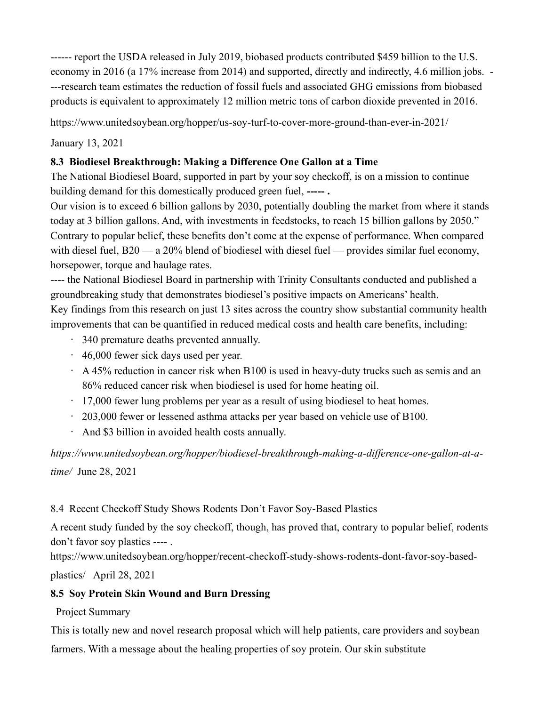------ [report](https://www.biopreferred.gov/BioPreferred/faces/pages/articles/EconAnalysis2018.xhtml) the USDA released in July 2019, biobased products contributed \$459 billion to the U.S. economy in 2016 (a 17% increase from 2014) and supported, directly and indirectly, 4.6 million jobs. - ---research team estimates the reduction of fossil fuels and associated GHG emissions from biobased products is equivalent to approximately 12 million metric tons of carbon dioxide prevented in 2016.

<https://www.unitedsoybean.org/hopper/us-soy-turf-to-cover-more-ground-than-ever-in-2021/>

January 13, 2021

### **8.3 Biodiesel Breakthrough: Making a Difference One Gallon at a Time**

The National Biodiesel Board, supported in part by your soy checkoff, is on a mission to continue building demand for this domestically produced green fuel, **----- .**

Our vision is to exceed 6 billion gallons by 2030, potentially doubling the market from where it stands today at 3 billion gallons. And, with investments in feedstocks, to reach 15 billion gallons by 2050." Contrary to popular belief, these benefits don't come at the expense of performance. When compared with diesel fuel, B20 — a 20% blend of biodiesel with diesel fuel — provides similar fuel economy, horsepower, torque and haulage rates.

---- the National Biodiesel Board in partnership with Trinity Consultants conducted and published a [groundbreaking study](https://www.unitedsoybean.org/article/new-biodiesel-research-findings-indicate-health-benefits) that demonstrates biodiesel's positive impacts on Americans' health. Key findings from [this research](https://www.biodiesel.org/news-resources/health-benefits-study) on just 13 sites across the country show substantial community health improvements that can be quantified in reduced medical costs and health care benefits, including:

- 340 premature deaths prevented annually.
- 46,000 fewer sick days used per year.
- $\cdot$  A 45% reduction in cancer risk when B100 is used in heavy-duty trucks such as semis and an 86% reduced cancer risk when biodiesel is used for home heating oil.
- $\cdot$  17,000 fewer lung problems per year as a result of using biodiesel to heat homes.
- 203,000 fewer or lessened asthma attacks per year based on vehicle use of B100.
- And \$3 billion in avoided health costs annually.

*[https://www.unitedsoybean.org/hopper/biodiesel-breakthrough-making-a-difference-one-gallon-at-a](https://www.unitedsoybean.org/hopper/biodiesel-breakthrough-making-a-difference-one-gallon-at-a-time/)[time/](https://www.unitedsoybean.org/hopper/biodiesel-breakthrough-making-a-difference-one-gallon-at-a-time/)* June 28, 2021

#### 8.4 Recent Checkoff Study Shows Rodents Don't Favor Soy-Based Plastics

[A recent study](https://pubs.acs.org/doi/10.1021/acssuschemeng.0c05868) funded by the soy checkoff, though, has proved that, contrary to popular belief, rodents don't favor soy plastics ---- .

[https://www.unitedsoybean.org/hopper/recent-checkoff-study-shows-rodents-dont-favor-soy-based-](https://www.unitedsoybean.org/hopper/recent-checkoff-study-shows-rodents-dont-favor-soy-based-plastics/)

[plastics/](https://www.unitedsoybean.org/hopper/recent-checkoff-study-shows-rodents-dont-favor-soy-based-plastics/) April 28, 2021

# **8.5 Soy Protein Skin Wound and Burn Dressing**

Project Summary

This is totally new and novel research proposal which will help patients, care providers and soybean farmers. With a message about the healing properties of soy protein. Our skin substitute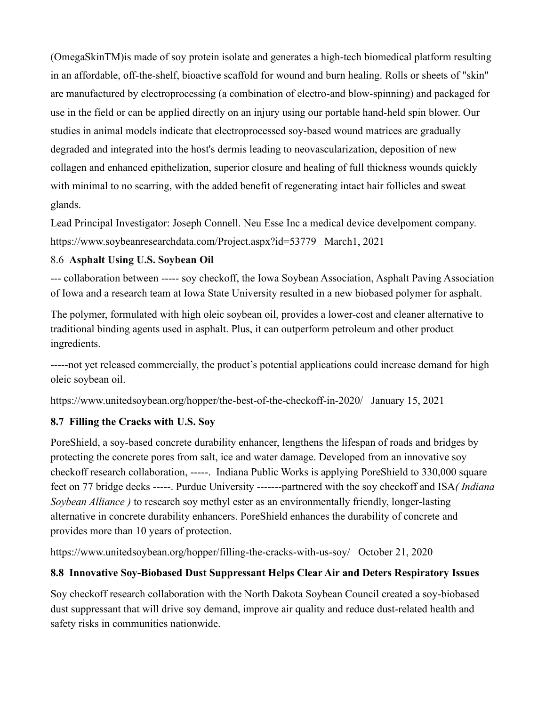(OmegaSkinTM)is made of soy protein isolate and generates a high-tech biomedical platform resulting in an affordable, off-the-shelf, bioactive scaffold for wound and burn healing. Rolls or sheets of "skin" are manufactured by electroprocessing (a combination of electro-and blow-spinning) and packaged for use in the field or can be applied directly on an injury using our portable hand-held spin blower. Our studies in animal models indicate that electroprocessed soy-based wound matrices are gradually degraded and integrated into the host's dermis leading to neovascularization, deposition of new collagen and enhanced epithelization, superior closure and healing of full thickness wounds quickly with minimal to no scarring, with the added benefit of regenerating intact hair follicles and sweat glands.

Lead Principal Investigator: Joseph Connell. Neu Esse Inc a medical device develpoment company. <https://www.soybeanresearchdata.com/Project.aspx?id=53779>March1, 2021

#### 8.6**[Asphalt Using U.S. Soybean Oil](https://youtu.be/cuNbdhEfD_4)**

--- collaboration between ----- soy checkoff, the Iowa Soybean Association, Asphalt Paving Association of Iowa and a research team at Iowa State University resulted in a new biobased polymer for asphalt.

The polymer, formulated with [high oleic soybean oil,](https://www.soyinnovation.com/) provides a lower-cost and cleaner alternative to traditional binding agents used in asphalt. Plus, it can outperform petroleum and other product ingredients.

-----not yet released commercially, the product's potential applications could increase demand for high oleic soybean oil.

<https://www.unitedsoybean.org/hopper/the-best-of-the-checkoff-in-2020/>January 15, 2021

#### **8.7 Filling the Cracks with U.S. Soy**

[PoreShield,](https://www.indianasoybean.com/checkoff-investments/new-use-innovation) a soy-based concrete durability enhancer, lengthens the lifespan of roads and bridges by protecting the concrete pores from salt, ice and water damage. Developed from an innovative soy checkoff research collaboration, -----. Indiana Public Works is applying PoreShield to 330,000 square feet on 77 bridge decks -----. Purdue University -------partnered with the soy checkoff and ISA*( Indiana Soybean Alliance )* to research soy methyl ester as an environmentally friendly, longer-lasting alternative in concrete durability enhancers. PoreShield enhances the durability of concrete and provides more than 10 years of protection.

<https://www.unitedsoybean.org/hopper/filling-the-cracks-with-us-soy/>October 21, 2020

#### **8.8 Innovative Soy-Biobased Dust Suppressant Helps Clear Air and Deters Respiratory Issues**

Soy checkoff research collaboration with the North Dakota Soybean Council created a soy-biobased dust suppressant that will drive soy demand, improve air quality and reduce dust-related health and safety risks in communities nationwide.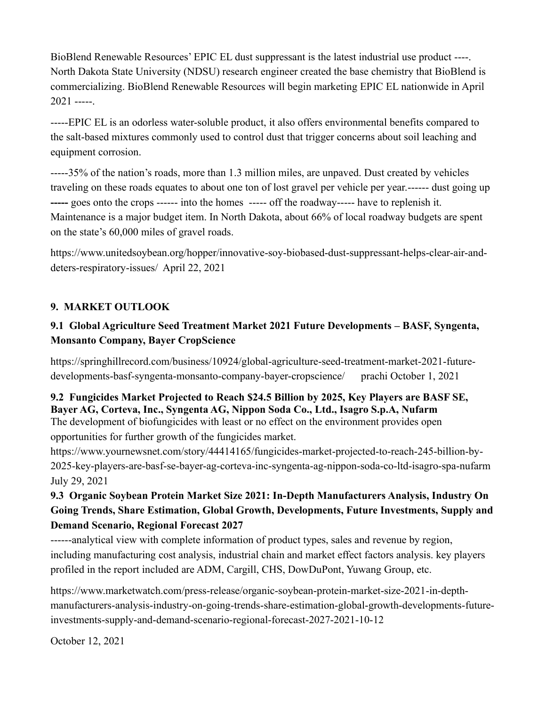BioBlend Renewable Resources' EPIC EL dust suppressant is the latest industrial use product ----. North Dakota State University (NDSU) research engineer created the base chemistry that BioBlend is commercializing. [BioBlend Renewable Resources](https://www.bioblend.com/) will begin marketing EPIC EL nationwide in April  $2021$  -----.

-----EPIC EL is an odorless water-soluble product, it also offers environmental benefits compared to the salt-based mixtures commonly used to control dust that trigger concerns about soil leaching and equipment corrosion.

-----35% of the nation's roads, more than 1.3 million miles, are unpaved. Dust created by vehicles traveling on these roads equates to about one ton of lost gravel per vehicle per year.------ dust going up **-----** goes onto the crops ------ into the homes ----- off the roadway----- have to replenish it. Maintenance is a major budget item. In North Dakota, about 66% of local roadway budgets are spent on the state's 60,000 miles of gravel roads.

[https://www.unitedsoybean.org/hopper/innovative-soy-biobased-dust-suppressant-helps-clear-air-and](https://www.unitedsoybean.org/hopper/innovative-soy-biobased-dust-suppressant-helps-clear-air-and-deters-respiratory-issues/)[deters-respiratory-issues/](https://www.unitedsoybean.org/hopper/innovative-soy-biobased-dust-suppressant-helps-clear-air-and-deters-respiratory-issues/) April 22, 2021

# **9. MARKET OUTLOOK**

# **9.1 Global Agriculture Seed Treatment Market 2021 Future Developments – BASF, Syngenta, Monsanto Company, Bayer CropScience**

[https://springhillrecord.com/business/10924/global-agriculture-seed-treatment-market-2021-future](https://springhillrecord.com/business/10924/global-agriculture-seed-treatment-market-2021-future-developments-basf-syngenta-monsanto-company-bayer-cropscience/)[developments-basf-syngenta-monsanto-company-bayer-cropscience/](https://springhillrecord.com/business/10924/global-agriculture-seed-treatment-market-2021-future-developments-basf-syngenta-monsanto-company-bayer-cropscience/) [prachi](https://springhillrecord.com/author/prachi/) [October 1, 2021](https://springhillrecord.com/business/10924/global-agriculture-seed-treatment-market-2021-future-developments-basf-syngenta-monsanto-company-bayer-cropscience/)

### **9.2 Fungicides Market Projected to Reach \$24.5 Billion by 2025, Key Players are BASF SE, Bayer AG, Corteva, Inc., Syngenta AG, Nippon Soda Co., Ltd., Isagro S.p.A, Nufarm** The development of biofungicides with least or no effect on the environment provides open opportunities for further growth of the fungicides market.

[https://www.yournewsnet.com/story/44414165/fungicides-market-projected-to-reach-245-billion-by-](https://www.yournewsnet.com/story/44414165/fungicides-market-projected-to-reach-245-billion-by-2025-key-players-are-basf-se-bayer-ag-corteva-inc-syngenta-ag-nippon-soda-co-ltd-isagro-spa-nufarm)[2025-key-players-are-basf-se-bayer-ag-corteva-inc-syngenta-ag-nippon-soda-co-ltd-isagro-spa-nufarm](https://www.yournewsnet.com/story/44414165/fungicides-market-projected-to-reach-245-billion-by-2025-key-players-are-basf-se-bayer-ag-corteva-inc-syngenta-ag-nippon-soda-co-ltd-isagro-spa-nufarm)  July 29, 2021

# **9.3 Organic Soybean Protein Market Size 2021: In-Depth Manufacturers Analysis, Industry On Going Trends, Share Estimation, Global Growth, Developments, Future Investments, Supply and Demand Scenario, Regional Forecast 2027**

------analytical view with complete information of product types, sales and revenue by region, including manufacturing cost analysis, industrial chain and market effect factors analysis. key players profiled in the report included are ADM, Cargill, CHS, DowDuPont, Yuwang Group, etc.

[https://www.marketwatch.com/press-release/organic-soybean-protein-market-size-2021-in-depth](https://www.marketwatch.com/press-release/organic-soybean-protein-market-size-2021-in-depth-manufacturers-analysis-industry-on-going-trends-share-estimation-global-growth-developments-future-investments-supply-and-demand-scenario-regional-forecast-2027-2021-10-12)[manufacturers-analysis-industry-on-going-trends-share-estimation-global-growth-developments-future](https://www.marketwatch.com/press-release/organic-soybean-protein-market-size-2021-in-depth-manufacturers-analysis-industry-on-going-trends-share-estimation-global-growth-developments-future-investments-supply-and-demand-scenario-regional-forecast-2027-2021-10-12)[investments-supply-and-demand-scenario-regional-forecast-2027-2021-10-12](https://www.marketwatch.com/press-release/organic-soybean-protein-market-size-2021-in-depth-manufacturers-analysis-industry-on-going-trends-share-estimation-global-growth-developments-future-investments-supply-and-demand-scenario-regional-forecast-2027-2021-10-12)

October 12, 2021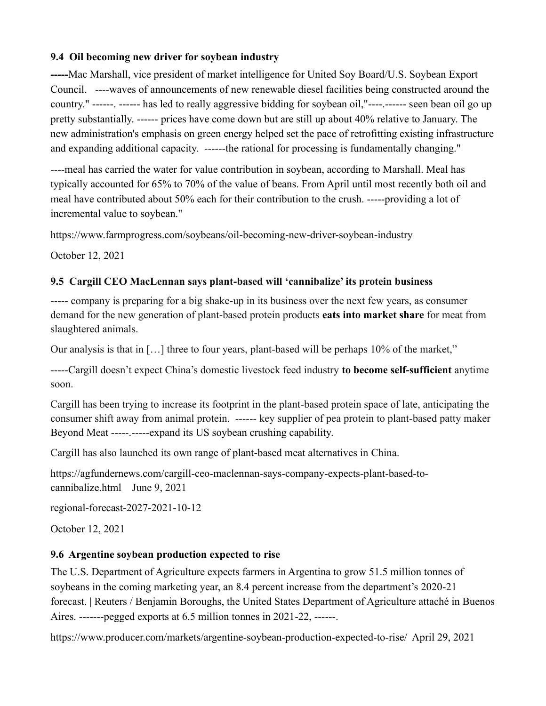### **9.4 Oil becoming new driver for soybean industry**

**-----**Mac Marshall, vice president of market intelligence for United Soy Board/U.S. Soybean Export Council. ----waves of announcements of new renewable diesel facilities being constructed around the country." ------. ------ has led to really aggressive bidding for soybean oil,"----.------ seen bean oil go up pretty substantially. ------ prices have come down but are still up about 40% relative to January. The new administration's emphasis on green energy helped set the pace of retrofitting existing infrastructure and expanding additional capacity. ------the rational for processing is fundamentally changing."

----meal has carried the water for value contribution in soybean, according to Marshall. Meal has typically accounted for 65% to 70% of the value of beans. From April until most recently both oil and meal have contributed about 50% each for their contribution to the crush. -----providing a lot of incremental value to soybean."

https://www.farmprogress.com/soybeans/oil-becoming-new-driver-soybean-industry

October 12, 2021

# **9.5 Cargill CEO MacLennan says plant-based will 'cannibalize' its protein business**

----- company is preparing for a big shake-up in its business over the next few years, as consumer demand for the new generation of plant-based protein products **[eats into market share](https://www.reuters.com/article/us-cargill-protein-plantbased-idUSKCN2DG29V)** for meat from slaughtered animals.

Our analysis is that in […] three to four years, plant-based will be perhaps 10% of the market,"

-----Cargill doesn't expect China's domestic livestock feed industry **[to become self-sufficient](https://www.reuters.com/article/us-cargill-china-grains-idUSKCN2DG27A)** anytime soon.

Cargill has been trying to increase its footprint in the plant-based protein space of late, anticipating the consumer shift away from animal protein. ------ key supplier of pea protein to plant-based patty maker [Beyond Meat](http://www.beyondmeat.com/) -----.----[-expand its US soybean crushing capability.](https://www.reuters.com/article/cargill-investment-soybeans-idUSL2N2L201I)

Cargill has also launched its [own range of plant-based meat alternatives](https://agfundernews.com/cargill-unveils-plantever-plant-based-protein-brand-for-chinese-consumers-expands-b2b-offering.html) in China.

[https://agfundernews.com/cargill-ceo-maclennan-says-company-expects-plant-based-to](https://agfundernews.com/cargill-ceo-maclennan-says-company-expects-plant-based-to-cannibalize.html)[cannibalize.html](https://agfundernews.com/cargill-ceo-maclennan-says-company-expects-plant-based-to-cannibalize.html) June 9, 2021

[regional-forecast-2027-2021-10-12](https://www.marketwatch.com/press-release/organic-soybean-protein-market-size-2021-in-depth-manufacturers-analysis-industry-on-going-trends-share-estimation-global-growth-developments-future-investments-supply-and-demand-scenario-regional-forecast-2027-2021-10-12)

October 12, 2021

# **9.6 Argentine soybean production expected to rise**

The U.S. Department of Agriculture expects farmers in Argentina to grow 51.5 million tonnes of soybeans in the coming marketing year, an 8.4 percent increase from the department's 2020-21 forecast. | Reuters / Benjamin Boroughs, the United States Department of Agriculture attaché in Buenos Aires. -------pegged exports at 6.5 million tonnes in 2021-22, ------.

<https://www.producer.com/markets/argentine-soybean-production-expected-to-rise/>April 29, 2021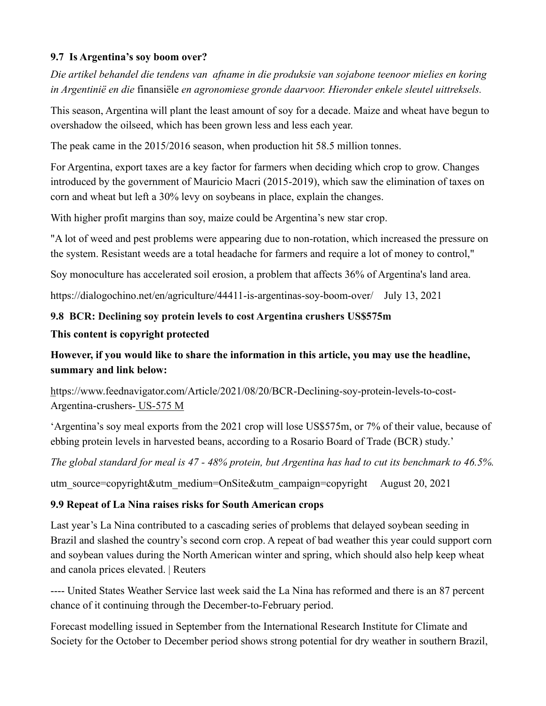### **9.7 Is Argentina's soy boom over?**

*Die artikel behandel die tendens van afname in die produksie van sojabone teenoor mielies en koring in Argentinië en die* finansiële *en agronomiese gronde daarvoor. Hieronder enkele sleutel uittreksels.*

This season, Argentina will plant the least amount of soy for a decade. Maize and wheat have begun to overshadow [the oilseed,](https://dialogochino.net/es/agricultura-es/36342-mapeo-de-inversiones-chinas-en-soja-y-carne-vacuna-sudamericana/) which has been grown less and less each year.

The peak came in the [2015/2016 season,](https://inta.gob.ar/sites/default/files/inta_informe_estadistico_del_mercado_de_soja.pdf) when production hit 58.5 million tonnes.

For Argentina, export taxes are a key factor for farmers when deciding which crop to grow. Changes introduced by the government of Mauricio Macri (2015-2019), which saw the elimination of taxes on corn and wheat but [left a 30% levy on soybeans](https://news.agrofy.com.ar/noticia/177071/cronologia-%20retenciones-argentina-repaso-su-origen-1862) in place, explain the changes.

With higher profit margins than soy, maize could be Argentina's new star crop.

"A lot of weed and pest problems were appearing due to non-rotation, which increased the pressure on the system. Resistant weeds are a total headache for farmers and require a lot of money to control,"

Soy monoculture has accelerated soil erosion, a problem that [affects 36%](https://www.argentina.gob.ar/noticias/el-36-del-suelo-argentino-sufre-procesos-de-erosion) of Argentina's land area.

<https://dialogochino.net/en/agriculture/44411-is-argentinas-soy-boom-over/>July 13, 2021

# **9.8 [BCR: Declining soy protein levels to cost Argentina crushers US\\$575m](https://www.feednavigator.com/Article/2021/08/20/BCR-Declining-soy-protein-levels-to-cost-Argentina-crushers-US-575m?utm_source=copyright&utm_medium=OnSite&utm_campaign=copyright)  This content is copyright protected**

# **However, if you would like to share the information in this article, you may use the headline, summary and link below:**

[https://www.feednavigator.com/Article/2021/08/20/BCR-Declining-soy-protein-levels-to-cost-](https://www.feednavigator.com/Article/2021/08/20/BCR-Declining-soy-protein-levels-to-cost-Argentina-crushers-US-575m?utm_source=copyright&utm_medium=OnSite&utm_campaign=copyright)[Argentina-crushers-](https://www.feednavigator.com/Article/2021/08/20/BCR-Declining-soy-protein-levels-to-cost-Argentina-crushers-US-575m?utm_source=copyright&utm_medium=OnSite&utm_campaign=copyright) US-575 M

'Argentina's soy meal exports from the 2021 crop will lose US\$575m, or 7% of their value, because of ebbing protein levels in harvested beans, according to a Rosario Board of Trade (BCR) study.'

*The global standard for meal is 47 - 48% protein, but Argentina has had to cut its benchmark to 46.5%.*

utm\_source=copyright&utm\_medium=OnSite&utm\_campaign=copyright August 20, 2021

# **9.9 Repeat of La Nina raises risks for South American crops**

Last year's La Nina contributed to a cascading series of problems that delayed soybean seeding in Brazil and slashed the country's second corn crop. A repeat of bad weather this year could support corn and soybean values during the North American winter and spring, which should also help keep wheat and canola prices elevated. | Reuters

---- United States Weather Service last week said the La Nina has reformed and there is an 87 percent chance of it continuing through the December-to-February period.

Forecast modelling issued in September from the International Research Institute for Climate and Society for the October to December period shows strong potential for dry weather in southern Brazil,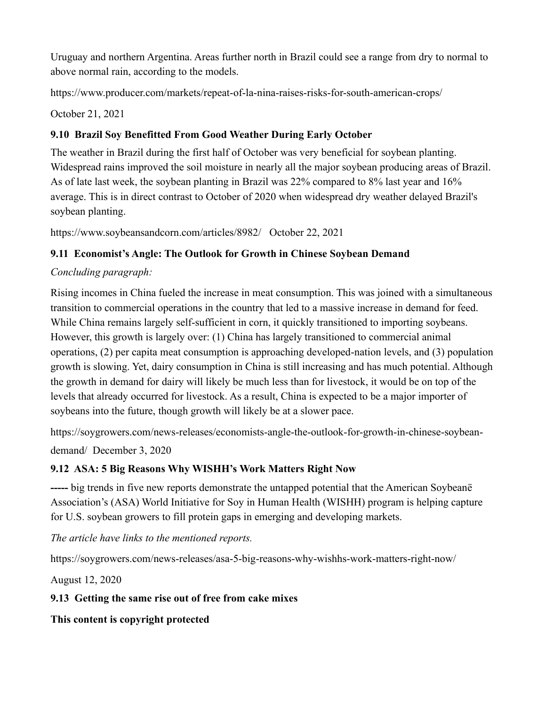Uruguay and northern Argentina. Areas further north in Brazil could see a range from dry to normal to above normal rain, according to the models.

<https://www.producer.com/markets/repeat-of-la-nina-raises-risks-for-south-american-crops/>

October 21, 2021

# **9.10 Brazil Soy Benefitted From Good Weather During Early October**

The weather in Brazil during the first half of October was very beneficial for soybean planting. Widespread rains improved the soil moisture in nearly all the major soybean producing areas of Brazil. As of late last week, the soybean planting in Brazil was 22% compared to 8% last year and 16% average. This is in direct contrast to October of 2020 when widespread dry weather delayed Brazil's soybean planting.

<https://www.soybeansandcorn.com/articles/8982/>October 22, 2021

# **9.11 Economist's Angle: The Outlook for Growth in Chinese Soybean Demand**

# *Concluding paragraph:*

Rising incomes in China fueled the increase in meat consumption. This was joined with a simultaneous transition to commercial operations in the country that led to a massive increase in demand for feed. While China remains largely self-sufficient in corn, it quickly transitioned to importing soybeans. However, this growth is largely over: (1) China has largely transitioned to commercial animal operations, (2) per capita meat consumption is approaching developed-nation levels, and (3) population growth is slowing. Yet, dairy consumption in China is still increasing and has much potential. Although the growth in demand for dairy will likely be much less than for livestock, it would be on top of the levels that already occurred for livestock. As a result, China is expected to be a major importer of soybeans into the future, though growth will likely be at a slower pace.

[https://soygrowers.com/news-releases/economists-angle-the-outlook-for-growth-in-chinese-soybean-](https://soygrowers.com/news-releases/economists-angle-the-outlook-for-growth-in-chinese-soybean-demand/)

[demand/](https://soygrowers.com/news-releases/economists-angle-the-outlook-for-growth-in-chinese-soybean-demand/) December 3, 2020

# **9.12 ASA: 5 Big Reasons Why WISHH's Work Matters Right Now**

**-----** big trends in five new reports demonstrate the untapped potential that the American Soybeanë Association's (ASA) World Initiative for Soy in Human Health (WISHH) program is helping capture for U.S. soybean growers to fill protein gaps in emerging and developing markets.

*The article have links to the mentioned reports.*

<https://soygrowers.com/news-releases/asa-5-big-reasons-why-wishhs-work-matters-right-now/>

August 12, 2020

# **9.13 Getting the same rise out of free from cake mixes**

**This content is copyright protected**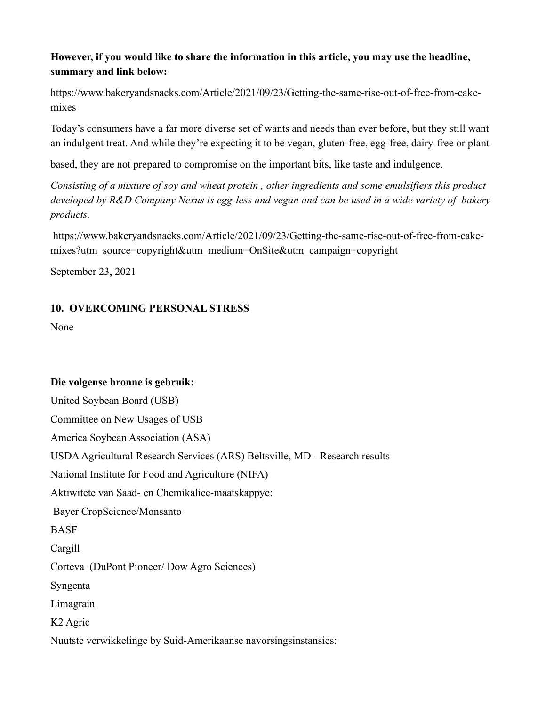# **However, if you would like to share the information in this article, you may use the headline, summary and link below:**

[https://www.bakeryandsnacks.com/Article/2021/09/23/Getting-the-same-rise-out-of-free-from-cake](https://www.bakeryandsnacks.com/Article/2021/09/23/Getting-the-same-rise-out-of-free-from-cake-mixes?utm_source=copyright&utm_medium=OnSite&utm_campaign=copyright)[mixe](https://www.bakeryandsnacks.com/Article/2021/09/23/Getting-the-same-rise-out-of-free-from-cake-mixes?utm_source=copyright&utm_medium=OnSite&utm_campaign=copyright)s

Today's consumers have a far more diverse set of wants and needs than ever before, but they still want an indulgent treat. And while they're expecting it to be vegan, gluten-free, egg-free, dairy-free or plant-

based, they are not prepared to compromise on the important bits, like taste and indulgence.

*Consisting of a mixture of soy and wheat protein , other ingredients and some emulsifiers this product developed by R&D Company Nexus is egg-less and vegan and can be used in a wide variety of bakery products.*

[https://www.bakeryandsnacks.com/Article/2021/09/23/Getting-the-same-rise-out-of-free-from-cake](https://www.bakeryandsnacks.com/Article/2021/09/23/Getting-the-same-rise-out-of-free-from-cake-mixes?utm_source=copyright&utm_medium=OnSite&utm_campaign=copyright)[mixes?utm\\_source=copyright&utm\\_medium=OnSite&utm\\_campaign=copyright](https://www.bakeryandsnacks.com/Article/2021/09/23/Getting-the-same-rise-out-of-free-from-cake-mixes?utm_source=copyright&utm_medium=OnSite&utm_campaign=copyright)

September 23, 2021

### **10. OVERCOMING PERSONAL STRESS**

None

#### **Die volgense bronne is gebruik:**

United Soybean Board (USB) Committee on New Usages of USB America Soybean Association (ASA) USDA Agricultural Research Services (ARS) Beltsville, MD - Research results National Institute for Food and Agriculture (NIFA) Aktiwitete van Saad- en Chemikaliee-maatskappye: Bayer CropScience/Monsanto **BASF** Cargill Corteva (DuPont Pioneer/ Dow Agro Sciences) Syngenta Limagrain K2 Agric Nuutste verwikkelinge by Suid-Amerikaanse navorsingsinstansies: